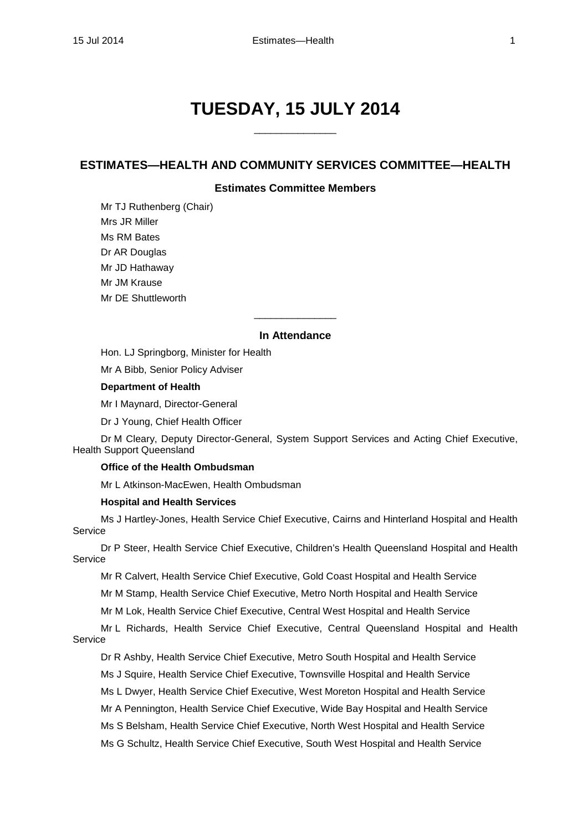# **TUESDAY, 15 JULY 2014**

\_\_\_\_\_\_\_\_\_\_\_\_\_\_\_

# **ESTIMATES—HEALTH AND COMMUNITY SERVICES COMMITTEE—HEALTH**

# **Estimates Committee Members**

Mr TJ Ruthenberg (Chair) Mrs JR Miller Ms RM Bates Dr AR Douglas Mr JD Hathaway Mr JM Krause Mr DE Shuttleworth

#### **In Attendance**

 $\overline{\phantom{a}}$  , where the contract of the contract of  $\overline{\phantom{a}}$ 

Hon. LJ Springborg, Minister for Health

Mr A Bibb, Senior Policy Adviser

## **Department of Health**

Mr I Maynard, Director-General

Dr J Young, Chief Health Officer

Dr M Cleary, Deputy Director-General, System Support Services and Acting Chief Executive, Health Support Queensland

## **Office of the Health Ombudsman**

Mr L Atkinson-MacEwen, Health Ombudsman

#### **Hospital and Health Services**

Ms J Hartley-Jones, Health Service Chief Executive, Cairns and Hinterland Hospital and Health Service

Dr P Steer, Health Service Chief Executive, Children's Health Queensland Hospital and Health Service

Mr R Calvert, Health Service Chief Executive, Gold Coast Hospital and Health Service

Mr M Stamp, Health Service Chief Executive, Metro North Hospital and Health Service

Mr M Lok, Health Service Chief Executive, Central West Hospital and Health Service

Mr L Richards, Health Service Chief Executive, Central Queensland Hospital and Health Service

Dr R Ashby, Health Service Chief Executive, Metro South Hospital and Health Service

Ms J Squire, Health Service Chief Executive, Townsville Hospital and Health Service

Ms L Dwyer, Health Service Chief Executive, West Moreton Hospital and Health Service

Mr A Pennington, Health Service Chief Executive, Wide Bay Hospital and Health Service

Ms S Belsham, Health Service Chief Executive, North West Hospital and Health Service

Ms G Schultz, Health Service Chief Executive, South West Hospital and Health Service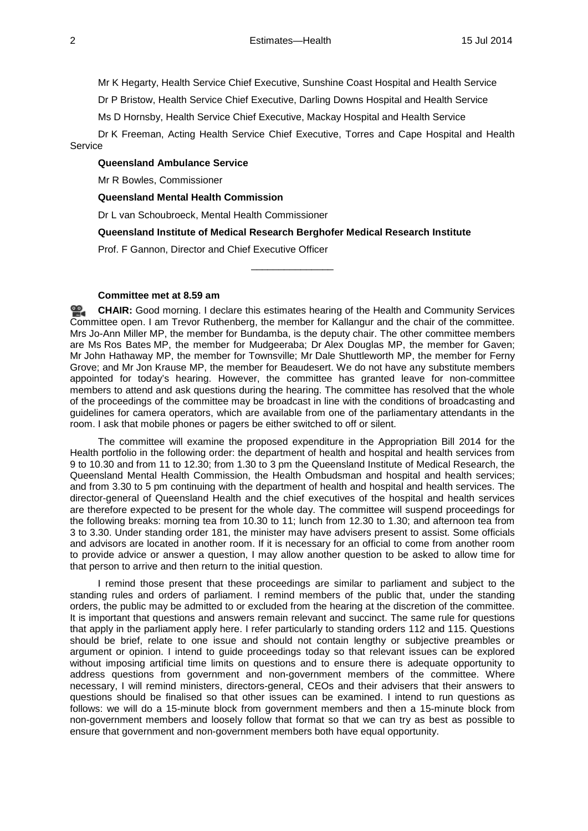Mr K Hegarty, Health Service Chief Executive, Sunshine Coast Hospital and Health Service

Dr P Bristow, Health Service Chief Executive, Darling Downs Hospital and Health Service

Ms D Hornsby, Health Service Chief Executive, Mackay Hospital and Health Service

Dr K Freeman, Acting Health Service Chief Executive, Torres and Cape Hospital and Health **Service** 

#### **Queensland Ambulance Service**

Mr R Bowles, Commissioner

#### **Queensland Mental Health Commission**

Dr L van Schoubroeck, Mental Health Commissioner

**Queensland Institute of Medical Research Berghofer Medical Research Institute**

\_\_\_\_\_\_\_\_\_\_\_\_\_\_\_

Prof. F Gannon, Director and Chief Executive Officer

#### **Committee met at 8.59 am**

≌. **[CHAIR:](http://www.parliament.qld.gov.au/docs/find.aspx?id=0MbaHCSC20140715_090032)** Good morning. I declare this estimates hearing of the Health and Community Services Committee open. I am Trevor Ruthenberg, the member for Kallangur and the chair of the committee. Mrs Jo-Ann Miller MP, the member for Bundamba, is the deputy chair. The other committee members are Ms Ros Bates MP, the member for Mudgeeraba; Dr Alex Douglas MP, the member for Gaven; Mr John Hathaway MP, the member for Townsville; Mr Dale Shuttleworth MP, the member for Ferny Grove; and Mr Jon Krause MP, the member for Beaudesert. We do not have any substitute members appointed for today's hearing. However, the committee has granted leave for non-committee members to attend and ask questions during the hearing. The committee has resolved that the whole of the proceedings of the committee may be broadcast in line with the conditions of broadcasting and guidelines for camera operators, which are available from one of the parliamentary attendants in the room. I ask that mobile phones or pagers be either switched to off or silent.

The committee will examine the proposed expenditure in the Appropriation Bill 2014 for the Health portfolio in the following order: the department of health and hospital and health services from 9 to 10.30 and from 11 to 12.30; from 1.30 to 3 pm the Queensland Institute of Medical Research, the Queensland Mental Health Commission, the Health Ombudsman and hospital and health services; and from 3.30 to 5 pm continuing with the department of health and hospital and health services. The director-general of Queensland Health and the chief executives of the hospital and health services are therefore expected to be present for the whole day. The committee will suspend proceedings for the following breaks: morning tea from 10.30 to 11; lunch from 12.30 to 1.30; and afternoon tea from 3 to 3.30. Under standing order 181, the minister may have advisers present to assist. Some officials and advisors are located in another room. If it is necessary for an official to come from another room to provide advice or answer a question, I may allow another question to be asked to allow time for that person to arrive and then return to the initial question.

I remind those present that these proceedings are similar to parliament and subject to the standing rules and orders of parliament. I remind members of the public that, under the standing orders, the public may be admitted to or excluded from the hearing at the discretion of the committee. It is important that questions and answers remain relevant and succinct. The same rule for questions that apply in the parliament apply here. I refer particularly to standing orders 112 and 115. Questions should be brief, relate to one issue and should not contain lengthy or subjective preambles or argument or opinion. I intend to guide proceedings today so that relevant issues can be explored without imposing artificial time limits on questions and to ensure there is adequate opportunity to address questions from government and non-government members of the committee. Where necessary, I will remind ministers, directors-general, CEOs and their advisers that their answers to questions should be finalised so that other issues can be examined. I intend to run questions as follows: we will do a 15-minute block from government members and then a 15-minute block from non-government members and loosely follow that format so that we can try as best as possible to ensure that government and non-government members both have equal opportunity.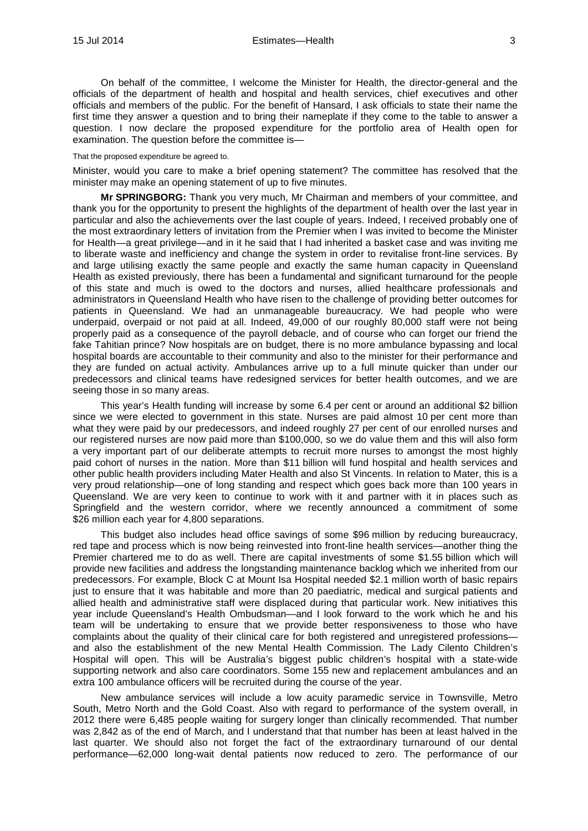On behalf of the committee, I welcome the Minister for Health, the director-general and the officials of the department of health and hospital and health services, chief executives and other officials and members of the public. For the benefit of Hansard, I ask officials to state their name the first time they answer a question and to bring their nameplate if they come to the table to answer a question. I now declare the proposed expenditure for the portfolio area of Health open for examination. The question before the committee is—

#### That the proposed expenditure be agreed to.

Minister, would you care to make a brief opening statement? The committee has resolved that the minister may make an opening statement of up to five minutes.

**Mr SPRINGBORG:** Thank you very much, Mr Chairman and members of your committee, and thank you for the opportunity to present the highlights of the department of health over the last year in particular and also the achievements over the last couple of years. Indeed, I received probably one of the most extraordinary letters of invitation from the Premier when I was invited to become the Minister for Health—a great privilege—and in it he said that I had inherited a basket case and was inviting me to liberate waste and inefficiency and change the system in order to revitalise front-line services. By and large utilising exactly the same people and exactly the same human capacity in Queensland Health as existed previously, there has been a fundamental and significant turnaround for the people of this state and much is owed to the doctors and nurses, allied healthcare professionals and administrators in Queensland Health who have risen to the challenge of providing better outcomes for patients in Queensland. We had an unmanageable bureaucracy. We had people who were underpaid, overpaid or not paid at all. Indeed, 49,000 of our roughly 80,000 staff were not being properly paid as a consequence of the payroll debacle, and of course who can forget our friend the fake Tahitian prince? Now hospitals are on budget, there is no more ambulance bypassing and local hospital boards are accountable to their community and also to the minister for their performance and they are funded on actual activity. Ambulances arrive up to a full minute quicker than under our predecessors and clinical teams have redesigned services for better health outcomes, and we are seeing those in so many areas.

This year's Health funding will increase by some 6.4 per cent or around an additional \$2 billion since we were elected to government in this state. Nurses are paid almost 10 per cent more than what they were paid by our predecessors, and indeed roughly 27 per cent of our enrolled nurses and our registered nurses are now paid more than \$100,000, so we do value them and this will also form a very important part of our deliberate attempts to recruit more nurses to amongst the most highly paid cohort of nurses in the nation. More than \$11 billion will fund hospital and health services and other public health providers including Mater Health and also St Vincents. In relation to Mater, this is a very proud relationship—one of long standing and respect which goes back more than 100 years in Queensland. We are very keen to continue to work with it and partner with it in places such as Springfield and the western corridor, where we recently announced a commitment of some \$26 million each year for 4,800 separations.

This budget also includes head office savings of some \$96 million by reducing bureaucracy, red tape and process which is now being reinvested into front-line health services—another thing the Premier chartered me to do as well. There are capital investments of some \$1.55 billion which will provide new facilities and address the longstanding maintenance backlog which we inherited from our predecessors. For example, Block C at Mount Isa Hospital needed \$2.1 million worth of basic repairs just to ensure that it was habitable and more than 20 paediatric, medical and surgical patients and allied health and administrative staff were displaced during that particular work. New initiatives this year include Queensland's Health Ombudsman—and I look forward to the work which he and his team will be undertaking to ensure that we provide better responsiveness to those who have complaints about the quality of their clinical care for both registered and unregistered professions and also the establishment of the new Mental Health Commission. The Lady Cilento Children's Hospital will open. This will be Australia's biggest public children's hospital with a state-wide supporting network and also care coordinators. Some 155 new and replacement ambulances and an extra 100 ambulance officers will be recruited during the course of the year.

New ambulance services will include a low acuity paramedic service in Townsville, Metro South, Metro North and the Gold Coast. Also with regard to performance of the system overall, in 2012 there were 6,485 people waiting for surgery longer than clinically recommended. That number was 2,842 as of the end of March, and I understand that that number has been at least halved in the last quarter. We should also not forget the fact of the extraordinary turnaround of our dental performance—62,000 long-wait dental patients now reduced to zero. The performance of our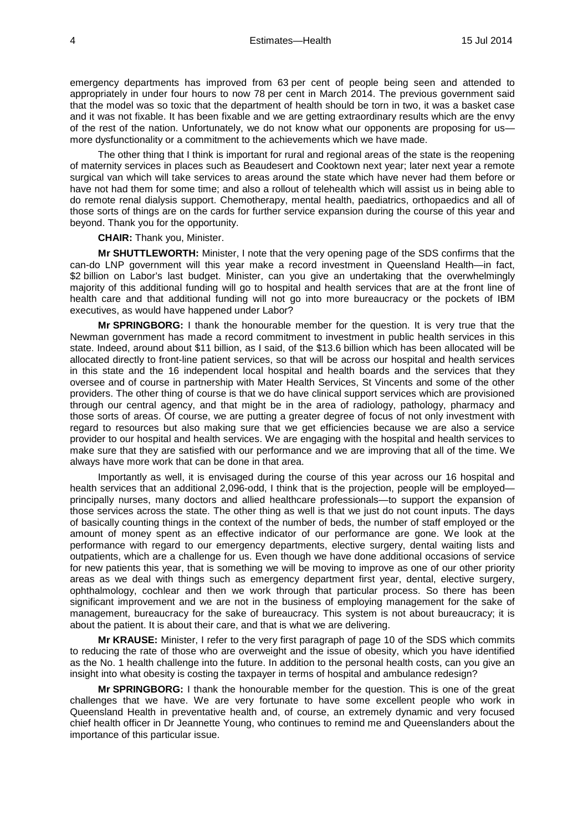emergency departments has improved from 63 per cent of people being seen and attended to appropriately in under four hours to now 78 per cent in March 2014. The previous government said that the model was so toxic that the department of health should be torn in two, it was a basket case and it was not fixable. It has been fixable and we are getting extraordinary results which are the envy of the rest of the nation. Unfortunately, we do not know what our opponents are proposing for us more dysfunctionality or a commitment to the achievements which we have made.

The other thing that I think is important for rural and regional areas of the state is the reopening of maternity services in places such as Beaudesert and Cooktown next year; later next year a remote surgical van which will take services to areas around the state which have never had them before or have not had them for some time; and also a rollout of telehealth which will assist us in being able to do remote renal dialysis support. Chemotherapy, mental health, paediatrics, orthopaedics and all of those sorts of things are on the cards for further service expansion during the course of this year and beyond. Thank you for the opportunity.

**CHAIR:** Thank you, Minister.

**Mr SHUTTLEWORTH:** Minister, I note that the very opening page of the SDS confirms that the can-do LNP government will this year make a record investment in Queensland Health—in fact, \$2 billion on Labor's last budget. Minister, can you give an undertaking that the overwhelmingly majority of this additional funding will go to hospital and health services that are at the front line of health care and that additional funding will not go into more bureaucracy or the pockets of IBM executives, as would have happened under Labor?

**Mr SPRINGBORG:** I thank the honourable member for the question. It is very true that the Newman government has made a record commitment to investment in public health services in this state. Indeed, around about \$11 billion, as I said, of the \$13.6 billion which has been allocated will be allocated directly to front-line patient services, so that will be across our hospital and health services in this state and the 16 independent local hospital and health boards and the services that they oversee and of course in partnership with Mater Health Services, St Vincents and some of the other providers. The other thing of course is that we do have clinical support services which are provisioned through our central agency, and that might be in the area of radiology, pathology, pharmacy and those sorts of areas. Of course, we are putting a greater degree of focus of not only investment with regard to resources but also making sure that we get efficiencies because we are also a service provider to our hospital and health services. We are engaging with the hospital and health services to make sure that they are satisfied with our performance and we are improving that all of the time. We always have more work that can be done in that area.

Importantly as well, it is envisaged during the course of this year across our 16 hospital and health services that an additional 2,096-odd, I think that is the projection, people will be employed principally nurses, many doctors and allied healthcare professionals—to support the expansion of those services across the state. The other thing as well is that we just do not count inputs. The days of basically counting things in the context of the number of beds, the number of staff employed or the amount of money spent as an effective indicator of our performance are gone. We look at the performance with regard to our emergency departments, elective surgery, dental waiting lists and outpatients, which are a challenge for us. Even though we have done additional occasions of service for new patients this year, that is something we will be moving to improve as one of our other priority areas as we deal with things such as emergency department first year, dental, elective surgery, ophthalmology, cochlear and then we work through that particular process. So there has been significant improvement and we are not in the business of employing management for the sake of management, bureaucracy for the sake of bureaucracy. This system is not about bureaucracy; it is about the patient. It is about their care, and that is what we are delivering.

**Mr KRAUSE:** Minister, I refer to the very first paragraph of page 10 of the SDS which commits to reducing the rate of those who are overweight and the issue of obesity, which you have identified as the No. 1 health challenge into the future. In addition to the personal health costs, can you give an insight into what obesity is costing the taxpayer in terms of hospital and ambulance redesign?

**Mr SPRINGBORG:** I thank the honourable member for the question. This is one of the great challenges that we have. We are very fortunate to have some excellent people who work in Queensland Health in preventative health and, of course, an extremely dynamic and very focused chief health officer in Dr Jeannette Young, who continues to remind me and Queenslanders about the importance of this particular issue.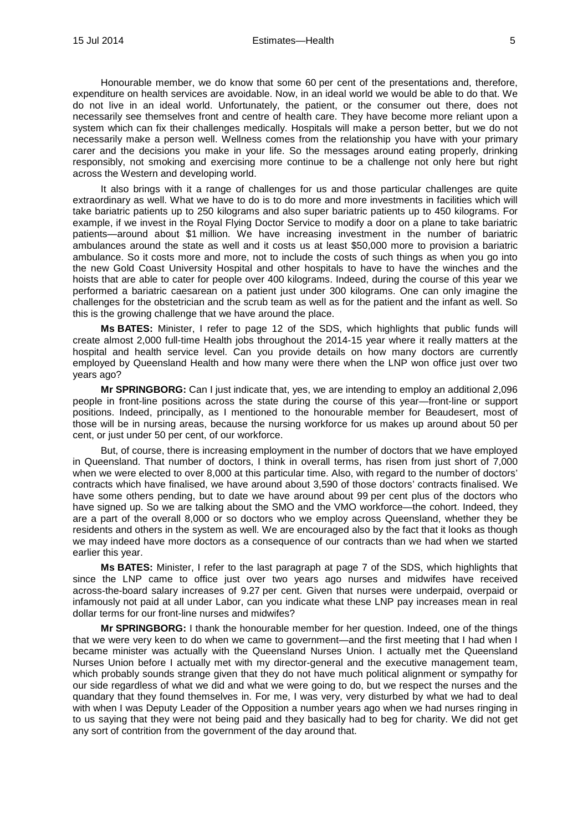Honourable member, we do know that some 60 per cent of the presentations and, therefore, expenditure on health services are avoidable. Now, in an ideal world we would be able to do that. We do not live in an ideal world. Unfortunately, the patient, or the consumer out there, does not necessarily see themselves front and centre of health care. They have become more reliant upon a system which can fix their challenges medically. Hospitals will make a person better, but we do not necessarily make a person well. Wellness comes from the relationship you have with your primary carer and the decisions you make in your life. So the messages around eating properly, drinking responsibly, not smoking and exercising more continue to be a challenge not only here but right across the Western and developing world.

It also brings with it a range of challenges for us and those particular challenges are quite extraordinary as well. What we have to do is to do more and more investments in facilities which will take bariatric patients up to 250 kilograms and also super bariatric patients up to 450 kilograms. For example, if we invest in the Royal Flying Doctor Service to modify a door on a plane to take bariatric patients—around about \$1 million. We have increasing investment in the number of bariatric ambulances around the state as well and it costs us at least \$50,000 more to provision a bariatric ambulance. So it costs more and more, not to include the costs of such things as when you go into the new Gold Coast University Hospital and other hospitals to have to have the winches and the hoists that are able to cater for people over 400 kilograms. Indeed, during the course of this year we performed a bariatric caesarean on a patient just under 300 kilograms. One can only imagine the challenges for the obstetrician and the scrub team as well as for the patient and the infant as well. So this is the growing challenge that we have around the place.

**Ms BATES:** Minister, I refer to page 12 of the SDS, which highlights that public funds will create almost 2,000 full-time Health jobs throughout the 2014-15 year where it really matters at the hospital and health service level. Can you provide details on how many doctors are currently employed by Queensland Health and how many were there when the LNP won office just over two years ago?

**Mr SPRINGBORG:** Can I just indicate that, yes, we are intending to employ an additional 2,096 people in front-line positions across the state during the course of this year—front-line or support positions. Indeed, principally, as I mentioned to the honourable member for Beaudesert, most of those will be in nursing areas, because the nursing workforce for us makes up around about 50 per cent, or just under 50 per cent, of our workforce.

But, of course, there is increasing employment in the number of doctors that we have employed in Queensland. That number of doctors, I think in overall terms, has risen from just short of 7,000 when we were elected to over 8,000 at this particular time. Also, with regard to the number of doctors' contracts which have finalised, we have around about 3,590 of those doctors' contracts finalised. We have some others pending, but to date we have around about 99 per cent plus of the doctors who have signed up. So we are talking about the SMO and the VMO workforce—the cohort. Indeed, they are a part of the overall 8,000 or so doctors who we employ across Queensland, whether they be residents and others in the system as well. We are encouraged also by the fact that it looks as though we may indeed have more doctors as a consequence of our contracts than we had when we started earlier this year.

**Ms BATES:** Minister, I refer to the last paragraph at page 7 of the SDS, which highlights that since the LNP came to office just over two years ago nurses and midwifes have received across-the-board salary increases of 9.27 per cent. Given that nurses were underpaid, overpaid or infamously not paid at all under Labor, can you indicate what these LNP pay increases mean in real dollar terms for our front-line nurses and midwifes?

**Mr SPRINGBORG:** I thank the honourable member for her question. Indeed, one of the things that we were very keen to do when we came to government—and the first meeting that I had when I became minister was actually with the Queensland Nurses Union. I actually met the Queensland Nurses Union before I actually met with my director-general and the executive management team, which probably sounds strange given that they do not have much political alignment or sympathy for our side regardless of what we did and what we were going to do, but we respect the nurses and the quandary that they found themselves in. For me, I was very, very disturbed by what we had to deal with when I was Deputy Leader of the Opposition a number years ago when we had nurses ringing in to us saying that they were not being paid and they basically had to beg for charity. We did not get any sort of contrition from the government of the day around that.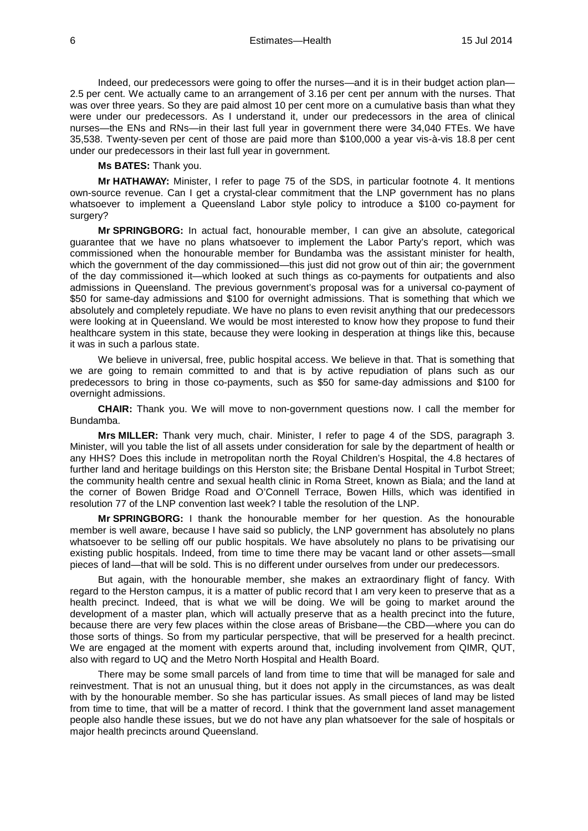Indeed, our predecessors were going to offer the nurses—and it is in their budget action plan— 2.5 per cent. We actually came to an arrangement of 3.16 per cent per annum with the nurses. That was over three years. So they are paid almost 10 per cent more on a cumulative basis than what they were under our predecessors. As I understand it, under our predecessors in the area of clinical nurses—the ENs and RNs—in their last full year in government there were 34,040 FTEs. We have 35,538. Twenty-seven per cent of those are paid more than \$100,000 a year vis-à-vis 18.8 per cent under our predecessors in their last full year in government.

**Ms BATES:** Thank you.

**Mr HATHAWAY:** Minister, I refer to page 75 of the SDS, in particular footnote 4. It mentions own-source revenue. Can I get a crystal-clear commitment that the LNP government has no plans whatsoever to implement a Queensland Labor style policy to introduce a \$100 co-payment for surgery?

**Mr SPRINGBORG:** In actual fact, honourable member, I can give an absolute, categorical guarantee that we have no plans whatsoever to implement the Labor Party's report, which was commissioned when the honourable member for Bundamba was the assistant minister for health, which the government of the day commissioned—this just did not grow out of thin air; the government of the day commissioned it—which looked at such things as co-payments for outpatients and also admissions in Queensland. The previous government's proposal was for a universal co-payment of \$50 for same-day admissions and \$100 for overnight admissions. That is something that which we absolutely and completely repudiate. We have no plans to even revisit anything that our predecessors were looking at in Queensland. We would be most interested to know how they propose to fund their healthcare system in this state, because they were looking in desperation at things like this, because it was in such a parlous state.

We believe in universal, free, public hospital access. We believe in that. That is something that we are going to remain committed to and that is by active repudiation of plans such as our predecessors to bring in those co-payments, such as \$50 for same-day admissions and \$100 for overnight admissions.

**CHAIR:** Thank you. We will move to non-government questions now. I call the member for Bundamba.

**Mrs MILLER:** Thank very much, chair. Minister, I refer to page 4 of the SDS, paragraph 3. Minister, will you table the list of all assets under consideration for sale by the department of health or any HHS? Does this include in metropolitan north the Royal Children's Hospital, the 4.8 hectares of further land and heritage buildings on this Herston site; the Brisbane Dental Hospital in Turbot Street; the community health centre and sexual health clinic in Roma Street, known as Biala; and the land at the corner of Bowen Bridge Road and O'Connell Terrace, Bowen Hills, which was identified in resolution 77 of the LNP convention last week? I table the resolution of the LNP.

**Mr SPRINGBORG:** I thank the honourable member for her question. As the honourable member is well aware, because I have said so publicly, the LNP government has absolutely no plans whatsoever to be selling off our public hospitals. We have absolutely no plans to be privatising our existing public hospitals. Indeed, from time to time there may be vacant land or other assets—small pieces of land—that will be sold. This is no different under ourselves from under our predecessors.

But again, with the honourable member, she makes an extraordinary flight of fancy. With regard to the Herston campus, it is a matter of public record that I am very keen to preserve that as a health precinct. Indeed, that is what we will be doing. We will be going to market around the development of a master plan, which will actually preserve that as a health precinct into the future, because there are very few places within the close areas of Brisbane—the CBD—where you can do those sorts of things. So from my particular perspective, that will be preserved for a health precinct. We are engaged at the moment with experts around that, including involvement from QIMR, QUT, also with regard to UQ and the Metro North Hospital and Health Board.

There may be some small parcels of land from time to time that will be managed for sale and reinvestment. That is not an unusual thing, but it does not apply in the circumstances, as was dealt with by the honourable member. So she has particular issues. As small pieces of land may be listed from time to time, that will be a matter of record. I think that the government land asset management people also handle these issues, but we do not have any plan whatsoever for the sale of hospitals or major health precincts around Queensland.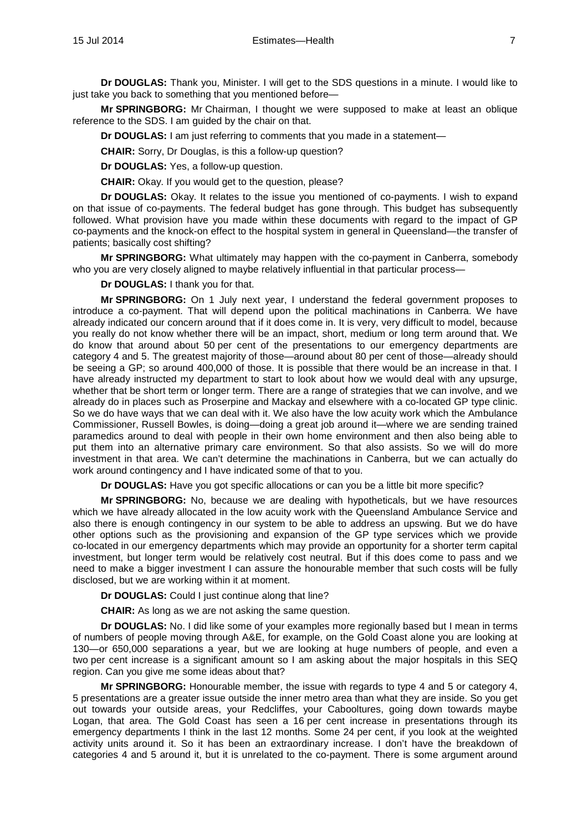**Dr DOUGLAS:** Thank you, Minister. I will get to the SDS questions in a minute. I would like to just take you back to something that you mentioned before—

**Mr SPRINGBORG:** Mr Chairman, I thought we were supposed to make at least an oblique reference to the SDS. I am guided by the chair on that.

**Dr DOUGLAS:** I am just referring to comments that you made in a statement—

**CHAIR:** Sorry, Dr Douglas, is this a follow-up question?

**Dr DOUGLAS:** Yes, a follow-up question.

**CHAIR:** Okay. If you would get to the question, please?

**Dr DOUGLAS:** Okay. It relates to the issue you mentioned of co-payments. I wish to expand on that issue of co-payments. The federal budget has gone through. This budget has subsequently followed. What provision have you made within these documents with regard to the impact of GP co-payments and the knock-on effect to the hospital system in general in Queensland—the transfer of patients; basically cost shifting?

**Mr SPRINGBORG:** What ultimately may happen with the co-payment in Canberra, somebody who you are very closely aligned to maybe relatively influential in that particular process—

**Dr DOUGLAS:** I thank you for that.

**Mr SPRINGBORG:** On 1 July next year, I understand the federal government proposes to introduce a co-payment. That will depend upon the political machinations in Canberra. We have already indicated our concern around that if it does come in. It is very, very difficult to model, because you really do not know whether there will be an impact, short, medium or long term around that. We do know that around about 50 per cent of the presentations to our emergency departments are category 4 and 5. The greatest majority of those—around about 80 per cent of those—already should be seeing a GP; so around 400,000 of those. It is possible that there would be an increase in that. I have already instructed my department to start to look about how we would deal with any upsurge, whether that be short term or longer term. There are a range of strategies that we can involve, and we already do in places such as Proserpine and Mackay and elsewhere with a co-located GP type clinic. So we do have ways that we can deal with it. We also have the low acuity work which the Ambulance Commissioner, Russell Bowles, is doing—doing a great job around it—where we are sending trained paramedics around to deal with people in their own home environment and then also being able to put them into an alternative primary care environment. So that also assists. So we will do more investment in that area. We can't determine the machinations in Canberra, but we can actually do work around contingency and I have indicated some of that to you.

**Dr DOUGLAS:** Have you got specific allocations or can you be a little bit more specific?

**Mr SPRINGBORG:** No, because we are dealing with hypotheticals, but we have resources which we have already allocated in the low acuity work with the Queensland Ambulance Service and also there is enough contingency in our system to be able to address an upswing. But we do have other options such as the provisioning and expansion of the GP type services which we provide co-located in our emergency departments which may provide an opportunity for a shorter term capital investment, but longer term would be relatively cost neutral. But if this does come to pass and we need to make a bigger investment I can assure the honourable member that such costs will be fully disclosed, but we are working within it at moment.

**Dr DOUGLAS:** Could I just continue along that line?

**CHAIR:** As long as we are not asking the same question.

**Dr DOUGLAS:** No. I did like some of your examples more regionally based but I mean in terms of numbers of people moving through A&E, for example, on the Gold Coast alone you are looking at 130—or 650,000 separations a year, but we are looking at huge numbers of people, and even a two per cent increase is a significant amount so I am asking about the major hospitals in this SEQ region. Can you give me some ideas about that?

**Mr SPRINGBORG:** Honourable member, the issue with regards to type 4 and 5 or category 4, 5 presentations are a greater issue outside the inner metro area than what they are inside. So you get out towards your outside areas, your Redcliffes, your Cabooltures, going down towards maybe Logan, that area. The Gold Coast has seen a 16 per cent increase in presentations through its emergency departments I think in the last 12 months. Some 24 per cent, if you look at the weighted activity units around it. So it has been an extraordinary increase. I don't have the breakdown of categories 4 and 5 around it, but it is unrelated to the co-payment. There is some argument around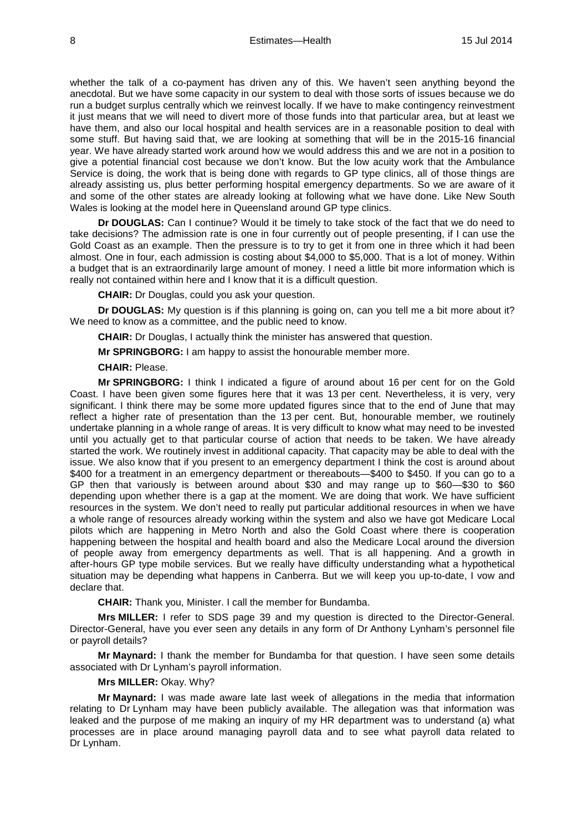whether the talk of a co-payment has driven any of this. We haven't seen anything beyond the anecdotal. But we have some capacity in our system to deal with those sorts of issues because we do run a budget surplus centrally which we reinvest locally. If we have to make contingency reinvestment it just means that we will need to divert more of those funds into that particular area, but at least we have them, and also our local hospital and health services are in a reasonable position to deal with some stuff. But having said that, we are looking at something that will be in the 2015-16 financial year. We have already started work around how we would address this and we are not in a position to give a potential financial cost because we don't know. But the low acuity work that the Ambulance Service is doing, the work that is being done with regards to GP type clinics, all of those things are already assisting us, plus better performing hospital emergency departments. So we are aware of it and some of the other states are already looking at following what we have done. Like New South Wales is looking at the model here in Queensland around GP type clinics.

**Dr DOUGLAS:** Can I continue? Would it be timely to take stock of the fact that we do need to take decisions? The admission rate is one in four currently out of people presenting, if I can use the Gold Coast as an example. Then the pressure is to try to get it from one in three which it had been almost. One in four, each admission is costing about \$4,000 to \$5,000. That is a lot of money. Within a budget that is an extraordinarily large amount of money. I need a little bit more information which is really not contained within here and I know that it is a difficult question.

**CHAIR:** Dr Douglas, could you ask your question.

**Dr DOUGLAS:** My question is if this planning is going on, can you tell me a bit more about it? We need to know as a committee, and the public need to know.

**CHAIR:** Dr Douglas, I actually think the minister has answered that question.

**Mr SPRINGBORG:** I am happy to assist the honourable member more.

**CHAIR:** Please.

**Mr SPRINGBORG:** I think I indicated a figure of around about 16 per cent for on the Gold Coast. I have been given some figures here that it was 13 per cent. Nevertheless, it is very, very significant. I think there may be some more updated figures since that to the end of June that may reflect a higher rate of presentation than the 13 per cent. But, honourable member, we routinely undertake planning in a whole range of areas. It is very difficult to know what may need to be invested until you actually get to that particular course of action that needs to be taken. We have already started the work. We routinely invest in additional capacity. That capacity may be able to deal with the issue. We also know that if you present to an emergency department I think the cost is around about \$400 for a treatment in an emergency department or thereabouts—\$400 to \$450. If you can go to a GP then that variously is between around about \$30 and may range up to \$60—\$30 to \$60 depending upon whether there is a gap at the moment. We are doing that work. We have sufficient resources in the system. We don't need to really put particular additional resources in when we have a whole range of resources already working within the system and also we have got Medicare Local pilots which are happening in Metro North and also the Gold Coast where there is cooperation happening between the hospital and health board and also the Medicare Local around the diversion of people away from emergency departments as well. That is all happening. And a growth in after-hours GP type mobile services. But we really have difficulty understanding what a hypothetical situation may be depending what happens in Canberra. But we will keep you up-to-date, I vow and declare that.

**CHAIR:** Thank you, Minister. I call the member for Bundamba.

**Mrs MILLER:** I refer to SDS page 39 and my question is directed to the Director-General. Director-General, have you ever seen any details in any form of Dr Anthony Lynham's personnel file or payroll details?

**Mr Maynard:** I thank the member for Bundamba for that question. I have seen some details associated with Dr Lynham's payroll information.

#### **Mrs MILLER:** Okay. Why?

**Mr Maynard:** I was made aware late last week of allegations in the media that information relating to Dr Lynham may have been publicly available. The allegation was that information was leaked and the purpose of me making an inquiry of my HR department was to understand (a) what processes are in place around managing payroll data and to see what payroll data related to Dr Lynham.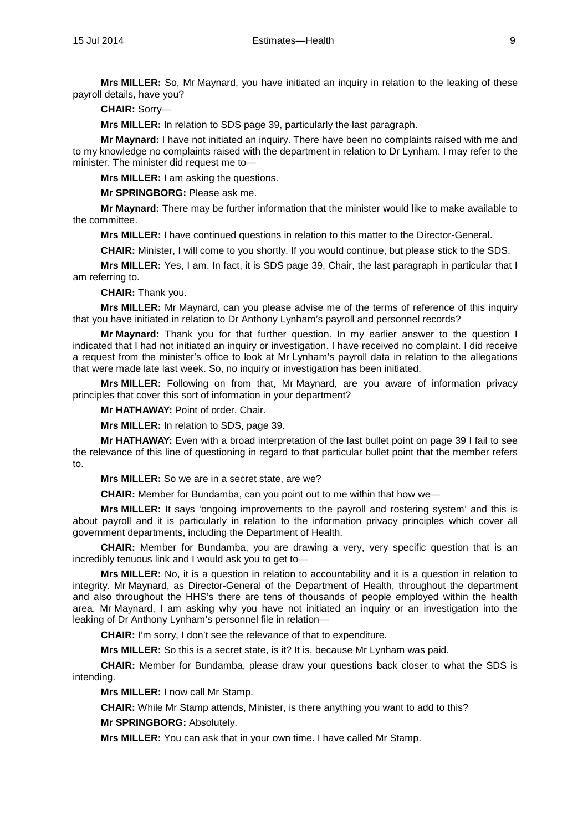**Mrs MILLER:** So, Mr Maynard, you have initiated an inquiry in relation to the leaking of these payroll details, have you?

**CHAIR:** Sorry—

**Mrs MILLER:** In relation to SDS page 39, particularly the last paragraph.

**Mr Maynard:** I have not initiated an inquiry. There have been no complaints raised with me and to my knowledge no complaints raised with the department in relation to Dr Lynham. I may refer to the minister. The minister did request me to—

**Mrs MILLER:** I am asking the questions.

**Mr SPRINGBORG:** Please ask me.

**Mr Maynard:** There may be further information that the minister would like to make available to the committee.

**Mrs MILLER:** I have continued questions in relation to this matter to the Director-General.

**CHAIR:** Minister, I will come to you shortly. If you would continue, but please stick to the SDS.

**Mrs MILLER:** Yes, I am. In fact, it is SDS page 39, Chair, the last paragraph in particular that I am referring to.

**CHAIR:** Thank you.

**Mrs MILLER:** Mr Maynard, can you please advise me of the terms of reference of this inquiry that you have initiated in relation to Dr Anthony Lynham's payroll and personnel records?

**Mr Maynard:** Thank you for that further question. In my earlier answer to the question I indicated that I had not initiated an inquiry or investigation. I have received no complaint. I did receive a request from the minister's office to look at Mr Lynham's payroll data in relation to the allegations that were made late last week. So, no inquiry or investigation has been initiated.

**Mrs MILLER:** Following on from that, Mr Maynard, are you aware of information privacy principles that cover this sort of information in your department?

**Mr HATHAWAY:** Point of order, Chair.

**Mrs MILLER:** In relation to SDS, page 39.

**Mr HATHAWAY:** Even with a broad interpretation of the last bullet point on page 39 I fail to see the relevance of this line of questioning in regard to that particular bullet point that the member refers to.

**Mrs MILLER:** So we are in a secret state, are we?

**CHAIR:** Member for Bundamba, can you point out to me within that how we—

**Mrs MILLER:** It says 'ongoing improvements to the payroll and rostering system' and this is about payroll and it is particularly in relation to the information privacy principles which cover all government departments, including the Department of Health.

**CHAIR:** Member for Bundamba, you are drawing a very, very specific question that is an incredibly tenuous link and I would ask you to get to—

**Mrs MILLER:** No, it is a question in relation to accountability and it is a question in relation to integrity. Mr Maynard, as Director-General of the Department of Health, throughout the department and also throughout the HHS's there are tens of thousands of people employed within the health area. Mr Maynard, I am asking why you have not initiated an inquiry or an investigation into the leaking of Dr Anthony Lynham's personnel file in relation—

**CHAIR:** I'm sorry, I don't see the relevance of that to expenditure.

**Mrs MILLER:** So this is a secret state, is it? It is, because Mr Lynham was paid.

**CHAIR:** Member for Bundamba, please draw your questions back closer to what the SDS is intending.

**Mrs MILLER:** I now call Mr Stamp.

**CHAIR:** While Mr Stamp attends, Minister, is there anything you want to add to this?

**Mr SPRINGBORG:** Absolutely.

**Mrs MILLER:** You can ask that in your own time. I have called Mr Stamp.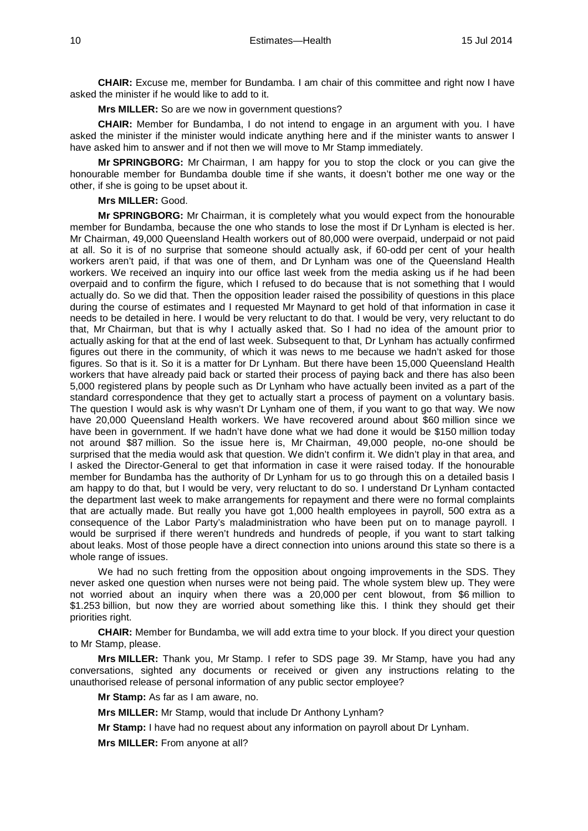**CHAIR:** Excuse me, member for Bundamba. I am chair of this committee and right now I have asked the minister if he would like to add to it.

**Mrs MILLER:** So are we now in government questions?

**CHAIR:** Member for Bundamba, I do not intend to engage in an argument with you. I have asked the minister if the minister would indicate anything here and if the minister wants to answer I have asked him to answer and if not then we will move to Mr Stamp immediately.

**Mr SPRINGBORG:** Mr Chairman, I am happy for you to stop the clock or you can give the honourable member for Bundamba double time if she wants, it doesn't bother me one way or the other, if she is going to be upset about it.

# **Mrs MILLER:** Good.

**Mr SPRINGBORG:** Mr Chairman, it is completely what you would expect from the honourable member for Bundamba, because the one who stands to lose the most if Dr Lynham is elected is her. Mr Chairman, 49,000 Queensland Health workers out of 80,000 were overpaid, underpaid or not paid at all. So it is of no surprise that someone should actually ask, if 60-odd per cent of your health workers aren't paid, if that was one of them, and Dr Lynham was one of the Queensland Health workers. We received an inquiry into our office last week from the media asking us if he had been overpaid and to confirm the figure, which I refused to do because that is not something that I would actually do. So we did that. Then the opposition leader raised the possibility of questions in this place during the course of estimates and I requested Mr Maynard to get hold of that information in case it needs to be detailed in here. I would be very reluctant to do that. I would be very, very reluctant to do that, Mr Chairman, but that is why I actually asked that. So I had no idea of the amount prior to actually asking for that at the end of last week. Subsequent to that, Dr Lynham has actually confirmed figures out there in the community, of which it was news to me because we hadn't asked for those figures. So that is it. So it is a matter for Dr Lynham. But there have been 15,000 Queensland Health workers that have already paid back or started their process of paying back and there has also been 5,000 registered plans by people such as Dr Lynham who have actually been invited as a part of the standard correspondence that they get to actually start a process of payment on a voluntary basis. The question I would ask is why wasn't Dr Lynham one of them, if you want to go that way. We now have 20,000 Queensland Health workers. We have recovered around about \$60 million since we have been in government. If we hadn't have done what we had done it would be \$150 million today not around \$87 million. So the issue here is, Mr Chairman, 49,000 people, no-one should be surprised that the media would ask that question. We didn't confirm it. We didn't play in that area, and I asked the Director-General to get that information in case it were raised today. If the honourable member for Bundamba has the authority of Dr Lynham for us to go through this on a detailed basis I am happy to do that, but I would be very, very reluctant to do so. I understand Dr Lynham contacted the department last week to make arrangements for repayment and there were no formal complaints that are actually made. But really you have got 1,000 health employees in payroll, 500 extra as a consequence of the Labor Party's maladministration who have been put on to manage payroll. I would be surprised if there weren't hundreds and hundreds of people, if you want to start talking about leaks. Most of those people have a direct connection into unions around this state so there is a whole range of issues.

We had no such fretting from the opposition about ongoing improvements in the SDS. They never asked one question when nurses were not being paid. The whole system blew up. They were not worried about an inquiry when there was a 20,000 per cent blowout, from \$6 million to \$1.253 billion, but now they are worried about something like this. I think they should get their priorities right.

**CHAIR:** Member for Bundamba, we will add extra time to your block. If you direct your question to Mr Stamp, please.

**Mrs MILLER:** Thank you, Mr Stamp. I refer to SDS page 39. Mr Stamp, have you had any conversations, sighted any documents or received or given any instructions relating to the unauthorised release of personal information of any public sector employee?

**Mr Stamp:** As far as I am aware, no.

**Mrs MILLER:** Mr Stamp, would that include Dr Anthony Lynham?

**Mr Stamp:** I have had no request about any information on payroll about Dr Lynham.

**Mrs MILLER:** From anyone at all?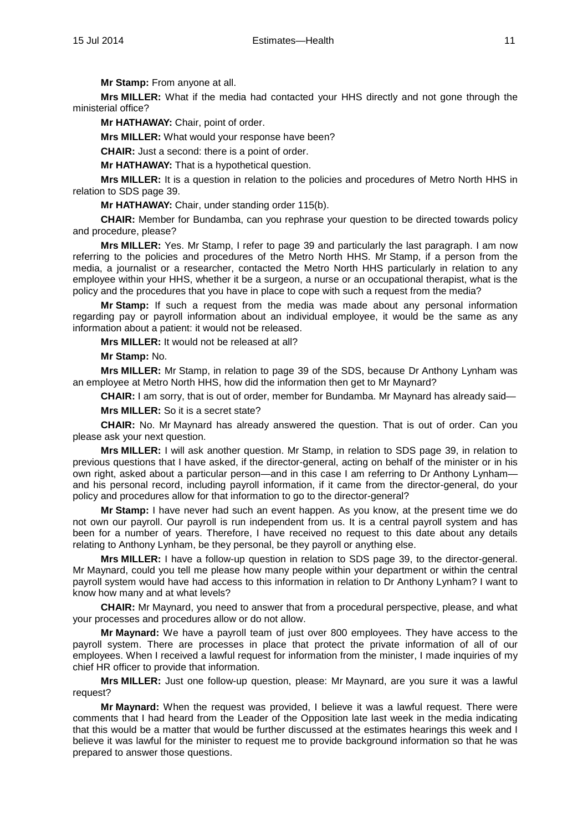**Mr Stamp:** From anyone at all.

**Mrs MILLER:** What if the media had contacted your HHS directly and not gone through the ministerial office?

**Mr HATHAWAY:** Chair, point of order.

**Mrs MILLER:** What would your response have been?

**CHAIR:** Just a second: there is a point of order.

**Mr HATHAWAY:** That is a hypothetical question.

**Mrs MILLER:** It is a question in relation to the policies and procedures of Metro North HHS in relation to SDS page 39.

**Mr HATHAWAY:** Chair, under standing order 115(b).

**CHAIR:** Member for Bundamba, can you rephrase your question to be directed towards policy and procedure, please?

**Mrs MILLER:** Yes. Mr Stamp, I refer to page 39 and particularly the last paragraph. I am now referring to the policies and procedures of the Metro North HHS. Mr Stamp, if a person from the media, a journalist or a researcher, contacted the Metro North HHS particularly in relation to any employee within your HHS, whether it be a surgeon, a nurse or an occupational therapist, what is the policy and the procedures that you have in place to cope with such a request from the media?

**Mr Stamp:** If such a request from the media was made about any personal information regarding pay or payroll information about an individual employee, it would be the same as any information about a patient: it would not be released.

**Mrs MILLER:** It would not be released at all?

#### **Mr Stamp:** No.

**Mrs MILLER:** Mr Stamp, in relation to page 39 of the SDS, because Dr Anthony Lynham was an employee at Metro North HHS, how did the information then get to Mr Maynard?

**CHAIR:** I am sorry, that is out of order, member for Bundamba. Mr Maynard has already said—

**Mrs MILLER:** So it is a secret state?

**CHAIR:** No. Mr Maynard has already answered the question. That is out of order. Can you please ask your next question.

**Mrs MILLER:** I will ask another question. Mr Stamp, in relation to SDS page 39, in relation to previous questions that I have asked, if the director-general, acting on behalf of the minister or in his own right, asked about a particular person—and in this case I am referring to Dr Anthony Lynham and his personal record, including payroll information, if it came from the director-general, do your policy and procedures allow for that information to go to the director-general?

**Mr Stamp:** I have never had such an event happen. As you know, at the present time we do not own our payroll. Our payroll is run independent from us. It is a central payroll system and has been for a number of years. Therefore, I have received no request to this date about any details relating to Anthony Lynham, be they personal, be they payroll or anything else.

**Mrs MILLER:** I have a follow-up question in relation to SDS page 39, to the director-general. Mr Maynard, could you tell me please how many people within your department or within the central payroll system would have had access to this information in relation to Dr Anthony Lynham? I want to know how many and at what levels?

**CHAIR:** Mr Maynard, you need to answer that from a procedural perspective, please, and what your processes and procedures allow or do not allow.

**Mr Maynard:** We have a payroll team of just over 800 employees. They have access to the payroll system. There are processes in place that protect the private information of all of our employees. When I received a lawful request for information from the minister, I made inquiries of my chief HR officer to provide that information.

**Mrs MILLER:** Just one follow-up question, please: Mr Maynard, are you sure it was a lawful request?

**Mr Maynard:** When the request was provided, I believe it was a lawful request. There were comments that I had heard from the Leader of the Opposition late last week in the media indicating that this would be a matter that would be further discussed at the estimates hearings this week and I believe it was lawful for the minister to request me to provide background information so that he was prepared to answer those questions.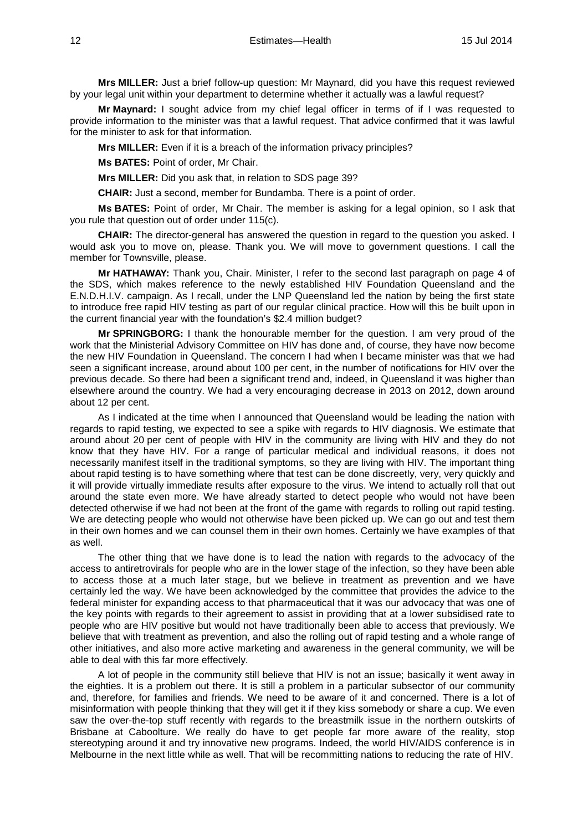**Mrs MILLER:** Just a brief follow-up question: Mr Maynard, did you have this request reviewed by your legal unit within your department to determine whether it actually was a lawful request?

**Mr Maynard:** I sought advice from my chief legal officer in terms of if I was requested to provide information to the minister was that a lawful request. That advice confirmed that it was lawful for the minister to ask for that information.

**Mrs MILLER:** Even if it is a breach of the information privacy principles?

**Ms BATES:** Point of order, Mr Chair.

**Mrs MILLER:** Did you ask that, in relation to SDS page 39?

**CHAIR:** Just a second, member for Bundamba. There is a point of order.

**Ms BATES:** Point of order, Mr Chair. The member is asking for a legal opinion, so I ask that you rule that question out of order under 115(c).

**CHAIR:** The director-general has answered the question in regard to the question you asked. I would ask you to move on, please. Thank you. We will move to government questions. I call the member for Townsville, please.

**Mr HATHAWAY:** Thank you, Chair. Minister, I refer to the second last paragraph on page 4 of the SDS, which makes reference to the newly established HIV Foundation Queensland and the E.N.D.H.I.V. campaign. As I recall, under the LNP Queensland led the nation by being the first state to introduce free rapid HIV testing as part of our regular clinical practice. How will this be built upon in the current financial year with the foundation's \$2.4 million budget?

**Mr SPRINGBORG:** I thank the honourable member for the question. I am very proud of the work that the Ministerial Advisory Committee on HIV has done and, of course, they have now become the new HIV Foundation in Queensland. The concern I had when I became minister was that we had seen a significant increase, around about 100 per cent, in the number of notifications for HIV over the previous decade. So there had been a significant trend and, indeed, in Queensland it was higher than elsewhere around the country. We had a very encouraging decrease in 2013 on 2012, down around about 12 per cent.

As I indicated at the time when I announced that Queensland would be leading the nation with regards to rapid testing, we expected to see a spike with regards to HIV diagnosis. We estimate that around about 20 per cent of people with HIV in the community are living with HIV and they do not know that they have HIV. For a range of particular medical and individual reasons, it does not necessarily manifest itself in the traditional symptoms, so they are living with HIV. The important thing about rapid testing is to have something where that test can be done discreetly, very, very quickly and it will provide virtually immediate results after exposure to the virus. We intend to actually roll that out around the state even more. We have already started to detect people who would not have been detected otherwise if we had not been at the front of the game with regards to rolling out rapid testing. We are detecting people who would not otherwise have been picked up. We can go out and test them in their own homes and we can counsel them in their own homes. Certainly we have examples of that as well.

The other thing that we have done is to lead the nation with regards to the advocacy of the access to antiretrovirals for people who are in the lower stage of the infection, so they have been able to access those at a much later stage, but we believe in treatment as prevention and we have certainly led the way. We have been acknowledged by the committee that provides the advice to the federal minister for expanding access to that pharmaceutical that it was our advocacy that was one of the key points with regards to their agreement to assist in providing that at a lower subsidised rate to people who are HIV positive but would not have traditionally been able to access that previously. We believe that with treatment as prevention, and also the rolling out of rapid testing and a whole range of other initiatives, and also more active marketing and awareness in the general community, we will be able to deal with this far more effectively.

A lot of people in the community still believe that HIV is not an issue; basically it went away in the eighties. It is a problem out there. It is still a problem in a particular subsector of our community and, therefore, for families and friends. We need to be aware of it and concerned. There is a lot of misinformation with people thinking that they will get it if they kiss somebody or share a cup. We even saw the over-the-top stuff recently with regards to the breastmilk issue in the northern outskirts of Brisbane at Caboolture. We really do have to get people far more aware of the reality, stop stereotyping around it and try innovative new programs. Indeed, the world HIV/AIDS conference is in Melbourne in the next little while as well. That will be recommitting nations to reducing the rate of HIV.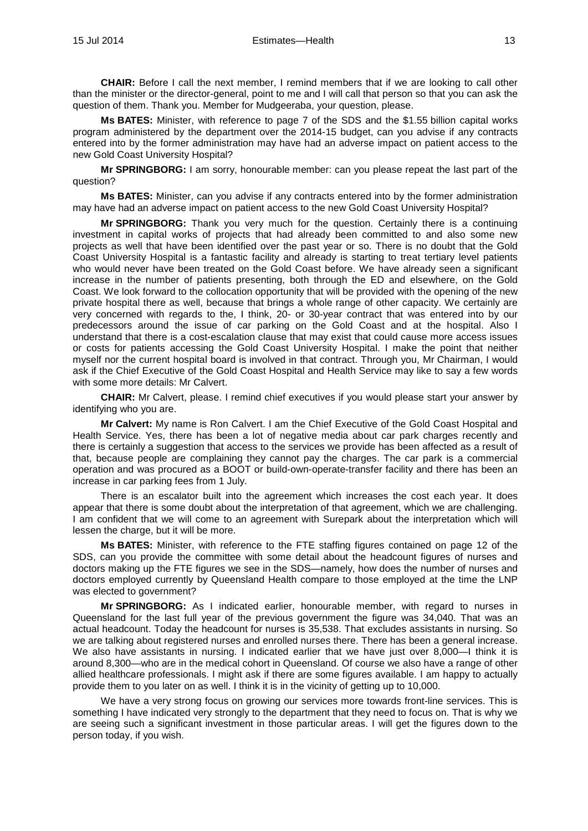**CHAIR:** Before I call the next member, I remind members that if we are looking to call other than the minister or the director-general, point to me and I will call that person so that you can ask the question of them. Thank you. Member for Mudgeeraba, your question, please.

**Ms BATES:** Minister, with reference to page 7 of the SDS and the \$1.55 billion capital works program administered by the department over the 2014-15 budget, can you advise if any contracts entered into by the former administration may have had an adverse impact on patient access to the new Gold Coast University Hospital?

**Mr SPRINGBORG:** I am sorry, honourable member: can you please repeat the last part of the question?

**Ms BATES:** Minister, can you advise if any contracts entered into by the former administration may have had an adverse impact on patient access to the new Gold Coast University Hospital?

**Mr SPRINGBORG:** Thank you very much for the question. Certainly there is a continuing investment in capital works of projects that had already been committed to and also some new projects as well that have been identified over the past year or so. There is no doubt that the Gold Coast University Hospital is a fantastic facility and already is starting to treat tertiary level patients who would never have been treated on the Gold Coast before. We have already seen a significant increase in the number of patients presenting, both through the ED and elsewhere, on the Gold Coast. We look forward to the collocation opportunity that will be provided with the opening of the new private hospital there as well, because that brings a whole range of other capacity. We certainly are very concerned with regards to the, I think, 20- or 30-year contract that was entered into by our predecessors around the issue of car parking on the Gold Coast and at the hospital. Also I understand that there is a cost-escalation clause that may exist that could cause more access issues or costs for patients accessing the Gold Coast University Hospital. I make the point that neither myself nor the current hospital board is involved in that contract. Through you, Mr Chairman, I would ask if the Chief Executive of the Gold Coast Hospital and Health Service may like to say a few words with some more details: Mr Calvert.

**CHAIR:** Mr Calvert, please. I remind chief executives if you would please start your answer by identifying who you are.

**Mr Calvert:** My name is Ron Calvert. I am the Chief Executive of the Gold Coast Hospital and Health Service. Yes, there has been a lot of negative media about car park charges recently and there is certainly a suggestion that access to the services we provide has been affected as a result of that, because people are complaining they cannot pay the charges. The car park is a commercial operation and was procured as a BOOT or build-own-operate-transfer facility and there has been an increase in car parking fees from 1 July.

There is an escalator built into the agreement which increases the cost each year. It does appear that there is some doubt about the interpretation of that agreement, which we are challenging. I am confident that we will come to an agreement with Surepark about the interpretation which will lessen the charge, but it will be more.

**Ms BATES:** Minister, with reference to the FTE staffing figures contained on page 12 of the SDS, can you provide the committee with some detail about the headcount figures of nurses and doctors making up the FTE figures we see in the SDS—namely, how does the number of nurses and doctors employed currently by Queensland Health compare to those employed at the time the LNP was elected to government?

**Mr SPRINGBORG:** As I indicated earlier, honourable member, with regard to nurses in Queensland for the last full year of the previous government the figure was 34,040. That was an actual headcount. Today the headcount for nurses is 35,538. That excludes assistants in nursing. So we are talking about registered nurses and enrolled nurses there. There has been a general increase. We also have assistants in nursing. I indicated earlier that we have just over 8,000—I think it is around 8,300—who are in the medical cohort in Queensland. Of course we also have a range of other allied healthcare professionals. I might ask if there are some figures available. I am happy to actually provide them to you later on as well. I think it is in the vicinity of getting up to 10,000.

We have a very strong focus on growing our services more towards front-line services. This is something I have indicated very strongly to the department that they need to focus on. That is why we are seeing such a significant investment in those particular areas. I will get the figures down to the person today, if you wish.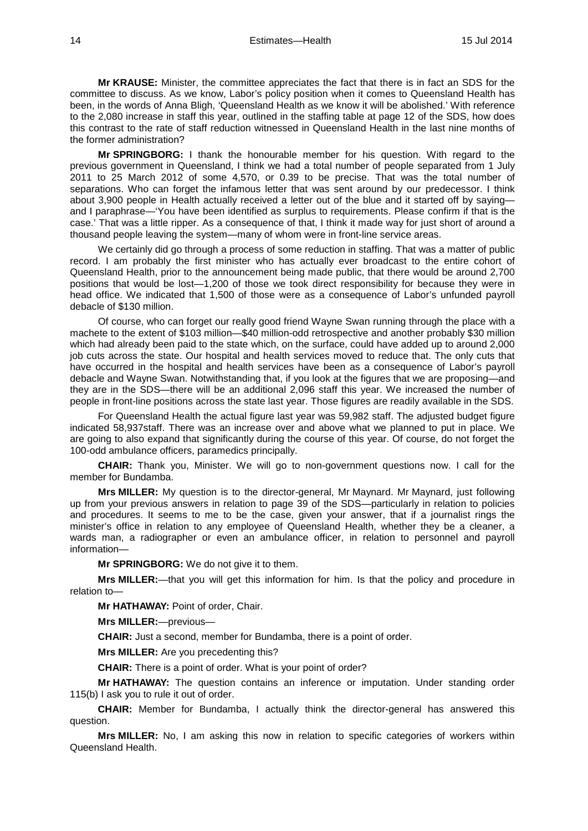**Mr KRAUSE:** Minister, the committee appreciates the fact that there is in fact an SDS for the committee to discuss. As we know, Labor's policy position when it comes to Queensland Health has been, in the words of Anna Bligh, 'Queensland Health as we know it will be abolished.' With reference to the 2,080 increase in staff this year, outlined in the staffing table at page 12 of the SDS, how does this contrast to the rate of staff reduction witnessed in Queensland Health in the last nine months of the former administration?

**Mr SPRINGBORG:** I thank the honourable member for his question. With regard to the previous government in Queensland, I think we had a total number of people separated from 1 July 2011 to 25 March 2012 of some 4,570, or 0.39 to be precise. That was the total number of separations. Who can forget the infamous letter that was sent around by our predecessor. I think about 3,900 people in Health actually received a letter out of the blue and it started off by saying and I paraphrase—'You have been identified as surplus to requirements. Please confirm if that is the case.' That was a little ripper. As a consequence of that, I think it made way for just short of around a thousand people leaving the system—many of whom were in front-line service areas.

We certainly did go through a process of some reduction in staffing. That was a matter of public record. I am probably the first minister who has actually ever broadcast to the entire cohort of Queensland Health, prior to the announcement being made public, that there would be around 2,700 positions that would be lost—1,200 of those we took direct responsibility for because they were in head office. We indicated that 1,500 of those were as a consequence of Labor's unfunded payroll debacle of \$130 million.

Of course, who can forget our really good friend Wayne Swan running through the place with a machete to the extent of \$103 million—\$40 million-odd retrospective and another probably \$30 million which had already been paid to the state which, on the surface, could have added up to around 2,000 job cuts across the state. Our hospital and health services moved to reduce that. The only cuts that have occurred in the hospital and health services have been as a consequence of Labor's payroll debacle and Wayne Swan. Notwithstanding that, if you look at the figures that we are proposing—and they are in the SDS—there will be an additional 2,096 staff this year. We increased the number of people in front-line positions across the state last year. Those figures are readily available in the SDS.

For Queensland Health the actual figure last year was 59,982 staff. The adjusted budget figure indicated 58,937staff. There was an increase over and above what we planned to put in place. We are going to also expand that significantly during the course of this year. Of course, do not forget the 100-odd ambulance officers, paramedics principally.

**CHAIR:** Thank you, Minister. We will go to non-government questions now. I call for the member for Bundamba.

**Mrs MILLER:** My question is to the director-general, Mr Maynard. Mr Maynard, just following up from your previous answers in relation to page 39 of the SDS—particularly in relation to policies and procedures. It seems to me to be the case, given your answer, that if a journalist rings the minister's office in relation to any employee of Queensland Health, whether they be a cleaner, a wards man, a radiographer or even an ambulance officer, in relation to personnel and payroll information—

**Mr SPRINGBORG:** We do not give it to them.

**Mrs MILLER:**—that you will get this information for him. Is that the policy and procedure in relation to—

**Mr HATHAWAY:** Point of order, Chair.

**Mrs MILLER:**—previous—

**CHAIR:** Just a second, member for Bundamba, there is a point of order.

**Mrs MILLER:** Are you precedenting this?

**CHAIR:** There is a point of order. What is your point of order?

**Mr HATHAWAY:** The question contains an inference or imputation. Under standing order 115(b) I ask you to rule it out of order.

**CHAIR:** Member for Bundamba, I actually think the director-general has answered this question.

**Mrs MILLER:** No, I am asking this now in relation to specific categories of workers within Queensland Health.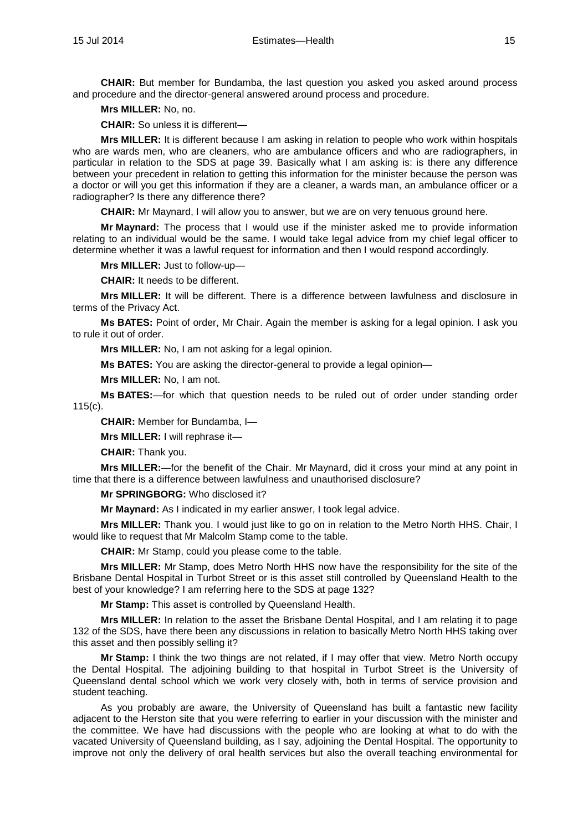**CHAIR:** But member for Bundamba, the last question you asked you asked around process and procedure and the director-general answered around process and procedure.

**Mrs MILLER:** No, no.

**CHAIR:** So unless it is different—

**Mrs MILLER:** It is different because I am asking in relation to people who work within hospitals who are wards men, who are cleaners, who are ambulance officers and who are radiographers, in particular in relation to the SDS at page 39. Basically what I am asking is: is there any difference between your precedent in relation to getting this information for the minister because the person was a doctor or will you get this information if they are a cleaner, a wards man, an ambulance officer or a radiographer? Is there any difference there?

**CHAIR:** Mr Maynard, I will allow you to answer, but we are on very tenuous ground here.

**Mr Maynard:** The process that I would use if the minister asked me to provide information relating to an individual would be the same. I would take legal advice from my chief legal officer to determine whether it was a lawful request for information and then I would respond accordingly.

**Mrs MILLER:** Just to follow-up—

**CHAIR:** It needs to be different.

**Mrs MILLER:** It will be different. There is a difference between lawfulness and disclosure in terms of the Privacy Act.

**Ms BATES:** Point of order, Mr Chair. Again the member is asking for a legal opinion. I ask you to rule it out of order.

**Mrs MILLER:** No, I am not asking for a legal opinion.

**Ms BATES:** You are asking the director-general to provide a legal opinion—

**Mrs MILLER:** No, I am not.

**Ms BATES:**—for which that question needs to be ruled out of order under standing order 115(c).

**CHAIR:** Member for Bundamba, I—

**Mrs MILLER:** I will rephrase it—

**CHAIR:** Thank you.

**Mrs MILLER:**—for the benefit of the Chair. Mr Maynard, did it cross your mind at any point in time that there is a difference between lawfulness and unauthorised disclosure?

**Mr SPRINGBORG:** Who disclosed it?

**Mr Maynard:** As I indicated in my earlier answer, I took legal advice.

**Mrs MILLER:** Thank you. I would just like to go on in relation to the Metro North HHS. Chair, I would like to request that Mr Malcolm Stamp come to the table.

**CHAIR:** Mr Stamp, could you please come to the table.

**Mrs MILLER:** Mr Stamp, does Metro North HHS now have the responsibility for the site of the Brisbane Dental Hospital in Turbot Street or is this asset still controlled by Queensland Health to the best of your knowledge? I am referring here to the SDS at page 132?

**Mr Stamp:** This asset is controlled by Queensland Health.

**Mrs MILLER:** In relation to the asset the Brisbane Dental Hospital, and I am relating it to page 132 of the SDS, have there been any discussions in relation to basically Metro North HHS taking over this asset and then possibly selling it?

**Mr Stamp:** I think the two things are not related, if I may offer that view. Metro North occupy the Dental Hospital. The adjoining building to that hospital in Turbot Street is the University of Queensland dental school which we work very closely with, both in terms of service provision and student teaching.

As you probably are aware, the University of Queensland has built a fantastic new facility adjacent to the Herston site that you were referring to earlier in your discussion with the minister and the committee. We have had discussions with the people who are looking at what to do with the vacated University of Queensland building, as I say, adjoining the Dental Hospital. The opportunity to improve not only the delivery of oral health services but also the overall teaching environmental for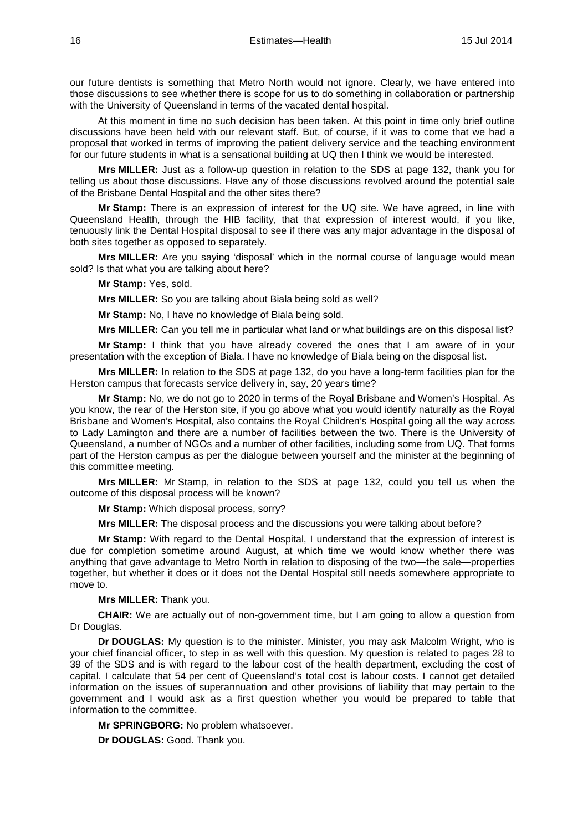our future dentists is something that Metro North would not ignore. Clearly, we have entered into those discussions to see whether there is scope for us to do something in collaboration or partnership with the University of Queensland in terms of the vacated dental hospital.

At this moment in time no such decision has been taken. At this point in time only brief outline discussions have been held with our relevant staff. But, of course, if it was to come that we had a proposal that worked in terms of improving the patient delivery service and the teaching environment for our future students in what is a sensational building at UQ then I think we would be interested.

**Mrs MILLER:** Just as a follow-up question in relation to the SDS at page 132, thank you for telling us about those discussions. Have any of those discussions revolved around the potential sale of the Brisbane Dental Hospital and the other sites there?

**Mr Stamp:** There is an expression of interest for the UQ site. We have agreed, in line with Queensland Health, through the HIB facility, that that expression of interest would, if you like, tenuously link the Dental Hospital disposal to see if there was any major advantage in the disposal of both sites together as opposed to separately.

**Mrs MILLER:** Are you saying 'disposal' which in the normal course of language would mean sold? Is that what you are talking about here?

**Mr Stamp:** Yes, sold.

**Mrs MILLER:** So you are talking about Biala being sold as well?

**Mr Stamp:** No, I have no knowledge of Biala being sold.

**Mrs MILLER:** Can you tell me in particular what land or what buildings are on this disposal list?

**Mr Stamp:** I think that you have already covered the ones that I am aware of in your presentation with the exception of Biala. I have no knowledge of Biala being on the disposal list.

**Mrs MILLER:** In relation to the SDS at page 132, do you have a long-term facilities plan for the Herston campus that forecasts service delivery in, say, 20 years time?

**Mr Stamp:** No, we do not go to 2020 in terms of the Royal Brisbane and Women's Hospital. As you know, the rear of the Herston site, if you go above what you would identify naturally as the Royal Brisbane and Women's Hospital, also contains the Royal Children's Hospital going all the way across to Lady Lamington and there are a number of facilities between the two. There is the University of Queensland, a number of NGOs and a number of other facilities, including some from UQ. That forms part of the Herston campus as per the dialogue between yourself and the minister at the beginning of this committee meeting.

**Mrs MILLER:** Mr Stamp, in relation to the SDS at page 132, could you tell us when the outcome of this disposal process will be known?

**Mr Stamp:** Which disposal process, sorry?

**Mrs MILLER:** The disposal process and the discussions you were talking about before?

**Mr Stamp:** With regard to the Dental Hospital, I understand that the expression of interest is due for completion sometime around August, at which time we would know whether there was anything that gave advantage to Metro North in relation to disposing of the two—the sale—properties together, but whether it does or it does not the Dental Hospital still needs somewhere appropriate to move to.

**Mrs MILLER:** Thank you.

**CHAIR:** We are actually out of non-government time, but I am going to allow a question from Dr Douglas.

**Dr DOUGLAS:** My question is to the minister. Minister, you may ask Malcolm Wright, who is your chief financial officer, to step in as well with this question. My question is related to pages 28 to 39 of the SDS and is with regard to the labour cost of the health department, excluding the cost of capital. I calculate that 54 per cent of Queensland's total cost is labour costs. I cannot get detailed information on the issues of superannuation and other provisions of liability that may pertain to the government and I would ask as a first question whether you would be prepared to table that information to the committee.

**Mr SPRINGBORG:** No problem whatsoever.

**Dr DOUGLAS:** Good. Thank you.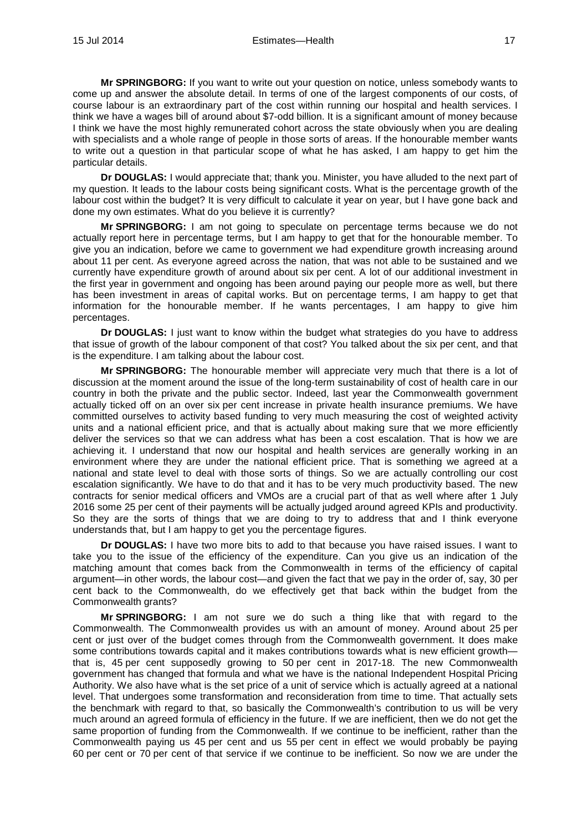**Mr SPRINGBORG:** If you want to write out your question on notice, unless somebody wants to come up and answer the absolute detail. In terms of one of the largest components of our costs, of course labour is an extraordinary part of the cost within running our hospital and health services. I think we have a wages bill of around about \$7-odd billion. It is a significant amount of money because I think we have the most highly remunerated cohort across the state obviously when you are dealing with specialists and a whole range of people in those sorts of areas. If the honourable member wants to write out a question in that particular scope of what he has asked, I am happy to get him the particular details.

**Dr DOUGLAS:** I would appreciate that; thank you. Minister, you have alluded to the next part of my question. It leads to the labour costs being significant costs. What is the percentage growth of the labour cost within the budget? It is very difficult to calculate it year on year, but I have gone back and done my own estimates. What do you believe it is currently?

**Mr SPRINGBORG:** I am not going to speculate on percentage terms because we do not actually report here in percentage terms, but I am happy to get that for the honourable member. To give you an indication, before we came to government we had expenditure growth increasing around about 11 per cent. As everyone agreed across the nation, that was not able to be sustained and we currently have expenditure growth of around about six per cent. A lot of our additional investment in the first year in government and ongoing has been around paying our people more as well, but there has been investment in areas of capital works. But on percentage terms, I am happy to get that information for the honourable member. If he wants percentages, I am happy to give him percentages.

**Dr DOUGLAS:** I just want to know within the budget what strategies do you have to address that issue of growth of the labour component of that cost? You talked about the six per cent, and that is the expenditure. I am talking about the labour cost.

**Mr SPRINGBORG:** The honourable member will appreciate very much that there is a lot of discussion at the moment around the issue of the long-term sustainability of cost of health care in our country in both the private and the public sector. Indeed, last year the Commonwealth government actually ticked off on an over six per cent increase in private health insurance premiums. We have committed ourselves to activity based funding to very much measuring the cost of weighted activity units and a national efficient price, and that is actually about making sure that we more efficiently deliver the services so that we can address what has been a cost escalation. That is how we are achieving it. I understand that now our hospital and health services are generally working in an environment where they are under the national efficient price. That is something we agreed at a national and state level to deal with those sorts of things. So we are actually controlling our cost escalation significantly. We have to do that and it has to be very much productivity based. The new contracts for senior medical officers and VMOs are a crucial part of that as well where after 1 July 2016 some 25 per cent of their payments will be actually judged around agreed KPIs and productivity. So they are the sorts of things that we are doing to try to address that and I think everyone understands that, but I am happy to get you the percentage figures.

**Dr DOUGLAS:** I have two more bits to add to that because you have raised issues. I want to take you to the issue of the efficiency of the expenditure. Can you give us an indication of the matching amount that comes back from the Commonwealth in terms of the efficiency of capital argument—in other words, the labour cost—and given the fact that we pay in the order of, say, 30 per cent back to the Commonwealth, do we effectively get that back within the budget from the Commonwealth grants?

**Mr SPRINGBORG:** I am not sure we do such a thing like that with regard to the Commonwealth. The Commonwealth provides us with an amount of money. Around about 25 per cent or just over of the budget comes through from the Commonwealth government. It does make some contributions towards capital and it makes contributions towards what is new efficient growth that is, 45 per cent supposedly growing to 50 per cent in 2017-18. The new Commonwealth government has changed that formula and what we have is the national Independent Hospital Pricing Authority. We also have what is the set price of a unit of service which is actually agreed at a national level. That undergoes some transformation and reconsideration from time to time. That actually sets the benchmark with regard to that, so basically the Commonwealth's contribution to us will be very much around an agreed formula of efficiency in the future. If we are inefficient, then we do not get the same proportion of funding from the Commonwealth. If we continue to be inefficient, rather than the Commonwealth paying us 45 per cent and us 55 per cent in effect we would probably be paying 60 per cent or 70 per cent of that service if we continue to be inefficient. So now we are under the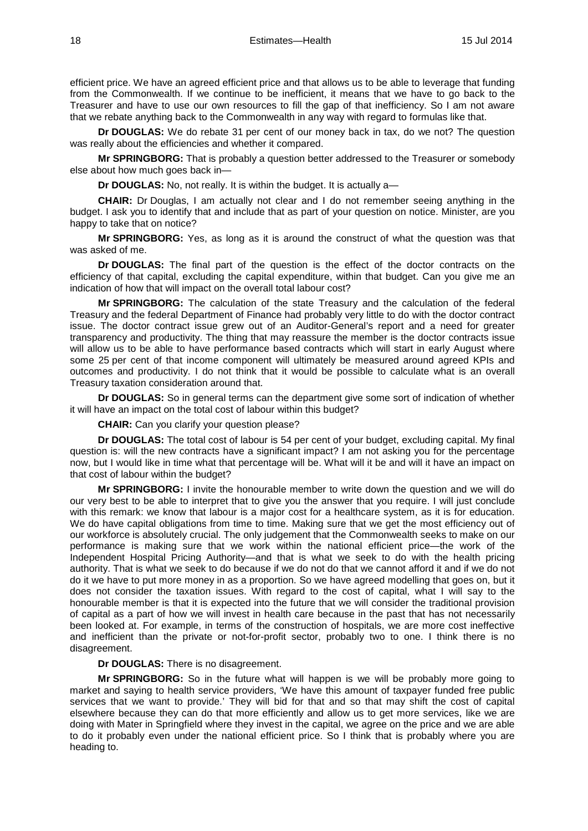efficient price. We have an agreed efficient price and that allows us to be able to leverage that funding from the Commonwealth. If we continue to be inefficient, it means that we have to go back to the Treasurer and have to use our own resources to fill the gap of that inefficiency. So I am not aware that we rebate anything back to the Commonwealth in any way with regard to formulas like that.

**Dr DOUGLAS:** We do rebate 31 per cent of our money back in tax, do we not? The question was really about the efficiencies and whether it compared.

**Mr SPRINGBORG:** That is probably a question better addressed to the Treasurer or somebody else about how much goes back in—

**Dr DOUGLAS:** No, not really. It is within the budget. It is actually a—

**CHAIR:** Dr Douglas, I am actually not clear and I do not remember seeing anything in the budget. I ask you to identify that and include that as part of your question on notice. Minister, are you happy to take that on notice?

**Mr SPRINGBORG:** Yes, as long as it is around the construct of what the question was that was asked of me.

**Dr DOUGLAS:** The final part of the question is the effect of the doctor contracts on the efficiency of that capital, excluding the capital expenditure, within that budget. Can you give me an indication of how that will impact on the overall total labour cost?

**Mr SPRINGBORG:** The calculation of the state Treasury and the calculation of the federal Treasury and the federal Department of Finance had probably very little to do with the doctor contract issue. The doctor contract issue grew out of an Auditor-General's report and a need for greater transparency and productivity. The thing that may reassure the member is the doctor contracts issue will allow us to be able to have performance based contracts which will start in early August where some 25 per cent of that income component will ultimately be measured around agreed KPIs and outcomes and productivity. I do not think that it would be possible to calculate what is an overall Treasury taxation consideration around that.

**Dr DOUGLAS:** So in general terms can the department give some sort of indication of whether it will have an impact on the total cost of labour within this budget?

**CHAIR:** Can you clarify your question please?

**Dr DOUGLAS:** The total cost of labour is 54 per cent of your budget, excluding capital. My final question is: will the new contracts have a significant impact? I am not asking you for the percentage now, but I would like in time what that percentage will be. What will it be and will it have an impact on that cost of labour within the budget?

**Mr SPRINGBORG:** I invite the honourable member to write down the question and we will do our very best to be able to interpret that to give you the answer that you require. I will just conclude with this remark: we know that labour is a major cost for a healthcare system, as it is for education. We do have capital obligations from time to time. Making sure that we get the most efficiency out of our workforce is absolutely crucial. The only judgement that the Commonwealth seeks to make on our performance is making sure that we work within the national efficient price—the work of the Independent Hospital Pricing Authority—and that is what we seek to do with the health pricing authority. That is what we seek to do because if we do not do that we cannot afford it and if we do not do it we have to put more money in as a proportion. So we have agreed modelling that goes on, but it does not consider the taxation issues. With regard to the cost of capital, what I will say to the honourable member is that it is expected into the future that we will consider the traditional provision of capital as a part of how we will invest in health care because in the past that has not necessarily been looked at. For example, in terms of the construction of hospitals, we are more cost ineffective and inefficient than the private or not-for-profit sector, probably two to one. I think there is no disagreement.

**Dr DOUGLAS:** There is no disagreement.

**Mr SPRINGBORG:** So in the future what will happen is we will be probably more going to market and saying to health service providers, 'We have this amount of taxpayer funded free public services that we want to provide.' They will bid for that and so that may shift the cost of capital elsewhere because they can do that more efficiently and allow us to get more services, like we are doing with Mater in Springfield where they invest in the capital, we agree on the price and we are able to do it probably even under the national efficient price. So I think that is probably where you are heading to.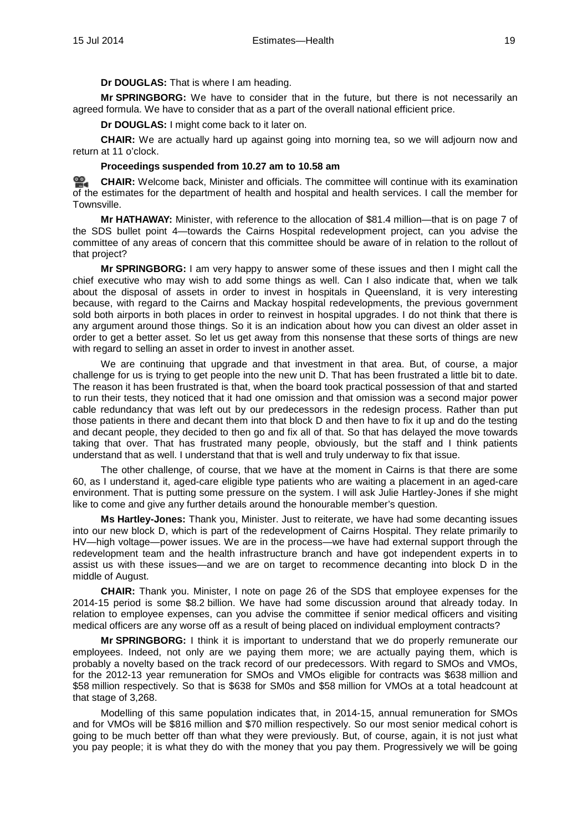**Dr DOUGLAS:** That is where I am heading.

**Mr SPRINGBORG:** We have to consider that in the future, but there is not necessarily an agreed formula. We have to consider that as a part of the overall national efficient price.

**Dr DOUGLAS:** I might come back to it later on.

**CHAIR:** We are actually hard up against going into morning tea, so we will adjourn now and return at 11 o'clock.

## **Proceedings suspended from 10.27 am to 10.58 am**

<u>രാ</u> **[CHAIR:](http://www.parliament.qld.gov.au/docs/find.aspx?id=0MbaHCSC20140715_105950)** Welcome back, Minister and officials. The committee will continue with its examination of the estimates for the department of health and hospital and health services. I call the member for Townsville.

**Mr HATHAWAY:** Minister, with reference to the allocation of \$81.4 million—that is on page 7 of the SDS bullet point 4—towards the Cairns Hospital redevelopment project, can you advise the committee of any areas of concern that this committee should be aware of in relation to the rollout of that project?

**Mr SPRINGBORG:** I am very happy to answer some of these issues and then I might call the chief executive who may wish to add some things as well. Can I also indicate that, when we talk about the disposal of assets in order to invest in hospitals in Queensland, it is very interesting because, with regard to the Cairns and Mackay hospital redevelopments, the previous government sold both airports in both places in order to reinvest in hospital upgrades. I do not think that there is any argument around those things. So it is an indication about how you can divest an older asset in order to get a better asset. So let us get away from this nonsense that these sorts of things are new with regard to selling an asset in order to invest in another asset.

We are continuing that upgrade and that investment in that area. But, of course, a major challenge for us is trying to get people into the new unit D. That has been frustrated a little bit to date. The reason it has been frustrated is that, when the board took practical possession of that and started to run their tests, they noticed that it had one omission and that omission was a second major power cable redundancy that was left out by our predecessors in the redesign process. Rather than put those patients in there and decant them into that block D and then have to fix it up and do the testing and decant people, they decided to then go and fix all of that. So that has delayed the move towards taking that over. That has frustrated many people, obviously, but the staff and I think patients understand that as well. I understand that that is well and truly underway to fix that issue.

The other challenge, of course, that we have at the moment in Cairns is that there are some 60, as I understand it, aged-care eligible type patients who are waiting a placement in an aged-care environment. That is putting some pressure on the system. I will ask Julie Hartley-Jones if she might like to come and give any further details around the honourable member's question.

**Ms Hartley-Jones:** Thank you, Minister. Just to reiterate, we have had some decanting issues into our new block D, which is part of the redevelopment of Cairns Hospital. They relate primarily to HV—high voltage—power issues. We are in the process—we have had external support through the redevelopment team and the health infrastructure branch and have got independent experts in to assist us with these issues—and we are on target to recommence decanting into block D in the middle of August.

**CHAIR:** Thank you. Minister, I note on page 26 of the SDS that employee expenses for the 2014-15 period is some \$8.2 billion. We have had some discussion around that already today. In relation to employee expenses, can you advise the committee if senior medical officers and visiting medical officers are any worse off as a result of being placed on individual employment contracts?

**Mr SPRINGBORG:** I think it is important to understand that we do properly remunerate our employees. Indeed, not only are we paying them more; we are actually paying them, which is probably a novelty based on the track record of our predecessors. With regard to SMOs and VMOs, for the 2012-13 year remuneration for SMOs and VMOs eligible for contracts was \$638 million and \$58 million respectively. So that is \$638 for SM0s and \$58 million for VMOs at a total headcount at that stage of 3,268.

Modelling of this same population indicates that, in 2014-15, annual remuneration for SMOs and for VMOs will be \$816 million and \$70 million respectively. So our most senior medical cohort is going to be much better off than what they were previously. But, of course, again, it is not just what you pay people; it is what they do with the money that you pay them. Progressively we will be going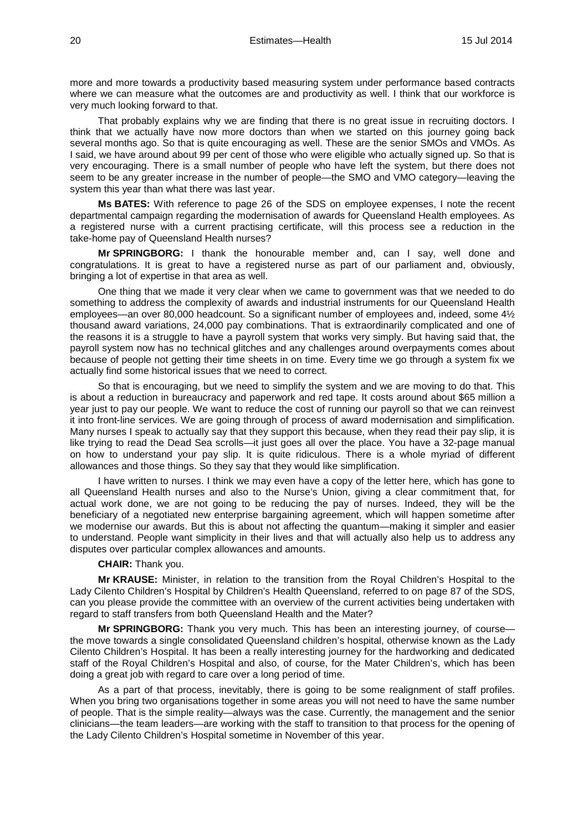more and more towards a productivity based measuring system under performance based contracts where we can measure what the outcomes are and productivity as well. I think that our workforce is very much looking forward to that.

That probably explains why we are finding that there is no great issue in recruiting doctors. I think that we actually have now more doctors than when we started on this journey going back several months ago. So that is quite encouraging as well. These are the senior SMOs and VMOs. As I said, we have around about 99 per cent of those who were eligible who actually signed up. So that is very encouraging. There is a small number of people who have left the system, but there does not seem to be any greater increase in the number of people—the SMO and VMO category—leaving the system this year than what there was last year.

**Ms BATES:** With reference to page 26 of the SDS on employee expenses, I note the recent departmental campaign regarding the modernisation of awards for Queensland Health employees. As a registered nurse with a current practising certificate, will this process see a reduction in the take-home pay of Queensland Health nurses?

**Mr SPRINGBORG:** I thank the honourable member and, can I say, well done and congratulations. It is great to have a registered nurse as part of our parliament and, obviously, bringing a lot of expertise in that area as well.

One thing that we made it very clear when we came to government was that we needed to do something to address the complexity of awards and industrial instruments for our Queensland Health employees—an over 80,000 headcount. So a significant number of employees and, indeed, some 4½ thousand award variations, 24,000 pay combinations. That is extraordinarily complicated and one of the reasons it is a struggle to have a payroll system that works very simply. But having said that, the payroll system now has no technical glitches and any challenges around overpayments comes about because of people not getting their time sheets in on time. Every time we go through a system fix we actually find some historical issues that we need to correct.

So that is encouraging, but we need to simplify the system and we are moving to do that. This is about a reduction in bureaucracy and paperwork and red tape. It costs around about \$65 million a year just to pay our people. We want to reduce the cost of running our payroll so that we can reinvest it into front-line services. We are going through of process of award modernisation and simplification. Many nurses I speak to actually say that they support this because, when they read their pay slip, it is like trying to read the Dead Sea scrolls—it just goes all over the place. You have a 32-page manual on how to understand your pay slip. It is quite ridiculous. There is a whole myriad of different allowances and those things. So they say that they would like simplification.

I have written to nurses. I think we may even have a copy of the letter here, which has gone to all Queensland Health nurses and also to the Nurse's Union, giving a clear commitment that, for actual work done, we are not going to be reducing the pay of nurses. Indeed, they will be the beneficiary of a negotiated new enterprise bargaining agreement, which will happen sometime after we modernise our awards. But this is about not affecting the quantum—making it simpler and easier to understand. People want simplicity in their lives and that will actually also help us to address any disputes over particular complex allowances and amounts.

#### **CHAIR:** Thank you.

**Mr KRAUSE:** Minister, in relation to the transition from the Royal Children's Hospital to the Lady Cilento Children's Hospital by Children's Health Queensland, referred to on page 87 of the SDS, can you please provide the committee with an overview of the current activities being undertaken with regard to staff transfers from both Queensland Health and the Mater?

**Mr SPRINGBORG:** Thank you very much. This has been an interesting journey, of course the move towards a single consolidated Queensland children's hospital, otherwise known as the Lady Cilento Children's Hospital. It has been a really interesting journey for the hardworking and dedicated staff of the Royal Children's Hospital and also, of course, for the Mater Children's, which has been doing a great job with regard to care over a long period of time.

As a part of that process, inevitably, there is going to be some realignment of staff profiles. When you bring two organisations together in some areas you will not need to have the same number of people. That is the simple reality—always was the case. Currently, the management and the senior clinicians—the team leaders—are working with the staff to transition to that process for the opening of the Lady Cilento Children's Hospital sometime in November of this year.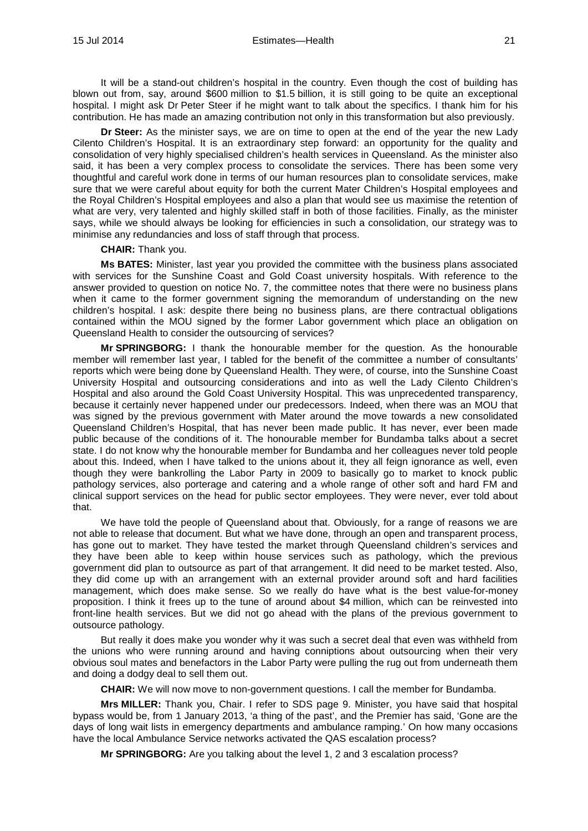It will be a stand-out children's hospital in the country. Even though the cost of building has blown out from, say, around \$600 million to \$1.5 billion, it is still going to be quite an exceptional hospital. I might ask Dr Peter Steer if he might want to talk about the specifics. I thank him for his contribution. He has made an amazing contribution not only in this transformation but also previously.

**Dr Steer:** As the minister says, we are on time to open at the end of the year the new Lady Cilento Children's Hospital. It is an extraordinary step forward: an opportunity for the quality and consolidation of very highly specialised children's health services in Queensland. As the minister also said, it has been a very complex process to consolidate the services. There has been some very thoughtful and careful work done in terms of our human resources plan to consolidate services, make sure that we were careful about equity for both the current Mater Children's Hospital employees and the Royal Children's Hospital employees and also a plan that would see us maximise the retention of what are very, very talented and highly skilled staff in both of those facilities. Finally, as the minister says, while we should always be looking for efficiencies in such a consolidation, our strategy was to minimise any redundancies and loss of staff through that process.

#### **CHAIR:** Thank you.

**Ms BATES:** Minister, last year you provided the committee with the business plans associated with services for the Sunshine Coast and Gold Coast university hospitals. With reference to the answer provided to question on notice No. 7, the committee notes that there were no business plans when it came to the former government signing the memorandum of understanding on the new children's hospital. I ask: despite there being no business plans, are there contractual obligations contained within the MOU signed by the former Labor government which place an obligation on Queensland Health to consider the outsourcing of services?

**Mr SPRINGBORG:** I thank the honourable member for the question. As the honourable member will remember last year, I tabled for the benefit of the committee a number of consultants' reports which were being done by Queensland Health. They were, of course, into the Sunshine Coast University Hospital and outsourcing considerations and into as well the Lady Cilento Children's Hospital and also around the Gold Coast University Hospital. This was unprecedented transparency, because it certainly never happened under our predecessors. Indeed, when there was an MOU that was signed by the previous government with Mater around the move towards a new consolidated Queensland Children's Hospital, that has never been made public. It has never, ever been made public because of the conditions of it. The honourable member for Bundamba talks about a secret state. I do not know why the honourable member for Bundamba and her colleagues never told people about this. Indeed, when I have talked to the unions about it, they all feign ignorance as well, even though they were bankrolling the Labor Party in 2009 to basically go to market to knock public pathology services, also porterage and catering and a whole range of other soft and hard FM and clinical support services on the head for public sector employees. They were never, ever told about that.

We have told the people of Queensland about that. Obviously, for a range of reasons we are not able to release that document. But what we have done, through an open and transparent process, has gone out to market. They have tested the market through Queensland children's services and they have been able to keep within house services such as pathology, which the previous government did plan to outsource as part of that arrangement. It did need to be market tested. Also, they did come up with an arrangement with an external provider around soft and hard facilities management, which does make sense. So we really do have what is the best value-for-money proposition. I think it frees up to the tune of around about \$4 million, which can be reinvested into front-line health services. But we did not go ahead with the plans of the previous government to outsource pathology.

But really it does make you wonder why it was such a secret deal that even was withheld from the unions who were running around and having conniptions about outsourcing when their very obvious soul mates and benefactors in the Labor Party were pulling the rug out from underneath them and doing a dodgy deal to sell them out.

**CHAIR:** We will now move to non-government questions. I call the member for Bundamba.

**Mrs MILLER:** Thank you, Chair. I refer to SDS page 9. Minister, you have said that hospital bypass would be, from 1 January 2013, 'a thing of the past', and the Premier has said, 'Gone are the days of long wait lists in emergency departments and ambulance ramping.' On how many occasions have the local Ambulance Service networks activated the QAS escalation process?

**Mr SPRINGBORG:** Are you talking about the level 1, 2 and 3 escalation process?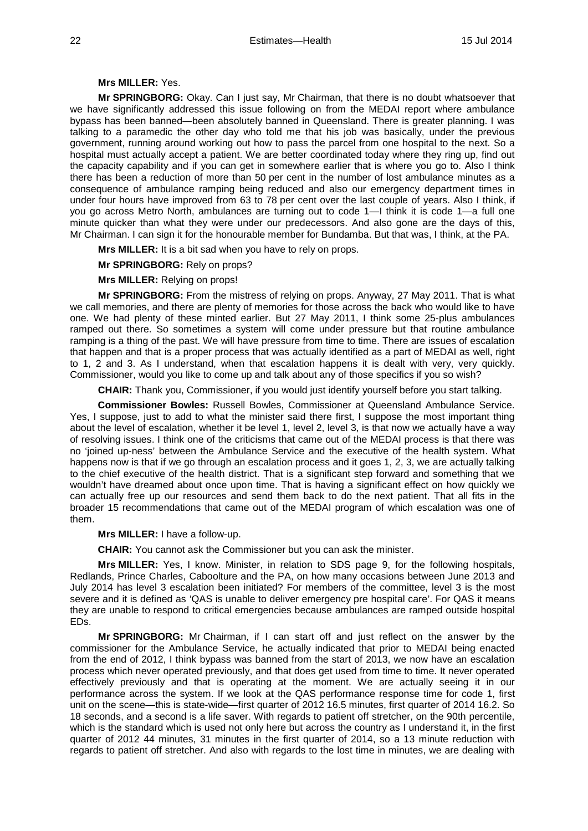# **Mrs MILLER:** Yes.

**Mr SPRINGBORG:** Okay. Can I just say, Mr Chairman, that there is no doubt whatsoever that we have significantly addressed this issue following on from the MEDAI report where ambulance bypass has been banned—been absolutely banned in Queensland. There is greater planning. I was talking to a paramedic the other day who told me that his job was basically, under the previous government, running around working out how to pass the parcel from one hospital to the next. So a hospital must actually accept a patient. We are better coordinated today where they ring up, find out the capacity capability and if you can get in somewhere earlier that is where you go to. Also I think there has been a reduction of more than 50 per cent in the number of lost ambulance minutes as a consequence of ambulance ramping being reduced and also our emergency department times in under four hours have improved from 63 to 78 per cent over the last couple of years. Also I think, if you go across Metro North, ambulances are turning out to code 1—I think it is code 1—a full one minute quicker than what they were under our predecessors. And also gone are the days of this, Mr Chairman. I can sign it for the honourable member for Bundamba. But that was, I think, at the PA.

**Mrs MILLER:** It is a bit sad when you have to rely on props.

**Mr SPRINGBORG:** Rely on props?

**Mrs MILLER:** Relying on props!

**Mr SPRINGBORG:** From the mistress of relying on props. Anyway, 27 May 2011. That is what we call memories, and there are plenty of memories for those across the back who would like to have one. We had plenty of these minted earlier. But 27 May 2011, I think some 25-plus ambulances ramped out there. So sometimes a system will come under pressure but that routine ambulance ramping is a thing of the past. We will have pressure from time to time. There are issues of escalation that happen and that is a proper process that was actually identified as a part of MEDAI as well, right to 1, 2 and 3. As I understand, when that escalation happens it is dealt with very, very quickly. Commissioner, would you like to come up and talk about any of those specifics if you so wish?

**CHAIR:** Thank you, Commissioner, if you would just identify yourself before you start talking.

**Commissioner Bowles:** Russell Bowles, Commissioner at Queensland Ambulance Service. Yes, I suppose, just to add to what the minister said there first, I suppose the most important thing about the level of escalation, whether it be level 1, level 2, level 3, is that now we actually have a way of resolving issues. I think one of the criticisms that came out of the MEDAI process is that there was no 'joined up-ness' between the Ambulance Service and the executive of the health system. What happens now is that if we go through an escalation process and it goes 1, 2, 3, we are actually talking to the chief executive of the health district. That is a significant step forward and something that we wouldn't have dreamed about once upon time. That is having a significant effect on how quickly we can actually free up our resources and send them back to do the next patient. That all fits in the broader 15 recommendations that came out of the MEDAI program of which escalation was one of them.

**Mrs MILLER:** I have a follow-up.

**CHAIR:** You cannot ask the Commissioner but you can ask the minister.

**Mrs MILLER:** Yes, I know. Minister, in relation to SDS page 9, for the following hospitals, Redlands, Prince Charles, Caboolture and the PA, on how many occasions between June 2013 and July 2014 has level 3 escalation been initiated? For members of the committee, level 3 is the most severe and it is defined as 'QAS is unable to deliver emergency pre hospital care'. For QAS it means they are unable to respond to critical emergencies because ambulances are ramped outside hospital EDs.

**Mr SPRINGBORG:** Mr Chairman, if I can start off and just reflect on the answer by the commissioner for the Ambulance Service, he actually indicated that prior to MEDAI being enacted from the end of 2012, I think bypass was banned from the start of 2013, we now have an escalation process which never operated previously, and that does get used from time to time. It never operated effectively previously and that is operating at the moment. We are actually seeing it in our performance across the system. If we look at the QAS performance response time for code 1, first unit on the scene—this is state-wide—first quarter of 2012 16.5 minutes, first quarter of 2014 16.2. So 18 seconds, and a second is a life saver. With regards to patient off stretcher, on the 90th percentile, which is the standard which is used not only here but across the country as I understand it, in the first quarter of 2012 44 minutes, 31 minutes in the first quarter of 2014, so a 13 minute reduction with regards to patient off stretcher. And also with regards to the lost time in minutes, we are dealing with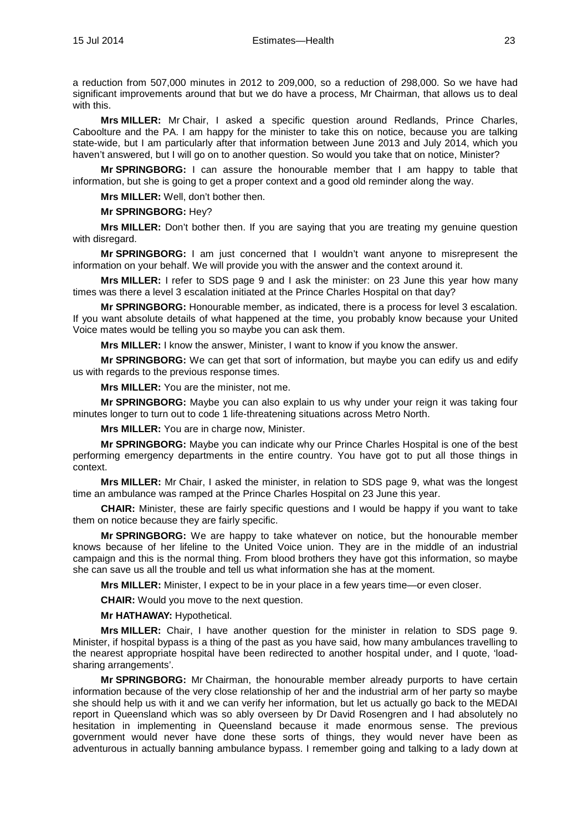a reduction from 507,000 minutes in 2012 to 209,000, so a reduction of 298,000. So we have had significant improvements around that but we do have a process, Mr Chairman, that allows us to deal with this.

**Mrs MILLER:** Mr Chair, I asked a specific question around Redlands, Prince Charles, Caboolture and the PA. I am happy for the minister to take this on notice, because you are talking state-wide, but I am particularly after that information between June 2013 and July 2014, which you haven't answered, but I will go on to another question. So would you take that on notice, Minister?

**Mr SPRINGBORG:** I can assure the honourable member that I am happy to table that information, but she is going to get a proper context and a good old reminder along the way.

**Mrs MILLER:** Well, don't bother then.

#### **Mr SPRINGBORG:** Hey?

**Mrs MILLER:** Don't bother then. If you are saying that you are treating my genuine question with disregard.

**Mr SPRINGBORG:** I am just concerned that I wouldn't want anyone to misrepresent the information on your behalf. We will provide you with the answer and the context around it.

**Mrs MILLER:** I refer to SDS page 9 and I ask the minister: on 23 June this year how many times was there a level 3 escalation initiated at the Prince Charles Hospital on that day?

**Mr SPRINGBORG:** Honourable member, as indicated, there is a process for level 3 escalation. If you want absolute details of what happened at the time, you probably know because your United Voice mates would be telling you so maybe you can ask them.

**Mrs MILLER:** I know the answer, Minister, I want to know if you know the answer.

**Mr SPRINGBORG:** We can get that sort of information, but maybe you can edify us and edify us with regards to the previous response times.

**Mrs MILLER:** You are the minister, not me.

**Mr SPRINGBORG:** Maybe you can also explain to us why under your reign it was taking four minutes longer to turn out to code 1 life-threatening situations across Metro North.

**Mrs MILLER:** You are in charge now, Minister.

**Mr SPRINGBORG:** Maybe you can indicate why our Prince Charles Hospital is one of the best performing emergency departments in the entire country. You have got to put all those things in context.

**Mrs MILLER:** Mr Chair, I asked the minister, in relation to SDS page 9, what was the longest time an ambulance was ramped at the Prince Charles Hospital on 23 June this year.

**CHAIR:** Minister, these are fairly specific questions and I would be happy if you want to take them on notice because they are fairly specific.

**Mr SPRINGBORG:** We are happy to take whatever on notice, but the honourable member knows because of her lifeline to the United Voice union. They are in the middle of an industrial campaign and this is the normal thing. From blood brothers they have got this information, so maybe she can save us all the trouble and tell us what information she has at the moment.

**Mrs MILLER:** Minister, I expect to be in your place in a few years time—or even closer.

**CHAIR:** Would you move to the next question.

**Mr HATHAWAY:** Hypothetical.

**Mrs MILLER:** Chair, I have another question for the minister in relation to SDS page 9. Minister, if hospital bypass is a thing of the past as you have said, how many ambulances travelling to the nearest appropriate hospital have been redirected to another hospital under, and I quote, 'loadsharing arrangements'.

**Mr SPRINGBORG:** Mr Chairman, the honourable member already purports to have certain information because of the very close relationship of her and the industrial arm of her party so maybe she should help us with it and we can verify her information, but let us actually go back to the MEDAI report in Queensland which was so ably overseen by Dr David Rosengren and I had absolutely no hesitation in implementing in Queensland because it made enormous sense. The previous government would never have done these sorts of things, they would never have been as adventurous in actually banning ambulance bypass. I remember going and talking to a lady down at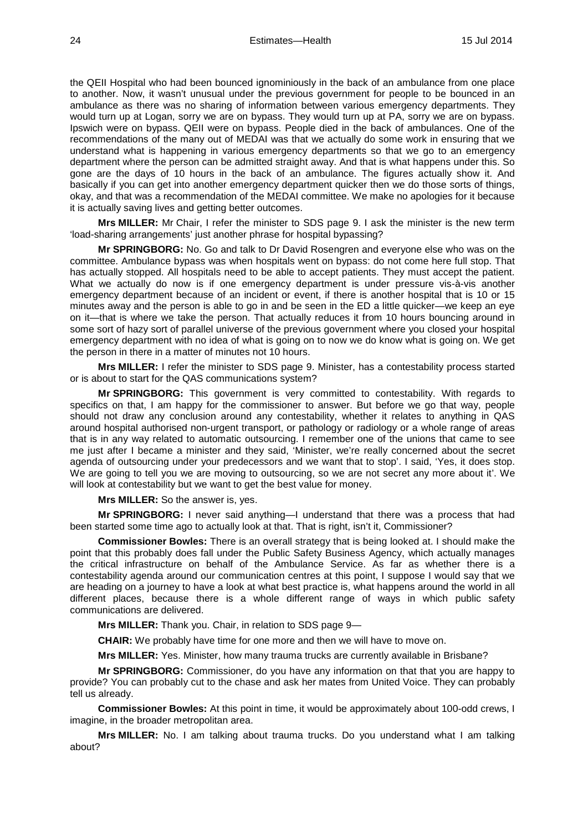the QEII Hospital who had been bounced ignominiously in the back of an ambulance from one place to another. Now, it wasn't unusual under the previous government for people to be bounced in an ambulance as there was no sharing of information between various emergency departments. They would turn up at Logan, sorry we are on bypass. They would turn up at PA, sorry we are on bypass. Ipswich were on bypass. QEII were on bypass. People died in the back of ambulances. One of the recommendations of the many out of MEDAI was that we actually do some work in ensuring that we understand what is happening in various emergency departments so that we go to an emergency department where the person can be admitted straight away. And that is what happens under this. So gone are the days of 10 hours in the back of an ambulance. The figures actually show it. And basically if you can get into another emergency department quicker then we do those sorts of things, okay, and that was a recommendation of the MEDAI committee. We make no apologies for it because it is actually saving lives and getting better outcomes.

**Mrs MILLER:** Mr Chair, I refer the minister to SDS page 9. I ask the minister is the new term 'load-sharing arrangements' just another phrase for hospital bypassing?

**Mr SPRINGBORG:** No. Go and talk to Dr David Rosengren and everyone else who was on the committee. Ambulance bypass was when hospitals went on bypass: do not come here full stop. That has actually stopped. All hospitals need to be able to accept patients. They must accept the patient. What we actually do now is if one emergency department is under pressure vis-à-vis another emergency department because of an incident or event, if there is another hospital that is 10 or 15 minutes away and the person is able to go in and be seen in the ED a little quicker—we keep an eye on it—that is where we take the person. That actually reduces it from 10 hours bouncing around in some sort of hazy sort of parallel universe of the previous government where you closed your hospital emergency department with no idea of what is going on to now we do know what is going on. We get the person in there in a matter of minutes not 10 hours.

**Mrs MILLER:** I refer the minister to SDS page 9. Minister, has a contestability process started or is about to start for the QAS communications system?

**Mr SPRINGBORG:** This government is very committed to contestability. With regards to specifics on that, I am happy for the commissioner to answer. But before we go that way, people should not draw any conclusion around any contestability, whether it relates to anything in QAS around hospital authorised non-urgent transport, or pathology or radiology or a whole range of areas that is in any way related to automatic outsourcing. I remember one of the unions that came to see me just after I became a minister and they said, 'Minister, we're really concerned about the secret agenda of outsourcing under your predecessors and we want that to stop'. I said, 'Yes, it does stop. We are going to tell you we are moving to outsourcing, so we are not secret any more about it'. We will look at contestability but we want to get the best value for money.

**Mrs MILLER:** So the answer is, yes.

**Mr SPRINGBORG:** I never said anything—I understand that there was a process that had been started some time ago to actually look at that. That is right, isn't it, Commissioner?

**Commissioner Bowles:** There is an overall strategy that is being looked at. I should make the point that this probably does fall under the Public Safety Business Agency, which actually manages the critical infrastructure on behalf of the Ambulance Service. As far as whether there is a contestability agenda around our communication centres at this point, I suppose I would say that we are heading on a journey to have a look at what best practice is, what happens around the world in all different places, because there is a whole different range of ways in which public safety communications are delivered.

**Mrs MILLER:** Thank you. Chair, in relation to SDS page 9—

**CHAIR:** We probably have time for one more and then we will have to move on.

**Mrs MILLER:** Yes. Minister, how many trauma trucks are currently available in Brisbane?

**Mr SPRINGBORG:** Commissioner, do you have any information on that that you are happy to provide? You can probably cut to the chase and ask her mates from United Voice. They can probably tell us already.

**Commissioner Bowles:** At this point in time, it would be approximately about 100-odd crews, I imagine, in the broader metropolitan area.

**Mrs MILLER:** No. I am talking about trauma trucks. Do you understand what I am talking about?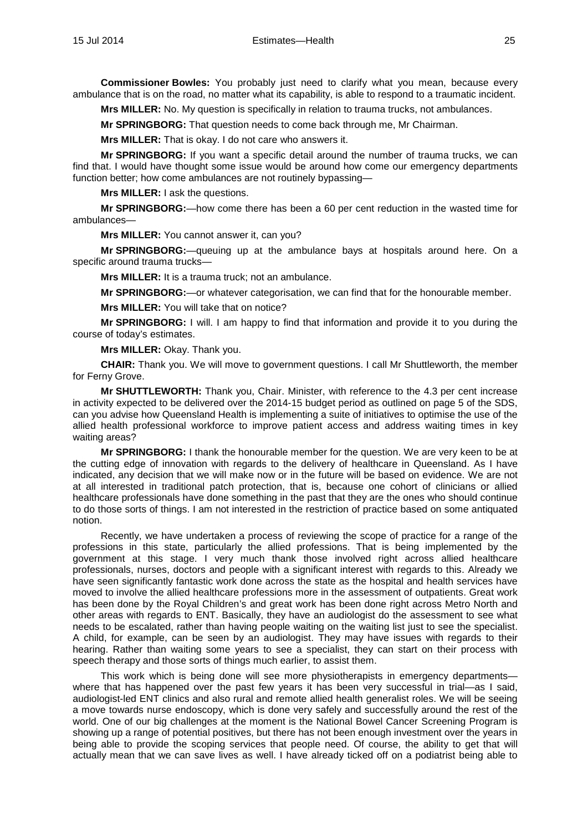**Commissioner Bowles:** You probably just need to clarify what you mean, because every ambulance that is on the road, no matter what its capability, is able to respond to a traumatic incident.

**Mrs MILLER:** No. My question is specifically in relation to trauma trucks, not ambulances.

**Mr SPRINGBORG:** That question needs to come back through me, Mr Chairman.

**Mrs MILLER:** That is okay. I do not care who answers it.

**Mr SPRINGBORG:** If you want a specific detail around the number of trauma trucks, we can find that. I would have thought some issue would be around how come our emergency departments function better; how come ambulances are not routinely bypassing—

**Mrs MILLER:** I ask the questions.

**Mr SPRINGBORG:**—how come there has been a 60 per cent reduction in the wasted time for ambulances—

**Mrs MILLER:** You cannot answer it, can you?

**Mr SPRINGBORG:**—queuing up at the ambulance bays at hospitals around here. On a specific around trauma trucks—

**Mrs MILLER:** It is a trauma truck; not an ambulance.

**Mr SPRINGBORG:**—or whatever categorisation, we can find that for the honourable member.

**Mrs MILLER:** You will take that on notice?

**Mr SPRINGBORG:** I will. I am happy to find that information and provide it to you during the course of today's estimates.

**Mrs MILLER:** Okay. Thank you.

**CHAIR:** Thank you. We will move to government questions. I call Mr Shuttleworth, the member for Ferny Grove.

**Mr SHUTTLEWORTH:** Thank you, Chair. Minister, with reference to the 4.3 per cent increase in activity expected to be delivered over the 2014-15 budget period as outlined on page 5 of the SDS, can you advise how Queensland Health is implementing a suite of initiatives to optimise the use of the allied health professional workforce to improve patient access and address waiting times in key waiting areas?

**Mr SPRINGBORG:** I thank the honourable member for the question. We are very keen to be at the cutting edge of innovation with regards to the delivery of healthcare in Queensland. As I have indicated, any decision that we will make now or in the future will be based on evidence. We are not at all interested in traditional patch protection, that is, because one cohort of clinicians or allied healthcare professionals have done something in the past that they are the ones who should continue to do those sorts of things. I am not interested in the restriction of practice based on some antiquated notion.

Recently, we have undertaken a process of reviewing the scope of practice for a range of the professions in this state, particularly the allied professions. That is being implemented by the government at this stage. I very much thank those involved right across allied healthcare professionals, nurses, doctors and people with a significant interest with regards to this. Already we have seen significantly fantastic work done across the state as the hospital and health services have moved to involve the allied healthcare professions more in the assessment of outpatients. Great work has been done by the Royal Children's and great work has been done right across Metro North and other areas with regards to ENT. Basically, they have an audiologist do the assessment to see what needs to be escalated, rather than having people waiting on the waiting list just to see the specialist. A child, for example, can be seen by an audiologist. They may have issues with regards to their hearing. Rather than waiting some years to see a specialist, they can start on their process with speech therapy and those sorts of things much earlier, to assist them.

This work which is being done will see more physiotherapists in emergency departments where that has happened over the past few years it has been very successful in trial—as I said. audiologist-led ENT clinics and also rural and remote allied health generalist roles. We will be seeing a move towards nurse endoscopy, which is done very safely and successfully around the rest of the world. One of our big challenges at the moment is the National Bowel Cancer Screening Program is showing up a range of potential positives, but there has not been enough investment over the years in being able to provide the scoping services that people need. Of course, the ability to get that will actually mean that we can save lives as well. I have already ticked off on a podiatrist being able to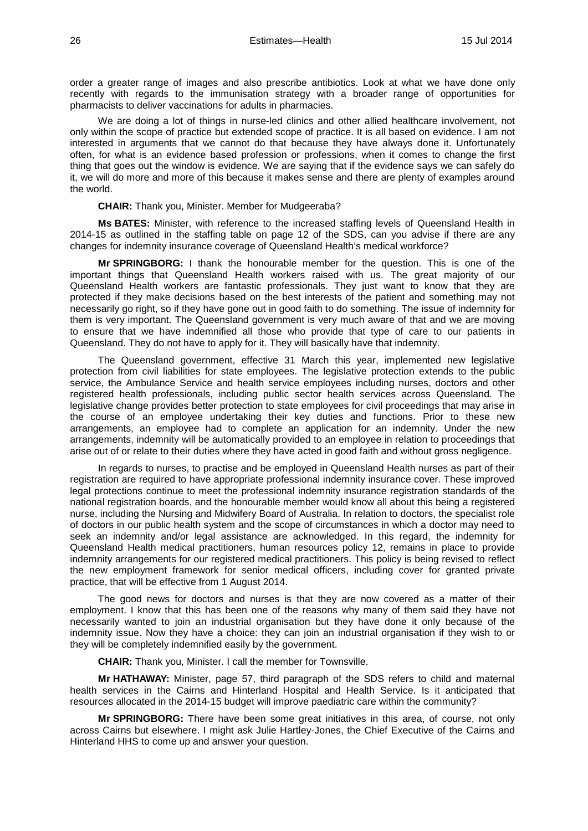order a greater range of images and also prescribe antibiotics. Look at what we have done only recently with regards to the immunisation strategy with a broader range of opportunities for pharmacists to deliver vaccinations for adults in pharmacies.

We are doing a lot of things in nurse-led clinics and other allied healthcare involvement, not only within the scope of practice but extended scope of practice. It is all based on evidence. I am not interested in arguments that we cannot do that because they have always done it. Unfortunately often, for what is an evidence based profession or professions, when it comes to change the first thing that goes out the window is evidence. We are saying that if the evidence says we can safely do it, we will do more and more of this because it makes sense and there are plenty of examples around the world.

**CHAIR:** Thank you, Minister. Member for Mudgeeraba?

**Ms BATES:** Minister, with reference to the increased staffing levels of Queensland Health in 2014-15 as outlined in the staffing table on page 12 of the SDS, can you advise if there are any changes for indemnity insurance coverage of Queensland Health's medical workforce?

**Mr SPRINGBORG:** I thank the honourable member for the question. This is one of the important things that Queensland Health workers raised with us. The great majority of our Queensland Health workers are fantastic professionals. They just want to know that they are protected if they make decisions based on the best interests of the patient and something may not necessarily go right, so if they have gone out in good faith to do something. The issue of indemnity for them is very important. The Queensland government is very much aware of that and we are moving to ensure that we have indemnified all those who provide that type of care to our patients in Queensland. They do not have to apply for it. They will basically have that indemnity.

The Queensland government, effective 31 March this year, implemented new legislative protection from civil liabilities for state employees. The legislative protection extends to the public service, the Ambulance Service and health service employees including nurses, doctors and other registered health professionals, including public sector health services across Queensland. The legislative change provides better protection to state employees for civil proceedings that may arise in the course of an employee undertaking their key duties and functions. Prior to these new arrangements, an employee had to complete an application for an indemnity. Under the new arrangements, indemnity will be automatically provided to an employee in relation to proceedings that arise out of or relate to their duties where they have acted in good faith and without gross negligence.

In regards to nurses, to practise and be employed in Queensland Health nurses as part of their registration are required to have appropriate professional indemnity insurance cover. These improved legal protections continue to meet the professional indemnity insurance registration standards of the national registration boards, and the honourable member would know all about this being a registered nurse, including the Nursing and Midwifery Board of Australia. In relation to doctors, the specialist role of doctors in our public health system and the scope of circumstances in which a doctor may need to seek an indemnity and/or legal assistance are acknowledged. In this regard, the indemnity for Queensland Health medical practitioners, human resources policy 12, remains in place to provide indemnity arrangements for our registered medical practitioners. This policy is being revised to reflect the new employment framework for senior medical officers, including cover for granted private practice, that will be effective from 1 August 2014.

The good news for doctors and nurses is that they are now covered as a matter of their employment. I know that this has been one of the reasons why many of them said they have not necessarily wanted to join an industrial organisation but they have done it only because of the indemnity issue. Now they have a choice: they can join an industrial organisation if they wish to or they will be completely indemnified easily by the government.

**CHAIR:** Thank you, Minister. I call the member for Townsville.

**Mr HATHAWAY:** Minister, page 57, third paragraph of the SDS refers to child and maternal health services in the Cairns and Hinterland Hospital and Health Service. Is it anticipated that resources allocated in the 2014-15 budget will improve paediatric care within the community?

**Mr SPRINGBORG:** There have been some great initiatives in this area, of course, not only across Cairns but elsewhere. I might ask Julie Hartley-Jones, the Chief Executive of the Cairns and Hinterland HHS to come up and answer your question.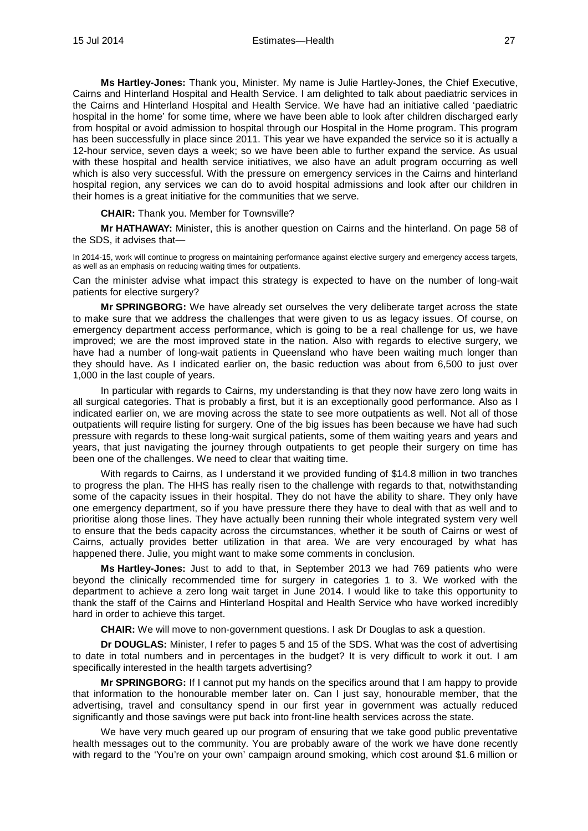**Ms Hartley-Jones:** Thank you, Minister. My name is Julie Hartley-Jones, the Chief Executive, Cairns and Hinterland Hospital and Health Service. I am delighted to talk about paediatric services in the Cairns and Hinterland Hospital and Health Service. We have had an initiative called 'paediatric hospital in the home' for some time, where we have been able to look after children discharged early from hospital or avoid admission to hospital through our Hospital in the Home program. This program has been successfully in place since 2011. This year we have expanded the service so it is actually a 12-hour service, seven days a week; so we have been able to further expand the service. As usual with these hospital and health service initiatives, we also have an adult program occurring as well which is also very successful. With the pressure on emergency services in the Cairns and hinterland hospital region, any services we can do to avoid hospital admissions and look after our children in their homes is a great initiative for the communities that we serve.

**CHAIR:** Thank you. Member for Townsville?

**Mr HATHAWAY:** Minister, this is another question on Cairns and the hinterland. On page 58 of the SDS, it advises that—

In 2014-15, work will continue to progress on maintaining performance against elective surgery and emergency access targets, as well as an emphasis on reducing waiting times for outpatients.

Can the minister advise what impact this strategy is expected to have on the number of long-wait patients for elective surgery?

**Mr SPRINGBORG:** We have already set ourselves the very deliberate target across the state to make sure that we address the challenges that were given to us as legacy issues. Of course, on emergency department access performance, which is going to be a real challenge for us, we have improved; we are the most improved state in the nation. Also with regards to elective surgery, we have had a number of long-wait patients in Queensland who have been waiting much longer than they should have. As I indicated earlier on, the basic reduction was about from 6,500 to just over 1,000 in the last couple of years.

In particular with regards to Cairns, my understanding is that they now have zero long waits in all surgical categories. That is probably a first, but it is an exceptionally good performance. Also as I indicated earlier on, we are moving across the state to see more outpatients as well. Not all of those outpatients will require listing for surgery. One of the big issues has been because we have had such pressure with regards to these long-wait surgical patients, some of them waiting years and years and years, that just navigating the journey through outpatients to get people their surgery on time has been one of the challenges. We need to clear that waiting time.

With regards to Cairns, as I understand it we provided funding of \$14.8 million in two tranches to progress the plan. The HHS has really risen to the challenge with regards to that, notwithstanding some of the capacity issues in their hospital. They do not have the ability to share. They only have one emergency department, so if you have pressure there they have to deal with that as well and to prioritise along those lines. They have actually been running their whole integrated system very well to ensure that the beds capacity across the circumstances, whether it be south of Cairns or west of Cairns, actually provides better utilization in that area. We are very encouraged by what has happened there. Julie, you might want to make some comments in conclusion.

**Ms Hartley-Jones:** Just to add to that, in September 2013 we had 769 patients who were beyond the clinically recommended time for surgery in categories 1 to 3. We worked with the department to achieve a zero long wait target in June 2014. I would like to take this opportunity to thank the staff of the Cairns and Hinterland Hospital and Health Service who have worked incredibly hard in order to achieve this target.

**CHAIR:** We will move to non-government questions. I ask Dr Douglas to ask a question.

**Dr DOUGLAS:** Minister, I refer to pages 5 and 15 of the SDS. What was the cost of advertising to date in total numbers and in percentages in the budget? It is very difficult to work it out. I am specifically interested in the health targets advertising?

**Mr SPRINGBORG:** If I cannot put my hands on the specifics around that I am happy to provide that information to the honourable member later on. Can I just say, honourable member, that the advertising, travel and consultancy spend in our first year in government was actually reduced significantly and those savings were put back into front-line health services across the state.

We have very much geared up our program of ensuring that we take good public preventative health messages out to the community. You are probably aware of the work we have done recently with regard to the 'You're on your own' campaign around smoking, which cost around \$1.6 million or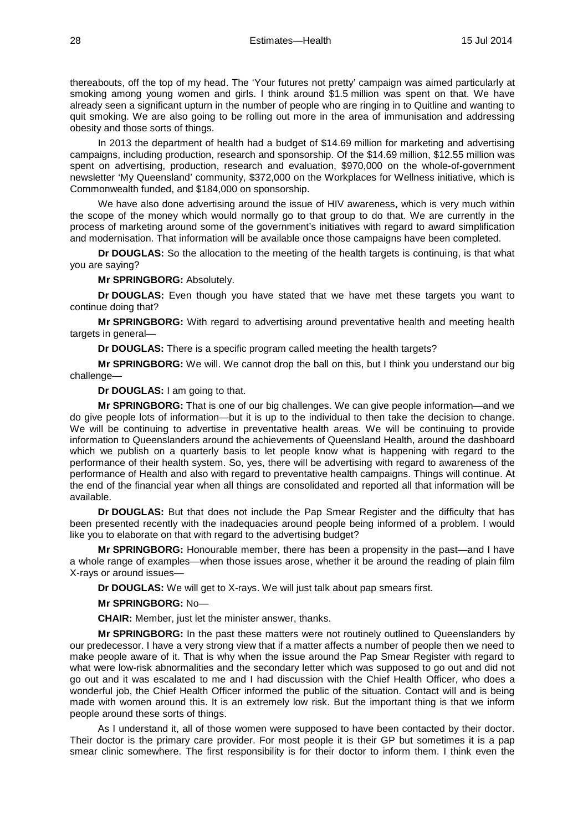thereabouts, off the top of my head. The 'Your futures not pretty' campaign was aimed particularly at smoking among young women and girls. I think around \$1.5 million was spent on that. We have already seen a significant upturn in the number of people who are ringing in to Quitline and wanting to quit smoking. We are also going to be rolling out more in the area of immunisation and addressing obesity and those sorts of things.

In 2013 the department of health had a budget of \$14.69 million for marketing and advertising campaigns, including production, research and sponsorship. Of the \$14.69 million, \$12.55 million was spent on advertising, production, research and evaluation, \$970,000 on the whole-of-government newsletter 'My Queensland' community, \$372,000 on the Workplaces for Wellness initiative, which is Commonwealth funded, and \$184,000 on sponsorship.

We have also done advertising around the issue of HIV awareness, which is very much within the scope of the money which would normally go to that group to do that. We are currently in the process of marketing around some of the government's initiatives with regard to award simplification and modernisation. That information will be available once those campaigns have been completed.

**Dr DOUGLAS:** So the allocation to the meeting of the health targets is continuing, is that what you are saying?

**Mr SPRINGBORG:** Absolutely.

**Dr DOUGLAS:** Even though you have stated that we have met these targets you want to continue doing that?

**Mr SPRINGBORG:** With regard to advertising around preventative health and meeting health targets in general—

**Dr DOUGLAS:** There is a specific program called meeting the health targets?

**Mr SPRINGBORG:** We will. We cannot drop the ball on this, but I think you understand our big challenge—

**Dr DOUGLAS:** I am going to that.

**Mr SPRINGBORG:** That is one of our big challenges. We can give people information—and we do give people lots of information—but it is up to the individual to then take the decision to change. We will be continuing to advertise in preventative health areas. We will be continuing to provide information to Queenslanders around the achievements of Queensland Health, around the dashboard which we publish on a quarterly basis to let people know what is happening with regard to the performance of their health system. So, yes, there will be advertising with regard to awareness of the performance of Health and also with regard to preventative health campaigns. Things will continue. At the end of the financial year when all things are consolidated and reported all that information will be available.

**Dr DOUGLAS:** But that does not include the Pap Smear Register and the difficulty that has been presented recently with the inadequacies around people being informed of a problem. I would like you to elaborate on that with regard to the advertising budget?

**Mr SPRINGBORG:** Honourable member, there has been a propensity in the past—and I have a whole range of examples—when those issues arose, whether it be around the reading of plain film X-rays or around issues—

**Dr DOUGLAS:** We will get to X-rays. We will just talk about pap smears first.

**Mr SPRINGBORG:** No—

**CHAIR:** Member, just let the minister answer, thanks.

**Mr SPRINGBORG:** In the past these matters were not routinely outlined to Queenslanders by our predecessor. I have a very strong view that if a matter affects a number of people then we need to make people aware of it. That is why when the issue around the Pap Smear Register with regard to what were low-risk abnormalities and the secondary letter which was supposed to go out and did not go out and it was escalated to me and I had discussion with the Chief Health Officer, who does a wonderful job, the Chief Health Officer informed the public of the situation. Contact will and is being made with women around this. It is an extremely low risk. But the important thing is that we inform people around these sorts of things.

As I understand it, all of those women were supposed to have been contacted by their doctor. Their doctor is the primary care provider. For most people it is their GP but sometimes it is a pap smear clinic somewhere. The first responsibility is for their doctor to inform them. I think even the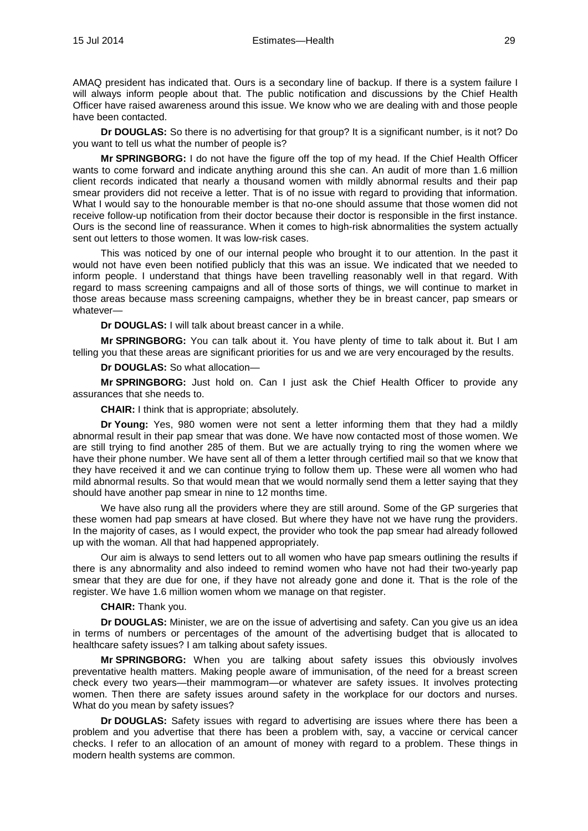AMAQ president has indicated that. Ours is a secondary line of backup. If there is a system failure I will always inform people about that. The public notification and discussions by the Chief Health Officer have raised awareness around this issue. We know who we are dealing with and those people have been contacted.

**Dr DOUGLAS:** So there is no advertising for that group? It is a significant number, is it not? Do you want to tell us what the number of people is?

**Mr SPRINGBORG:** I do not have the figure off the top of my head. If the Chief Health Officer wants to come forward and indicate anything around this she can. An audit of more than 1.6 million client records indicated that nearly a thousand women with mildly abnormal results and their pap smear providers did not receive a letter. That is of no issue with regard to providing that information. What I would say to the honourable member is that no-one should assume that those women did not receive follow-up notification from their doctor because their doctor is responsible in the first instance. Ours is the second line of reassurance. When it comes to high-risk abnormalities the system actually sent out letters to those women. It was low-risk cases.

This was noticed by one of our internal people who brought it to our attention. In the past it would not have even been notified publicly that this was an issue. We indicated that we needed to inform people. I understand that things have been travelling reasonably well in that regard. With regard to mass screening campaigns and all of those sorts of things, we will continue to market in those areas because mass screening campaigns, whether they be in breast cancer, pap smears or whatever—

**Dr DOUGLAS:** I will talk about breast cancer in a while.

**Mr SPRINGBORG:** You can talk about it. You have plenty of time to talk about it. But I am telling you that these areas are significant priorities for us and we are very encouraged by the results.

**Dr DOUGLAS:** So what allocation—

**Mr SPRINGBORG:** Just hold on. Can I just ask the Chief Health Officer to provide any assurances that she needs to.

**CHAIR:** I think that is appropriate; absolutely.

**Dr Young:** Yes, 980 women were not sent a letter informing them that they had a mildly abnormal result in their pap smear that was done. We have now contacted most of those women. We are still trying to find another 285 of them. But we are actually trying to ring the women where we have their phone number. We have sent all of them a letter through certified mail so that we know that they have received it and we can continue trying to follow them up. These were all women who had mild abnormal results. So that would mean that we would normally send them a letter saying that they should have another pap smear in nine to 12 months time.

We have also rung all the providers where they are still around. Some of the GP surgeries that these women had pap smears at have closed. But where they have not we have rung the providers. In the majority of cases, as I would expect, the provider who took the pap smear had already followed up with the woman. All that had happened appropriately.

Our aim is always to send letters out to all women who have pap smears outlining the results if there is any abnormality and also indeed to remind women who have not had their two-yearly pap smear that they are due for one, if they have not already gone and done it. That is the role of the register. We have 1.6 million women whom we manage on that register.

## **CHAIR:** Thank you.

**Dr DOUGLAS:** Minister, we are on the issue of advertising and safety. Can you give us an idea in terms of numbers or percentages of the amount of the advertising budget that is allocated to healthcare safety issues? I am talking about safety issues.

**Mr SPRINGBORG:** When you are talking about safety issues this obviously involves preventative health matters. Making people aware of immunisation, of the need for a breast screen check every two years—their mammogram—or whatever are safety issues. It involves protecting women. Then there are safety issues around safety in the workplace for our doctors and nurses. What do you mean by safety issues?

**Dr DOUGLAS:** Safety issues with regard to advertising are issues where there has been a problem and you advertise that there has been a problem with, say, a vaccine or cervical cancer checks. I refer to an allocation of an amount of money with regard to a problem. These things in modern health systems are common.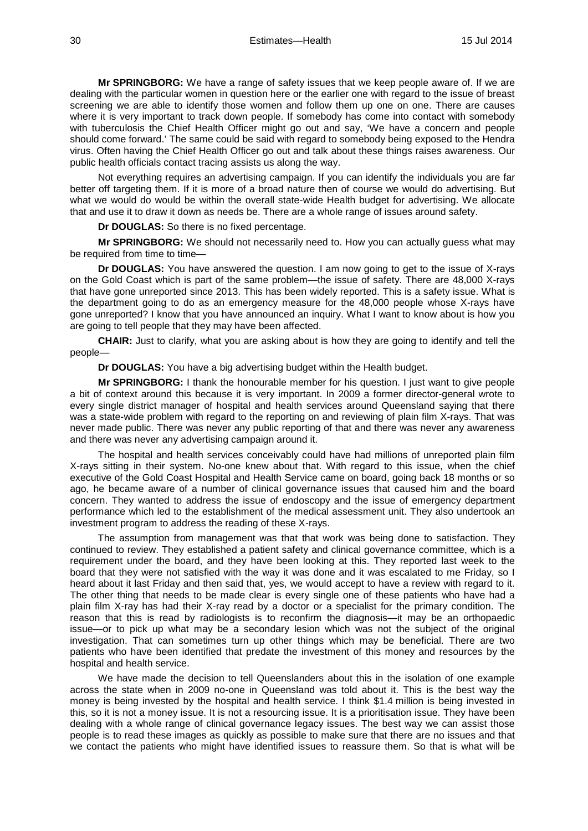**Mr SPRINGBORG:** We have a range of safety issues that we keep people aware of. If we are dealing with the particular women in question here or the earlier one with regard to the issue of breast screening we are able to identify those women and follow them up one on one. There are causes where it is very important to track down people. If somebody has come into contact with somebody with tuberculosis the Chief Health Officer might go out and say, 'We have a concern and people should come forward.' The same could be said with regard to somebody being exposed to the Hendra virus. Often having the Chief Health Officer go out and talk about these things raises awareness. Our public health officials contact tracing assists us along the way.

Not everything requires an advertising campaign. If you can identify the individuals you are far better off targeting them. If it is more of a broad nature then of course we would do advertising. But what we would do would be within the overall state-wide Health budget for advertising. We allocate that and use it to draw it down as needs be. There are a whole range of issues around safety.

**Dr DOUGLAS:** So there is no fixed percentage.

**Mr SPRINGBORG:** We should not necessarily need to. How you can actually guess what may be required from time to time-

**Dr DOUGLAS:** You have answered the question. I am now going to get to the issue of X-rays on the Gold Coast which is part of the same problem—the issue of safety. There are 48,000 X-rays that have gone unreported since 2013. This has been widely reported. This is a safety issue. What is the department going to do as an emergency measure for the 48,000 people whose X-rays have gone unreported? I know that you have announced an inquiry. What I want to know about is how you are going to tell people that they may have been affected.

**CHAIR:** Just to clarify, what you are asking about is how they are going to identify and tell the people—

**Dr DOUGLAS:** You have a big advertising budget within the Health budget.

**Mr SPRINGBORG:** I thank the honourable member for his question. I just want to give people a bit of context around this because it is very important. In 2009 a former director-general wrote to every single district manager of hospital and health services around Queensland saying that there was a state-wide problem with regard to the reporting on and reviewing of plain film X-rays. That was never made public. There was never any public reporting of that and there was never any awareness and there was never any advertising campaign around it.

The hospital and health services conceivably could have had millions of unreported plain film X-rays sitting in their system. No-one knew about that. With regard to this issue, when the chief executive of the Gold Coast Hospital and Health Service came on board, going back 18 months or so ago, he became aware of a number of clinical governance issues that caused him and the board concern. They wanted to address the issue of endoscopy and the issue of emergency department performance which led to the establishment of the medical assessment unit. They also undertook an investment program to address the reading of these X-rays.

The assumption from management was that that work was being done to satisfaction. They continued to review. They established a patient safety and clinical governance committee, which is a requirement under the board, and they have been looking at this. They reported last week to the board that they were not satisfied with the way it was done and it was escalated to me Friday, so I heard about it last Friday and then said that, yes, we would accept to have a review with regard to it. The other thing that needs to be made clear is every single one of these patients who have had a plain film X-ray has had their X-ray read by a doctor or a specialist for the primary condition. The reason that this is read by radiologists is to reconfirm the diagnosis—it may be an orthopaedic issue—or to pick up what may be a secondary lesion which was not the subject of the original investigation. That can sometimes turn up other things which may be beneficial. There are two patients who have been identified that predate the investment of this money and resources by the hospital and health service.

We have made the decision to tell Queenslanders about this in the isolation of one example across the state when in 2009 no-one in Queensland was told about it. This is the best way the money is being invested by the hospital and health service. I think \$1.4 million is being invested in this, so it is not a money issue. It is not a resourcing issue. It is a prioritisation issue. They have been dealing with a whole range of clinical governance legacy issues. The best way we can assist those people is to read these images as quickly as possible to make sure that there are no issues and that we contact the patients who might have identified issues to reassure them. So that is what will be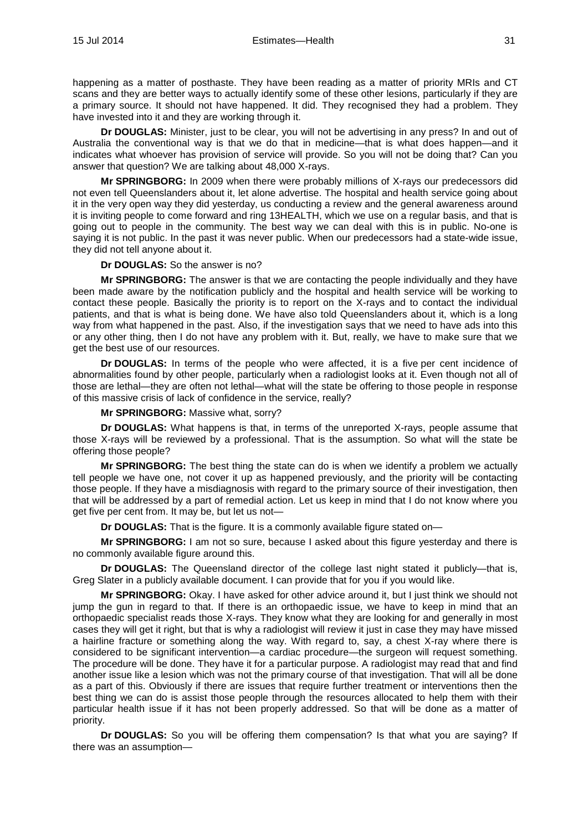happening as a matter of posthaste. They have been reading as a matter of priority MRIs and CT scans and they are better ways to actually identify some of these other lesions, particularly if they are a primary source. It should not have happened. It did. They recognised they had a problem. They have invested into it and they are working through it.

**Dr DOUGLAS:** Minister, just to be clear, you will not be advertising in any press? In and out of Australia the conventional way is that we do that in medicine—that is what does happen—and it indicates what whoever has provision of service will provide. So you will not be doing that? Can you answer that question? We are talking about 48,000 X-rays.

**Mr SPRINGBORG:** In 2009 when there were probably millions of X-rays our predecessors did not even tell Queenslanders about it, let alone advertise. The hospital and health service going about it in the very open way they did yesterday, us conducting a review and the general awareness around it is inviting people to come forward and ring 13HEALTH, which we use on a regular basis, and that is going out to people in the community. The best way we can deal with this is in public. No-one is saying it is not public. In the past it was never public. When our predecessors had a state-wide issue, they did not tell anyone about it.

**Dr DOUGLAS:** So the answer is no?

**Mr SPRINGBORG:** The answer is that we are contacting the people individually and they have been made aware by the notification publicly and the hospital and health service will be working to contact these people. Basically the priority is to report on the X-rays and to contact the individual patients, and that is what is being done. We have also told Queenslanders about it, which is a long way from what happened in the past. Also, if the investigation says that we need to have ads into this or any other thing, then I do not have any problem with it. But, really, we have to make sure that we get the best use of our resources.

**Dr DOUGLAS:** In terms of the people who were affected, it is a five per cent incidence of abnormalities found by other people, particularly when a radiologist looks at it. Even though not all of those are lethal—they are often not lethal—what will the state be offering to those people in response of this massive crisis of lack of confidence in the service, really?

**Mr SPRINGBORG:** Massive what, sorry?

**Dr DOUGLAS:** What happens is that, in terms of the unreported X-rays, people assume that those X-rays will be reviewed by a professional. That is the assumption. So what will the state be offering those people?

**Mr SPRINGBORG:** The best thing the state can do is when we identify a problem we actually tell people we have one, not cover it up as happened previously, and the priority will be contacting those people. If they have a misdiagnosis with regard to the primary source of their investigation, then that will be addressed by a part of remedial action. Let us keep in mind that I do not know where you get five per cent from. It may be, but let us not—

**Dr DOUGLAS:** That is the figure. It is a commonly available figure stated on—

**Mr SPRINGBORG:** I am not so sure, because I asked about this figure yesterday and there is no commonly available figure around this.

**Dr DOUGLAS:** The Queensland director of the college last night stated it publicly—that is, Greg Slater in a publicly available document. I can provide that for you if you would like.

**Mr SPRINGBORG:** Okay. I have asked for other advice around it, but I just think we should not jump the gun in regard to that. If there is an orthopaedic issue, we have to keep in mind that an orthopaedic specialist reads those X-rays. They know what they are looking for and generally in most cases they will get it right, but that is why a radiologist will review it just in case they may have missed a hairline fracture or something along the way. With regard to, say, a chest X-ray where there is considered to be significant intervention—a cardiac procedure—the surgeon will request something. The procedure will be done. They have it for a particular purpose. A radiologist may read that and find another issue like a lesion which was not the primary course of that investigation. That will all be done as a part of this. Obviously if there are issues that require further treatment or interventions then the best thing we can do is assist those people through the resources allocated to help them with their particular health issue if it has not been properly addressed. So that will be done as a matter of priority.

**Dr DOUGLAS:** So you will be offering them compensation? Is that what you are saying? If there was an assumption—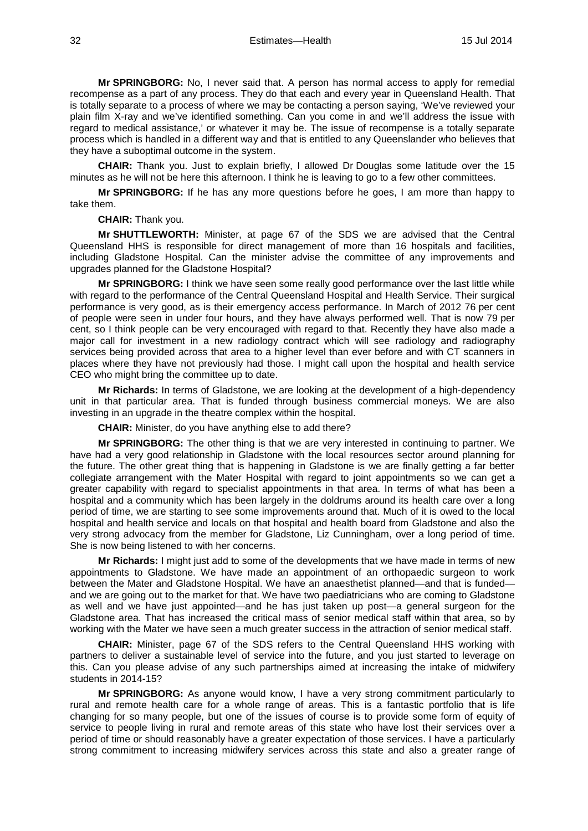**Mr SPRINGBORG:** No, I never said that. A person has normal access to apply for remedial recompense as a part of any process. They do that each and every year in Queensland Health. That is totally separate to a process of where we may be contacting a person saying, 'We've reviewed your plain film X-ray and we've identified something. Can you come in and we'll address the issue with regard to medical assistance,' or whatever it may be. The issue of recompense is a totally separate process which is handled in a different way and that is entitled to any Queenslander who believes that they have a suboptimal outcome in the system.

**CHAIR:** Thank you. Just to explain briefly, I allowed Dr Douglas some latitude over the 15 minutes as he will not be here this afternoon. I think he is leaving to go to a few other committees.

**Mr SPRINGBORG:** If he has any more questions before he goes, I am more than happy to take them.

**CHAIR:** Thank you.

**Mr SHUTTLEWORTH:** Minister, at page 67 of the SDS we are advised that the Central Queensland HHS is responsible for direct management of more than 16 hospitals and facilities, including Gladstone Hospital. Can the minister advise the committee of any improvements and upgrades planned for the Gladstone Hospital?

**Mr SPRINGBORG:** I think we have seen some really good performance over the last little while with regard to the performance of the Central Queensland Hospital and Health Service. Their surgical performance is very good, as is their emergency access performance. In March of 2012 76 per cent of people were seen in under four hours, and they have always performed well. That is now 79 per cent, so I think people can be very encouraged with regard to that. Recently they have also made a major call for investment in a new radiology contract which will see radiology and radiography services being provided across that area to a higher level than ever before and with CT scanners in places where they have not previously had those. I might call upon the hospital and health service CEO who might bring the committee up to date.

**Mr Richards:** In terms of Gladstone, we are looking at the development of a high-dependency unit in that particular area. That is funded through business commercial moneys. We are also investing in an upgrade in the theatre complex within the hospital.

**CHAIR:** Minister, do you have anything else to add there?

**Mr SPRINGBORG:** The other thing is that we are very interested in continuing to partner. We have had a very good relationship in Gladstone with the local resources sector around planning for the future. The other great thing that is happening in Gladstone is we are finally getting a far better collegiate arrangement with the Mater Hospital with regard to joint appointments so we can get a greater capability with regard to specialist appointments in that area. In terms of what has been a hospital and a community which has been largely in the doldrums around its health care over a long period of time, we are starting to see some improvements around that. Much of it is owed to the local hospital and health service and locals on that hospital and health board from Gladstone and also the very strong advocacy from the member for Gladstone, Liz Cunningham, over a long period of time. She is now being listened to with her concerns.

**Mr Richards:** I might just add to some of the developments that we have made in terms of new appointments to Gladstone. We have made an appointment of an orthopaedic surgeon to work between the Mater and Gladstone Hospital. We have an anaesthetist planned—and that is funded and we are going out to the market for that. We have two paediatricians who are coming to Gladstone as well and we have just appointed—and he has just taken up post—a general surgeon for the Gladstone area. That has increased the critical mass of senior medical staff within that area, so by working with the Mater we have seen a much greater success in the attraction of senior medical staff.

**CHAIR:** Minister, page 67 of the SDS refers to the Central Queensland HHS working with partners to deliver a sustainable level of service into the future, and you just started to leverage on this. Can you please advise of any such partnerships aimed at increasing the intake of midwifery students in 2014-15?

**Mr SPRINGBORG:** As anyone would know, I have a very strong commitment particularly to rural and remote health care for a whole range of areas. This is a fantastic portfolio that is life changing for so many people, but one of the issues of course is to provide some form of equity of service to people living in rural and remote areas of this state who have lost their services over a period of time or should reasonably have a greater expectation of those services. I have a particularly strong commitment to increasing midwifery services across this state and also a greater range of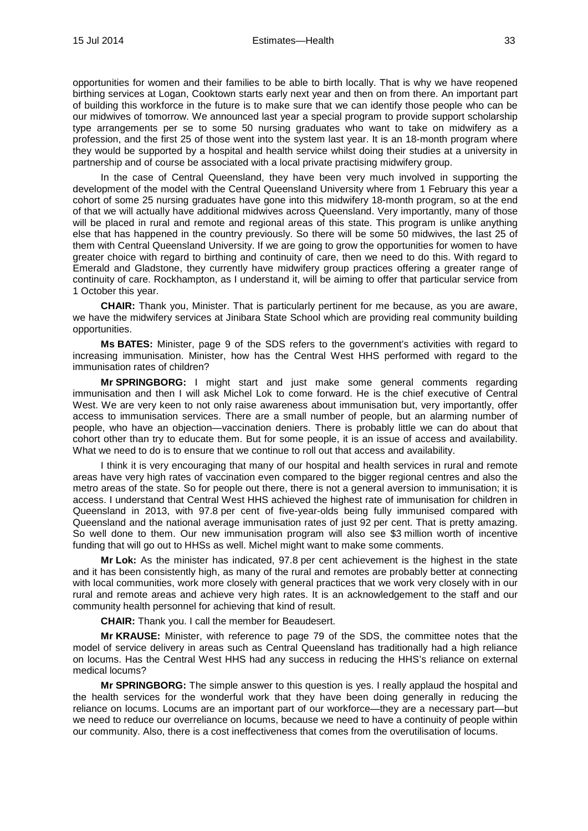opportunities for women and their families to be able to birth locally. That is why we have reopened birthing services at Logan, Cooktown starts early next year and then on from there. An important part of building this workforce in the future is to make sure that we can identify those people who can be our midwives of tomorrow. We announced last year a special program to provide support scholarship type arrangements per se to some 50 nursing graduates who want to take on midwifery as a profession, and the first 25 of those went into the system last year. It is an 18-month program where they would be supported by a hospital and health service whilst doing their studies at a university in partnership and of course be associated with a local private practising midwifery group.

In the case of Central Queensland, they have been very much involved in supporting the development of the model with the Central Queensland University where from 1 February this year a cohort of some 25 nursing graduates have gone into this midwifery 18-month program, so at the end of that we will actually have additional midwives across Queensland. Very importantly, many of those will be placed in rural and remote and regional areas of this state. This program is unlike anything else that has happened in the country previously. So there will be some 50 midwives, the last 25 of them with Central Queensland University. If we are going to grow the opportunities for women to have greater choice with regard to birthing and continuity of care, then we need to do this. With regard to Emerald and Gladstone, they currently have midwifery group practices offering a greater range of continuity of care. Rockhampton, as I understand it, will be aiming to offer that particular service from 1 October this year.

**CHAIR:** Thank you, Minister. That is particularly pertinent for me because, as you are aware, we have the midwifery services at Jinibara State School which are providing real community building opportunities.

**Ms BATES:** Minister, page 9 of the SDS refers to the government's activities with regard to increasing immunisation. Minister, how has the Central West HHS performed with regard to the immunisation rates of children?

**Mr SPRINGBORG:** I might start and just make some general comments regarding immunisation and then I will ask Michel Lok to come forward. He is the chief executive of Central West. We are very keen to not only raise awareness about immunisation but, very importantly, offer access to immunisation services. There are a small number of people, but an alarming number of people, who have an objection—vaccination deniers. There is probably little we can do about that cohort other than try to educate them. But for some people, it is an issue of access and availability. What we need to do is to ensure that we continue to roll out that access and availability.

I think it is very encouraging that many of our hospital and health services in rural and remote areas have very high rates of vaccination even compared to the bigger regional centres and also the metro areas of the state. So for people out there, there is not a general aversion to immunisation; it is access. I understand that Central West HHS achieved the highest rate of immunisation for children in Queensland in 2013, with 97.8 per cent of five-year-olds being fully immunised compared with Queensland and the national average immunisation rates of just 92 per cent. That is pretty amazing. So well done to them. Our new immunisation program will also see \$3 million worth of incentive funding that will go out to HHSs as well. Michel might want to make some comments.

**Mr Lok:** As the minister has indicated, 97.8 per cent achievement is the highest in the state and it has been consistently high, as many of the rural and remotes are probably better at connecting with local communities, work more closely with general practices that we work very closely with in our rural and remote areas and achieve very high rates. It is an acknowledgement to the staff and our community health personnel for achieving that kind of result.

**CHAIR:** Thank you. I call the member for Beaudesert.

**Mr KRAUSE:** Minister, with reference to page 79 of the SDS, the committee notes that the model of service delivery in areas such as Central Queensland has traditionally had a high reliance on locums. Has the Central West HHS had any success in reducing the HHS's reliance on external medical locums?

**Mr SPRINGBORG:** The simple answer to this question is yes. I really applaud the hospital and the health services for the wonderful work that they have been doing generally in reducing the reliance on locums. Locums are an important part of our workforce—they are a necessary part—but we need to reduce our overreliance on locums, because we need to have a continuity of people within our community. Also, there is a cost ineffectiveness that comes from the overutilisation of locums.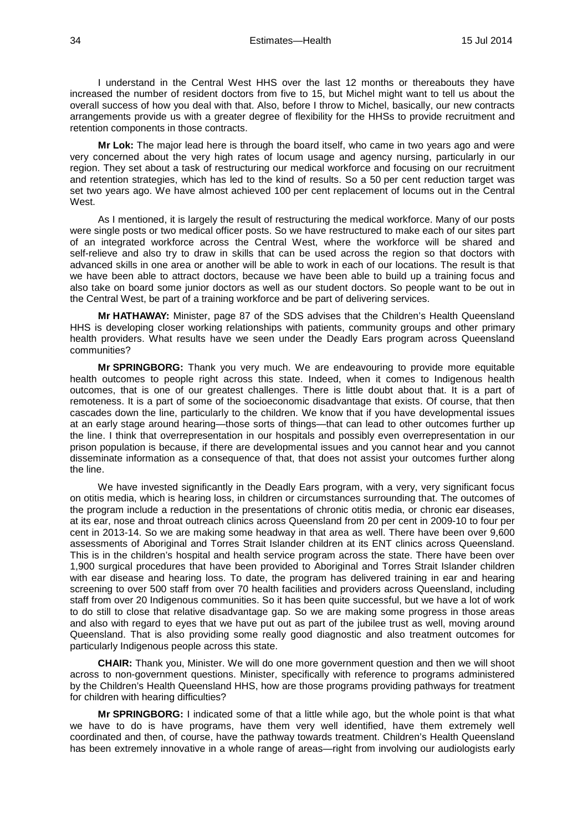34 Estimates—Health 15 Jul 2014

I understand in the Central West HHS over the last 12 months or thereabouts they have increased the number of resident doctors from five to 15, but Michel might want to tell us about the overall success of how you deal with that. Also, before I throw to Michel, basically, our new contracts arrangements provide us with a greater degree of flexibility for the HHSs to provide recruitment and retention components in those contracts.

**Mr Lok:** The major lead here is through the board itself, who came in two years ago and were very concerned about the very high rates of locum usage and agency nursing, particularly in our region. They set about a task of restructuring our medical workforce and focusing on our recruitment and retention strategies, which has led to the kind of results. So a 50 per cent reduction target was set two years ago. We have almost achieved 100 per cent replacement of locums out in the Central West

As I mentioned, it is largely the result of restructuring the medical workforce. Many of our posts were single posts or two medical officer posts. So we have restructured to make each of our sites part of an integrated workforce across the Central West, where the workforce will be shared and self-relieve and also try to draw in skills that can be used across the region so that doctors with advanced skills in one area or another will be able to work in each of our locations. The result is that we have been able to attract doctors, because we have been able to build up a training focus and also take on board some junior doctors as well as our student doctors. So people want to be out in the Central West, be part of a training workforce and be part of delivering services.

**Mr HATHAWAY:** Minister, page 87 of the SDS advises that the Children's Health Queensland HHS is developing closer working relationships with patients, community groups and other primary health providers. What results have we seen under the Deadly Ears program across Queensland communities?

**Mr SPRINGBORG:** Thank you very much. We are endeavouring to provide more equitable health outcomes to people right across this state. Indeed, when it comes to Indigenous health outcomes, that is one of our greatest challenges. There is little doubt about that. It is a part of remoteness. It is a part of some of the socioeconomic disadvantage that exists. Of course, that then cascades down the line, particularly to the children. We know that if you have developmental issues at an early stage around hearing—those sorts of things—that can lead to other outcomes further up the line. I think that overrepresentation in our hospitals and possibly even overrepresentation in our prison population is because, if there are developmental issues and you cannot hear and you cannot disseminate information as a consequence of that, that does not assist your outcomes further along the line.

We have invested significantly in the Deadly Ears program, with a very, very significant focus on otitis media, which is hearing loss, in children or circumstances surrounding that. The outcomes of the program include a reduction in the presentations of chronic otitis media, or chronic ear diseases, at its ear, nose and throat outreach clinics across Queensland from 20 per cent in 2009-10 to four per cent in 2013-14. So we are making some headway in that area as well. There have been over 9,600 assessments of Aboriginal and Torres Strait Islander children at its ENT clinics across Queensland. This is in the children's hospital and health service program across the state. There have been over 1,900 surgical procedures that have been provided to Aboriginal and Torres Strait Islander children with ear disease and hearing loss. To date, the program has delivered training in ear and hearing screening to over 500 staff from over 70 health facilities and providers across Queensland, including staff from over 20 Indigenous communities. So it has been quite successful, but we have a lot of work to do still to close that relative disadvantage gap. So we are making some progress in those areas and also with regard to eyes that we have put out as part of the jubilee trust as well, moving around Queensland. That is also providing some really good diagnostic and also treatment outcomes for particularly Indigenous people across this state.

**CHAIR:** Thank you, Minister. We will do one more government question and then we will shoot across to non-government questions. Minister, specifically with reference to programs administered by the Children's Health Queensland HHS, how are those programs providing pathways for treatment for children with hearing difficulties?

**Mr SPRINGBORG:** I indicated some of that a little while ago, but the whole point is that what we have to do is have programs, have them very well identified, have them extremely well coordinated and then, of course, have the pathway towards treatment. Children's Health Queensland has been extremely innovative in a whole range of areas—right from involving our audiologists early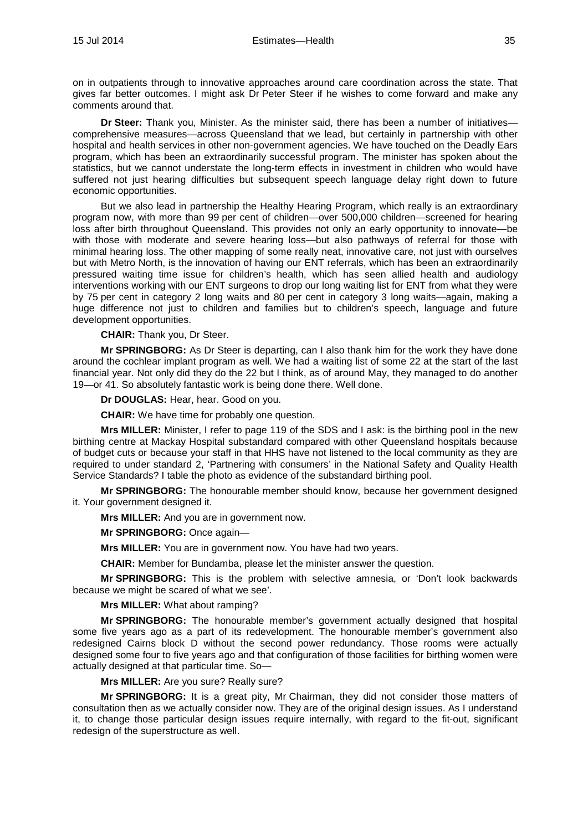on in outpatients through to innovative approaches around care coordination across the state. That gives far better outcomes. I might ask Dr Peter Steer if he wishes to come forward and make any comments around that.

**Dr Steer:** Thank you, Minister. As the minister said, there has been a number of initiatives comprehensive measures—across Queensland that we lead, but certainly in partnership with other hospital and health services in other non-government agencies. We have touched on the Deadly Ears program, which has been an extraordinarily successful program. The minister has spoken about the statistics, but we cannot understate the long-term effects in investment in children who would have suffered not just hearing difficulties but subsequent speech language delay right down to future economic opportunities.

But we also lead in partnership the Healthy Hearing Program, which really is an extraordinary program now, with more than 99 per cent of children—over 500,000 children—screened for hearing loss after birth throughout Queensland. This provides not only an early opportunity to innovate—be with those with moderate and severe hearing loss—but also pathways of referral for those with minimal hearing loss. The other mapping of some really neat, innovative care, not just with ourselves but with Metro North, is the innovation of having our ENT referrals, which has been an extraordinarily pressured waiting time issue for children's health, which has seen allied health and audiology interventions working with our ENT surgeons to drop our long waiting list for ENT from what they were by 75 per cent in category 2 long waits and 80 per cent in category 3 long waits—again, making a huge difference not just to children and families but to children's speech, language and future development opportunities.

**CHAIR:** Thank you, Dr Steer.

**Mr SPRINGBORG:** As Dr Steer is departing, can I also thank him for the work they have done around the cochlear implant program as well. We had a waiting list of some 22 at the start of the last financial year. Not only did they do the 22 but I think, as of around May, they managed to do another 19—or 41. So absolutely fantastic work is being done there. Well done.

**Dr DOUGLAS:** Hear, hear. Good on you.

**CHAIR:** We have time for probably one question.

**Mrs MILLER:** Minister, I refer to page 119 of the SDS and I ask: is the birthing pool in the new birthing centre at Mackay Hospital substandard compared with other Queensland hospitals because of budget cuts or because your staff in that HHS have not listened to the local community as they are required to under standard 2, 'Partnering with consumers' in the National Safety and Quality Health Service Standards? I table the photo as evidence of the substandard birthing pool.

**Mr SPRINGBORG:** The honourable member should know, because her government designed it. Your government designed it.

**Mrs MILLER:** And you are in government now.

**Mr SPRINGBORG:** Once again—

**Mrs MILLER:** You are in government now. You have had two years.

**CHAIR:** Member for Bundamba, please let the minister answer the question.

**Mr SPRINGBORG:** This is the problem with selective amnesia, or 'Don't look backwards because we might be scared of what we see'.

**Mrs MILLER:** What about ramping?

**Mr SPRINGBORG:** The honourable member's government actually designed that hospital some five years ago as a part of its redevelopment. The honourable member's government also redesigned Cairns block D without the second power redundancy. Those rooms were actually designed some four to five years ago and that configuration of those facilities for birthing women were actually designed at that particular time. So—

**Mrs MILLER:** Are you sure? Really sure?

**Mr SPRINGBORG:** It is a great pity, Mr Chairman, they did not consider those matters of consultation then as we actually consider now. They are of the original design issues. As I understand it, to change those particular design issues require internally, with regard to the fit-out, significant redesign of the superstructure as well.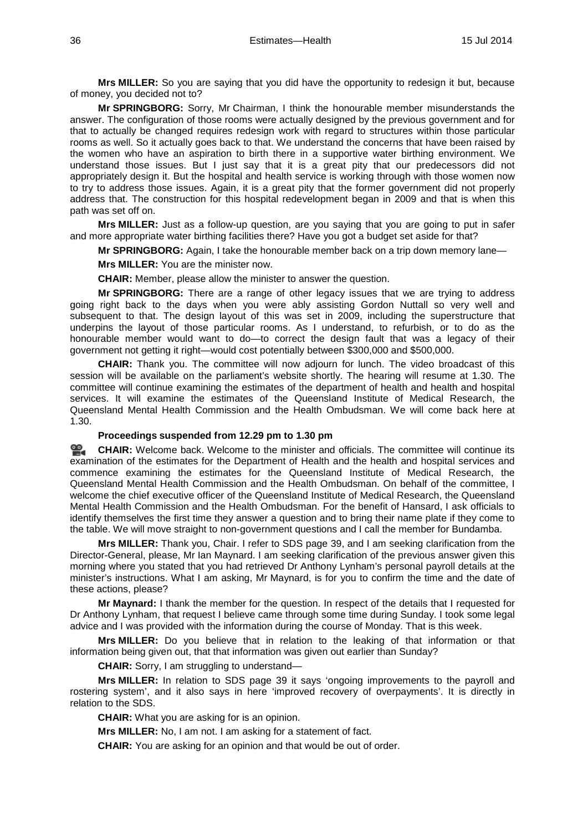**Mrs MILLER:** So you are saying that you did have the opportunity to redesign it but, because of money, you decided not to?

**Mr SPRINGBORG:** Sorry, Mr Chairman, I think the honourable member misunderstands the answer. The configuration of those rooms were actually designed by the previous government and for that to actually be changed requires redesign work with regard to structures within those particular rooms as well. So it actually goes back to that. We understand the concerns that have been raised by the women who have an aspiration to birth there in a supportive water birthing environment. We understand those issues. But I just say that it is a great pity that our predecessors did not appropriately design it. But the hospital and health service is working through with those women now to try to address those issues. Again, it is a great pity that the former government did not properly address that. The construction for this hospital redevelopment began in 2009 and that is when this path was set off on.

**Mrs MILLER:** Just as a follow-up question, are you saying that you are going to put in safer and more appropriate water birthing facilities there? Have you got a budget set aside for that?

**Mr SPRINGBORG:** Again, I take the honourable member back on a trip down memory lane—

**Mrs MILLER:** You are the minister now.

**CHAIR:** Member, please allow the minister to answer the question.

**Mr SPRINGBORG:** There are a range of other legacy issues that we are trying to address going right back to the days when you were ably assisting Gordon Nuttall so very well and subsequent to that. The design layout of this was set in 2009, including the superstructure that underpins the layout of those particular rooms. As I understand, to refurbish, or to do as the honourable member would want to do—to correct the design fault that was a legacy of their government not getting it right—would cost potentially between \$300,000 and \$500,000.

**CHAIR:** Thank you. The committee will now adjourn for lunch. The video broadcast of this session will be available on the parliament's website shortly. The hearing will resume at 1.30. The committee will continue examining the estimates of the department of health and health and hospital services. It will examine the estimates of the Queensland Institute of Medical Research, the Queensland Mental Health Commission and the Health Ombudsman. We will come back here at 1.30.

#### **Proceedings suspended from 12.29 pm to 1.30 pm**

≌. **[CHAIR:](http://www.parliament.qld.gov.au/docs/find.aspx?id=0MbaHCSC20140715_133040)** Welcome back. Welcome to the minister and officials. The committee will continue its examination of the estimates for the Department of Health and the health and hospital services and commence examining the estimates for the Queensland Institute of Medical Research, the Queensland Mental Health Commission and the Health Ombudsman. On behalf of the committee, I welcome the chief executive officer of the Queensland Institute of Medical Research, the Queensland Mental Health Commission and the Health Ombudsman. For the benefit of Hansard, I ask officials to identify themselves the first time they answer a question and to bring their name plate if they come to the table. We will move straight to non-government questions and I call the member for Bundamba.

**Mrs MILLER:** Thank you, Chair. I refer to SDS page 39, and I am seeking clarification from the Director-General, please, Mr Ian Maynard. I am seeking clarification of the previous answer given this morning where you stated that you had retrieved Dr Anthony Lynham's personal payroll details at the minister's instructions. What I am asking, Mr Maynard, is for you to confirm the time and the date of these actions, please?

**Mr Maynard:** I thank the member for the question. In respect of the details that I requested for Dr Anthony Lynham, that request I believe came through some time during Sunday. I took some legal advice and I was provided with the information during the course of Monday. That is this week.

**Mrs MILLER:** Do you believe that in relation to the leaking of that information or that information being given out, that that information was given out earlier than Sunday?

**CHAIR:** Sorry, I am struggling to understand—

**Mrs MILLER:** In relation to SDS page 39 it says 'ongoing improvements to the payroll and rostering system', and it also says in here 'improved recovery of overpayments'. It is directly in relation to the SDS.

**CHAIR:** What you are asking for is an opinion.

**Mrs MILLER:** No, I am not. I am asking for a statement of fact.

**CHAIR:** You are asking for an opinion and that would be out of order.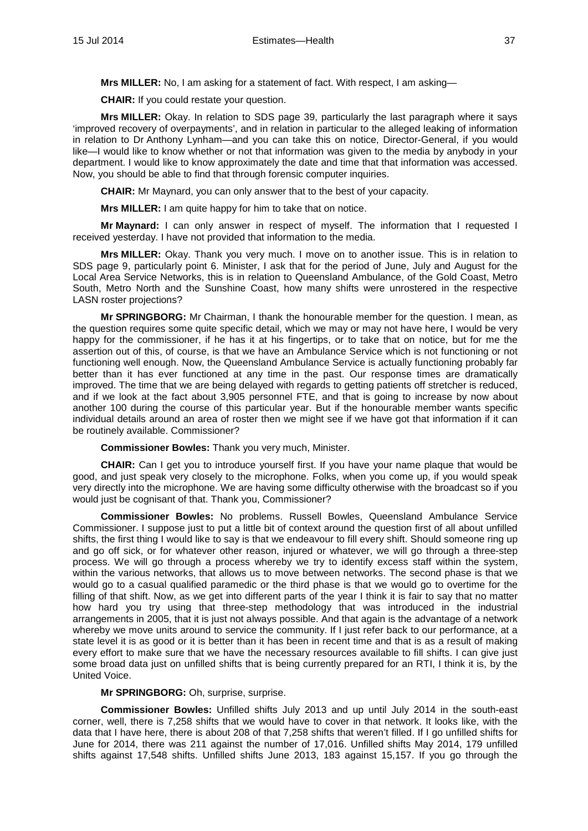**Mrs MILLER:** No, I am asking for a statement of fact. With respect, I am asking—

**CHAIR:** If you could restate your question.

**Mrs MILLER:** Okay. In relation to SDS page 39, particularly the last paragraph where it says 'improved recovery of overpayments', and in relation in particular to the alleged leaking of information in relation to Dr Anthony Lynham—and you can take this on notice, Director-General, if you would like—I would like to know whether or not that information was given to the media by anybody in your department. I would like to know approximately the date and time that that information was accessed. Now, you should be able to find that through forensic computer inquiries.

**CHAIR:** Mr Maynard, you can only answer that to the best of your capacity.

**Mrs MILLER:** I am quite happy for him to take that on notice.

**Mr Maynard:** I can only answer in respect of myself. The information that I requested I received yesterday. I have not provided that information to the media.

**Mrs MILLER:** Okay. Thank you very much. I move on to another issue. This is in relation to SDS page 9, particularly point 6. Minister, I ask that for the period of June, July and August for the Local Area Service Networks, this is in relation to Queensland Ambulance, of the Gold Coast, Metro South, Metro North and the Sunshine Coast, how many shifts were unrostered in the respective LASN roster projections?

**Mr SPRINGBORG:** Mr Chairman, I thank the honourable member for the question. I mean, as the question requires some quite specific detail, which we may or may not have here, I would be very happy for the commissioner, if he has it at his fingertips, or to take that on notice, but for me the assertion out of this, of course, is that we have an Ambulance Service which is not functioning or not functioning well enough. Now, the Queensland Ambulance Service is actually functioning probably far better than it has ever functioned at any time in the past. Our response times are dramatically improved. The time that we are being delayed with regards to getting patients off stretcher is reduced, and if we look at the fact about 3,905 personnel FTE, and that is going to increase by now about another 100 during the course of this particular year. But if the honourable member wants specific individual details around an area of roster then we might see if we have got that information if it can be routinely available. Commissioner?

**Commissioner Bowles:** Thank you very much, Minister.

**CHAIR:** Can I get you to introduce yourself first. If you have your name plaque that would be good, and just speak very closely to the microphone. Folks, when you come up, if you would speak very directly into the microphone. We are having some difficulty otherwise with the broadcast so if you would just be cognisant of that. Thank you, Commissioner?

**Commissioner Bowles:** No problems. Russell Bowles, Queensland Ambulance Service Commissioner. I suppose just to put a little bit of context around the question first of all about unfilled shifts, the first thing I would like to say is that we endeavour to fill every shift. Should someone ring up and go off sick, or for whatever other reason, injured or whatever, we will go through a three-step process. We will go through a process whereby we try to identify excess staff within the system, within the various networks, that allows us to move between networks. The second phase is that we would go to a casual qualified paramedic or the third phase is that we would go to overtime for the filling of that shift. Now, as we get into different parts of the year I think it is fair to say that no matter how hard you try using that three-step methodology that was introduced in the industrial arrangements in 2005, that it is just not always possible. And that again is the advantage of a network whereby we move units around to service the community. If I just refer back to our performance, at a state level it is as good or it is better than it has been in recent time and that is as a result of making every effort to make sure that we have the necessary resources available to fill shifts. I can give just some broad data just on unfilled shifts that is being currently prepared for an RTI, I think it is, by the United Voice.

## **Mr SPRINGBORG:** Oh, surprise, surprise.

**Commissioner Bowles:** Unfilled shifts July 2013 and up until July 2014 in the south-east corner, well, there is 7,258 shifts that we would have to cover in that network. It looks like, with the data that I have here, there is about 208 of that 7,258 shifts that weren't filled. If I go unfilled shifts for June for 2014, there was 211 against the number of 17,016. Unfilled shifts May 2014, 179 unfilled shifts against 17,548 shifts. Unfilled shifts June 2013, 183 against 15,157. If you go through the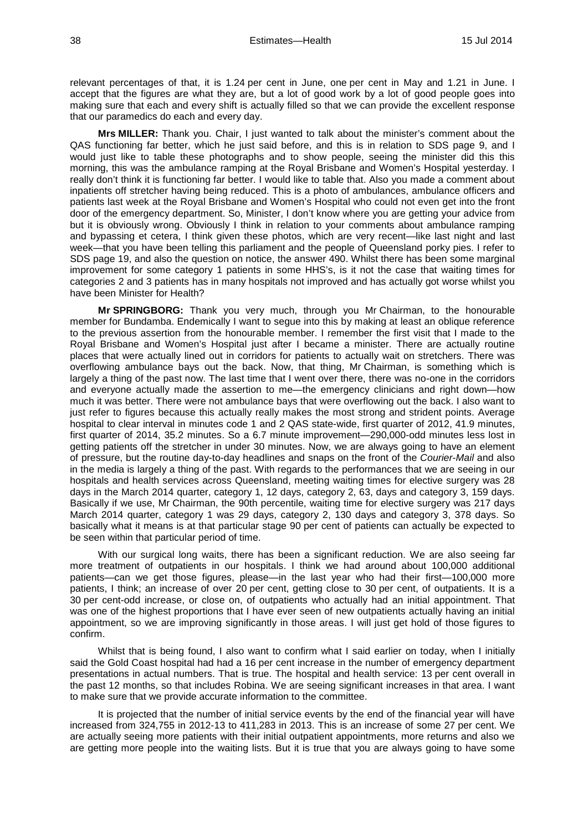relevant percentages of that, it is 1.24 per cent in June, one per cent in May and 1.21 in June. I accept that the figures are what they are, but a lot of good work by a lot of good people goes into making sure that each and every shift is actually filled so that we can provide the excellent response that our paramedics do each and every day.

**Mrs MILLER:** Thank you. Chair, I just wanted to talk about the minister's comment about the QAS functioning far better, which he just said before, and this is in relation to SDS page 9, and I would just like to table these photographs and to show people, seeing the minister did this this morning, this was the ambulance ramping at the Royal Brisbane and Women's Hospital yesterday. I really don't think it is functioning far better. I would like to table that. Also you made a comment about inpatients off stretcher having being reduced. This is a photo of ambulances, ambulance officers and patients last week at the Royal Brisbane and Women's Hospital who could not even get into the front door of the emergency department. So, Minister, I don't know where you are getting your advice from but it is obviously wrong. Obviously I think in relation to your comments about ambulance ramping and bypassing et cetera, I think given these photos, which are very recent—like last night and last week—that you have been telling this parliament and the people of Queensland porky pies. I refer to SDS page 19, and also the question on notice, the answer 490. Whilst there has been some marginal improvement for some category 1 patients in some HHS's, is it not the case that waiting times for categories 2 and 3 patients has in many hospitals not improved and has actually got worse whilst you have been Minister for Health?

**Mr SPRINGBORG:** Thank you very much, through you Mr Chairman, to the honourable member for Bundamba. Endemically I want to segue into this by making at least an oblique reference to the previous assertion from the honourable member. I remember the first visit that I made to the Royal Brisbane and Women's Hospital just after I became a minister. There are actually routine places that were actually lined out in corridors for patients to actually wait on stretchers. There was overflowing ambulance bays out the back. Now, that thing, Mr Chairman, is something which is largely a thing of the past now. The last time that I went over there, there was no-one in the corridors and everyone actually made the assertion to me—the emergency clinicians and right down—how much it was better. There were not ambulance bays that were overflowing out the back. I also want to just refer to figures because this actually really makes the most strong and strident points. Average hospital to clear interval in minutes code 1 and 2 QAS state-wide, first quarter of 2012, 41.9 minutes, first quarter of 2014, 35.2 minutes. So a 6.7 minute improvement—290,000-odd minutes less lost in getting patients off the stretcher in under 30 minutes. Now, we are always going to have an element of pressure, but the routine day-to-day headlines and snaps on the front of the *Courier-Mail* and also in the media is largely a thing of the past. With regards to the performances that we are seeing in our hospitals and health services across Queensland, meeting waiting times for elective surgery was 28 days in the March 2014 quarter, category 1, 12 days, category 2, 63, days and category 3, 159 days. Basically if we use, Mr Chairman, the 90th percentile, waiting time for elective surgery was 217 days March 2014 quarter, category 1 was 29 days, category 2, 130 days and category 3, 378 days. So basically what it means is at that particular stage 90 per cent of patients can actually be expected to be seen within that particular period of time.

With our surgical long waits, there has been a significant reduction. We are also seeing far more treatment of outpatients in our hospitals. I think we had around about 100,000 additional patients—can we get those figures, please—in the last year who had their first—100,000 more patients, I think; an increase of over 20 per cent, getting close to 30 per cent, of outpatients. It is a 30 per cent-odd increase, or close on, of outpatients who actually had an initial appointment. That was one of the highest proportions that I have ever seen of new outpatients actually having an initial appointment, so we are improving significantly in those areas. I will just get hold of those figures to confirm.

Whilst that is being found, I also want to confirm what I said earlier on today, when I initially said the Gold Coast hospital had had a 16 per cent increase in the number of emergency department presentations in actual numbers. That is true. The hospital and health service: 13 per cent overall in the past 12 months, so that includes Robina. We are seeing significant increases in that area. I want to make sure that we provide accurate information to the committee.

It is projected that the number of initial service events by the end of the financial year will have increased from 324,755 in 2012-13 to 411,283 in 2013. This is an increase of some 27 per cent. We are actually seeing more patients with their initial outpatient appointments, more returns and also we are getting more people into the waiting lists. But it is true that you are always going to have some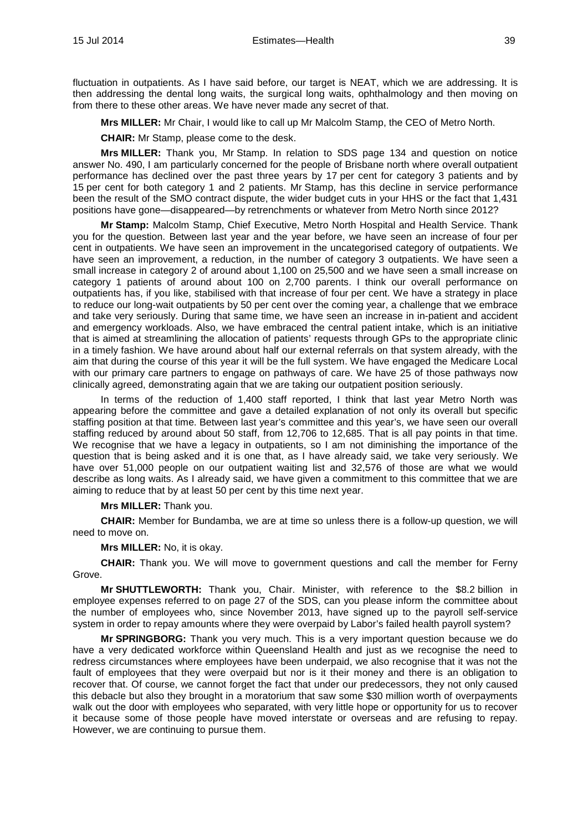fluctuation in outpatients. As I have said before, our target is NEAT, which we are addressing. It is then addressing the dental long waits, the surgical long waits, ophthalmology and then moving on from there to these other areas. We have never made any secret of that.

**Mrs MILLER:** Mr Chair, I would like to call up Mr Malcolm Stamp, the CEO of Metro North.

**CHAIR:** Mr Stamp, please come to the desk.

**Mrs MILLER:** Thank you, Mr Stamp. In relation to SDS page 134 and question on notice answer No. 490, I am particularly concerned for the people of Brisbane north where overall outpatient performance has declined over the past three years by 17 per cent for category 3 patients and by 15 per cent for both category 1 and 2 patients. Mr Stamp, has this decline in service performance been the result of the SMO contract dispute, the wider budget cuts in your HHS or the fact that 1,431 positions have gone—disappeared—by retrenchments or whatever from Metro North since 2012?

**Mr Stamp:** Malcolm Stamp, Chief Executive, Metro North Hospital and Health Service. Thank you for the question. Between last year and the year before, we have seen an increase of four per cent in outpatients. We have seen an improvement in the uncategorised category of outpatients. We have seen an improvement, a reduction, in the number of category 3 outpatients. We have seen a small increase in category 2 of around about 1,100 on 25,500 and we have seen a small increase on category 1 patients of around about 100 on 2,700 parents. I think our overall performance on outpatients has, if you like, stabilised with that increase of four per cent. We have a strategy in place to reduce our long-wait outpatients by 50 per cent over the coming year, a challenge that we embrace and take very seriously. During that same time, we have seen an increase in in-patient and accident and emergency workloads. Also, we have embraced the central patient intake, which is an initiative that is aimed at streamlining the allocation of patients' requests through GPs to the appropriate clinic in a timely fashion. We have around about half our external referrals on that system already, with the aim that during the course of this year it will be the full system. We have engaged the Medicare Local with our primary care partners to engage on pathways of care. We have 25 of those pathways now clinically agreed, demonstrating again that we are taking our outpatient position seriously.

In terms of the reduction of 1,400 staff reported, I think that last year Metro North was appearing before the committee and gave a detailed explanation of not only its overall but specific staffing position at that time. Between last year's committee and this year's, we have seen our overall staffing reduced by around about 50 staff, from 12,706 to 12,685. That is all pay points in that time. We recognise that we have a legacy in outpatients, so I am not diminishing the importance of the question that is being asked and it is one that, as I have already said, we take very seriously. We have over 51,000 people on our outpatient waiting list and 32,576 of those are what we would describe as long waits. As I already said, we have given a commitment to this committee that we are aiming to reduce that by at least 50 per cent by this time next year.

**Mrs MILLER:** Thank you.

**CHAIR:** Member for Bundamba, we are at time so unless there is a follow-up question, we will need to move on.

**Mrs MILLER:** No, it is okay.

**CHAIR:** Thank you. We will move to government questions and call the member for Ferny Grove.

**Mr SHUTTLEWORTH:** Thank you, Chair. Minister, with reference to the \$8.2 billion in employee expenses referred to on page 27 of the SDS, can you please inform the committee about the number of employees who, since November 2013, have signed up to the payroll self-service system in order to repay amounts where they were overpaid by Labor's failed health payroll system?

**Mr SPRINGBORG:** Thank you very much. This is a very important question because we do have a very dedicated workforce within Queensland Health and just as we recognise the need to redress circumstances where employees have been underpaid, we also recognise that it was not the fault of employees that they were overpaid but nor is it their money and there is an obligation to recover that. Of course, we cannot forget the fact that under our predecessors, they not only caused this debacle but also they brought in a moratorium that saw some \$30 million worth of overpayments walk out the door with employees who separated, with very little hope or opportunity for us to recover it because some of those people have moved interstate or overseas and are refusing to repay. However, we are continuing to pursue them.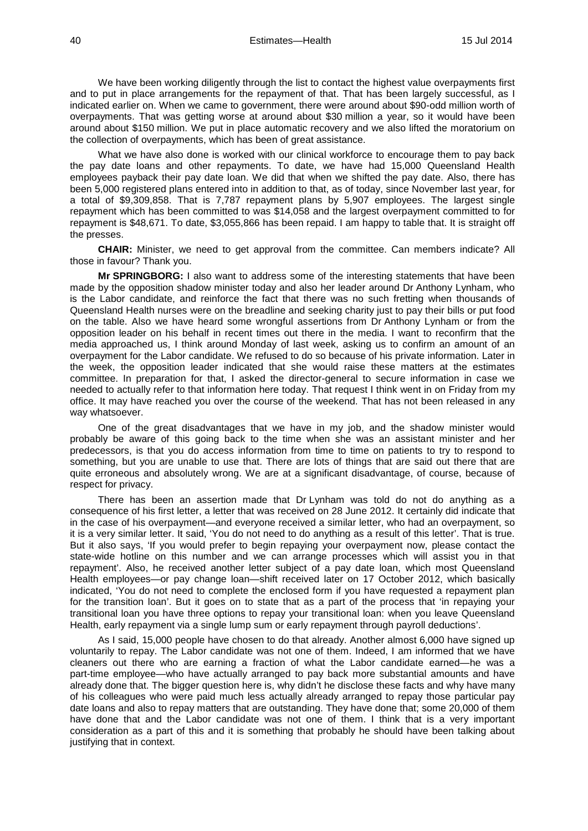We have been working diligently through the list to contact the highest value overpayments first and to put in place arrangements for the repayment of that. That has been largely successful, as I indicated earlier on. When we came to government, there were around about \$90-odd million worth of overpayments. That was getting worse at around about \$30 million a year, so it would have been around about \$150 million. We put in place automatic recovery and we also lifted the moratorium on the collection of overpayments, which has been of great assistance.

What we have also done is worked with our clinical workforce to encourage them to pay back the pay date loans and other repayments. To date, we have had 15,000 Queensland Health employees payback their pay date loan. We did that when we shifted the pay date. Also, there has been 5,000 registered plans entered into in addition to that, as of today, since November last year, for a total of \$9,309,858. That is 7,787 repayment plans by 5,907 employees. The largest single repayment which has been committed to was \$14,058 and the largest overpayment committed to for repayment is \$48,671. To date, \$3,055,866 has been repaid. I am happy to table that. It is straight off the presses.

**CHAIR:** Minister, we need to get approval from the committee. Can members indicate? All those in favour? Thank you.

**Mr SPRINGBORG:** I also want to address some of the interesting statements that have been made by the opposition shadow minister today and also her leader around Dr Anthony Lynham, who is the Labor candidate, and reinforce the fact that there was no such fretting when thousands of Queensland Health nurses were on the breadline and seeking charity just to pay their bills or put food on the table. Also we have heard some wrongful assertions from Dr Anthony Lynham or from the opposition leader on his behalf in recent times out there in the media. I want to reconfirm that the media approached us, I think around Monday of last week, asking us to confirm an amount of an overpayment for the Labor candidate. We refused to do so because of his private information. Later in the week, the opposition leader indicated that she would raise these matters at the estimates committee. In preparation for that, I asked the director-general to secure information in case we needed to actually refer to that information here today. That request I think went in on Friday from my office. It may have reached you over the course of the weekend. That has not been released in any way whatsoever.

One of the great disadvantages that we have in my job, and the shadow minister would probably be aware of this going back to the time when she was an assistant minister and her predecessors, is that you do access information from time to time on patients to try to respond to something, but you are unable to use that. There are lots of things that are said out there that are quite erroneous and absolutely wrong. We are at a significant disadvantage, of course, because of respect for privacy.

There has been an assertion made that Dr Lynham was told do not do anything as a consequence of his first letter, a letter that was received on 28 June 2012. It certainly did indicate that in the case of his overpayment—and everyone received a similar letter, who had an overpayment, so it is a very similar letter. It said, 'You do not need to do anything as a result of this letter'. That is true. But it also says, 'If you would prefer to begin repaying your overpayment now, please contact the state-wide hotline on this number and we can arrange processes which will assist you in that repayment'. Also, he received another letter subject of a pay date loan, which most Queensland Health employees—or pay change loan—shift received later on 17 October 2012, which basically indicated, 'You do not need to complete the enclosed form if you have requested a repayment plan for the transition loan'. But it goes on to state that as a part of the process that 'in repaying your transitional loan you have three options to repay your transitional loan: when you leave Queensland Health, early repayment via a single lump sum or early repayment through payroll deductions'.

As I said, 15,000 people have chosen to do that already. Another almost 6,000 have signed up voluntarily to repay. The Labor candidate was not one of them. Indeed, I am informed that we have cleaners out there who are earning a fraction of what the Labor candidate earned—he was a part-time employee—who have actually arranged to pay back more substantial amounts and have already done that. The bigger question here is, why didn't he disclose these facts and why have many of his colleagues who were paid much less actually already arranged to repay those particular pay date loans and also to repay matters that are outstanding. They have done that; some 20,000 of them have done that and the Labor candidate was not one of them. I think that is a very important consideration as a part of this and it is something that probably he should have been talking about justifying that in context.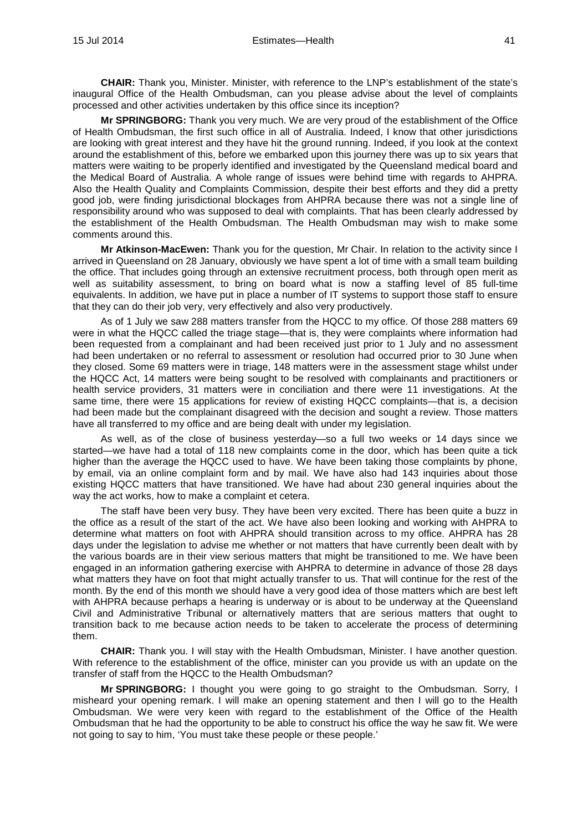**CHAIR:** Thank you, Minister. Minister, with reference to the LNP's establishment of the state's inaugural Office of the Health Ombudsman, can you please advise about the level of complaints processed and other activities undertaken by this office since its inception?

**Mr SPRINGBORG:** Thank you very much. We are very proud of the establishment of the Office of Health Ombudsman, the first such office in all of Australia. Indeed, I know that other jurisdictions are looking with great interest and they have hit the ground running. Indeed, if you look at the context around the establishment of this, before we embarked upon this journey there was up to six years that matters were waiting to be properly identified and investigated by the Queensland medical board and the Medical Board of Australia. A whole range of issues were behind time with regards to AHPRA. Also the Health Quality and Complaints Commission, despite their best efforts and they did a pretty good job, were finding jurisdictional blockages from AHPRA because there was not a single line of responsibility around who was supposed to deal with complaints. That has been clearly addressed by the establishment of the Health Ombudsman. The Health Ombudsman may wish to make some comments around this.

**Mr Atkinson-MacEwen:** Thank you for the question, Mr Chair. In relation to the activity since I arrived in Queensland on 28 January, obviously we have spent a lot of time with a small team building the office. That includes going through an extensive recruitment process, both through open merit as well as suitability assessment, to bring on board what is now a staffing level of 85 full-time equivalents. In addition, we have put in place a number of IT systems to support those staff to ensure that they can do their job very, very effectively and also very productively.

As of 1 July we saw 288 matters transfer from the HQCC to my office. Of those 288 matters 69 were in what the HQCC called the triage stage—that is, they were complaints where information had been requested from a complainant and had been received just prior to 1 July and no assessment had been undertaken or no referral to assessment or resolution had occurred prior to 30 June when they closed. Some 69 matters were in triage, 148 matters were in the assessment stage whilst under the HQCC Act, 14 matters were being sought to be resolved with complainants and practitioners or health service providers, 31 matters were in conciliation and there were 11 investigations. At the same time, there were 15 applications for review of existing HQCC complaints—that is, a decision had been made but the complainant disagreed with the decision and sought a review. Those matters have all transferred to my office and are being dealt with under my legislation.

As well, as of the close of business yesterday—so a full two weeks or 14 days since we started—we have had a total of 118 new complaints come in the door, which has been quite a tick higher than the average the HQCC used to have. We have been taking those complaints by phone, by email, via an online complaint form and by mail. We have also had 143 inquiries about those existing HQCC matters that have transitioned. We have had about 230 general inquiries about the way the act works, how to make a complaint et cetera.

The staff have been very busy. They have been very excited. There has been quite a buzz in the office as a result of the start of the act. We have also been looking and working with AHPRA to determine what matters on foot with AHPRA should transition across to my office. AHPRA has 28 days under the legislation to advise me whether or not matters that have currently been dealt with by the various boards are in their view serious matters that might be transitioned to me. We have been engaged in an information gathering exercise with AHPRA to determine in advance of those 28 days what matters they have on foot that might actually transfer to us. That will continue for the rest of the month. By the end of this month we should have a very good idea of those matters which are best left with AHPRA because perhaps a hearing is underway or is about to be underway at the Queensland Civil and Administrative Tribunal or alternatively matters that are serious matters that ought to transition back to me because action needs to be taken to accelerate the process of determining them.

**CHAIR:** Thank you. I will stay with the Health Ombudsman, Minister. I have another question. With reference to the establishment of the office, minister can you provide us with an update on the transfer of staff from the HQCC to the Health Ombudsman?

**Mr SPRINGBORG:** I thought you were going to go straight to the Ombudsman. Sorry, I misheard your opening remark. I will make an opening statement and then I will go to the Health Ombudsman. We were very keen with regard to the establishment of the Office of the Health Ombudsman that he had the opportunity to be able to construct his office the way he saw fit. We were not going to say to him, 'You must take these people or these people.'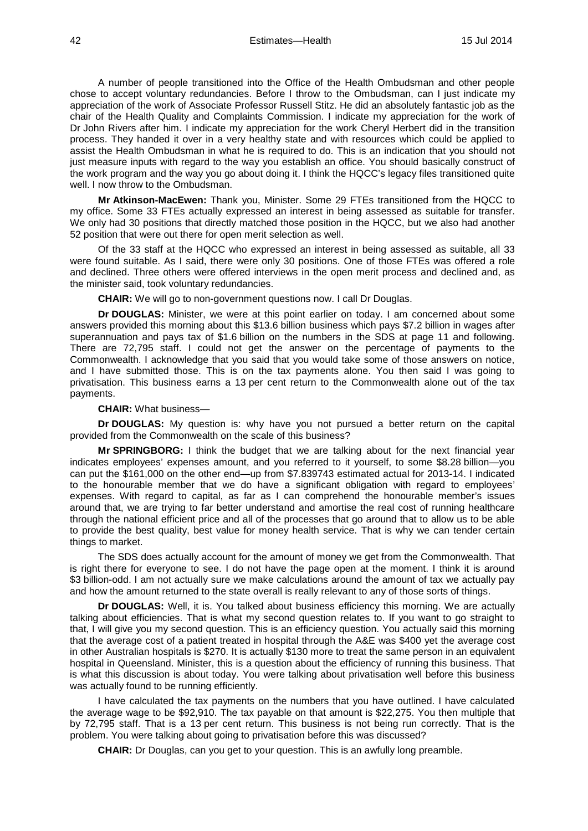42 Estimates—Health 15 Jul 2014

A number of people transitioned into the Office of the Health Ombudsman and other people chose to accept voluntary redundancies. Before I throw to the Ombudsman, can I just indicate my appreciation of the work of Associate Professor Russell Stitz. He did an absolutely fantastic job as the chair of the Health Quality and Complaints Commission. I indicate my appreciation for the work of Dr John Rivers after him. I indicate my appreciation for the work Cheryl Herbert did in the transition process. They handed it over in a very healthy state and with resources which could be applied to assist the Health Ombudsman in what he is required to do. This is an indication that you should not just measure inputs with regard to the way you establish an office. You should basically construct of the work program and the way you go about doing it. I think the HQCC's legacy files transitioned quite well. I now throw to the Ombudsman.

**Mr Atkinson-MacEwen:** Thank you, Minister. Some 29 FTEs transitioned from the HQCC to my office. Some 33 FTEs actually expressed an interest in being assessed as suitable for transfer. We only had 30 positions that directly matched those position in the HQCC, but we also had another 52 position that were out there for open merit selection as well.

Of the 33 staff at the HQCC who expressed an interest in being assessed as suitable, all 33 were found suitable. As I said, there were only 30 positions. One of those FTEs was offered a role and declined. Three others were offered interviews in the open merit process and declined and, as the minister said, took voluntary redundancies.

**CHAIR:** We will go to non-government questions now. I call Dr Douglas.

**Dr DOUGLAS:** Minister, we were at this point earlier on today. I am concerned about some answers provided this morning about this \$13.6 billion business which pays \$7.2 billion in wages after superannuation and pays tax of \$1.6 billion on the numbers in the SDS at page 11 and following. There are 72,795 staff. I could not get the answer on the percentage of payments to the Commonwealth. I acknowledge that you said that you would take some of those answers on notice, and I have submitted those. This is on the tax payments alone. You then said I was going to privatisation. This business earns a 13 per cent return to the Commonwealth alone out of the tax payments.

**CHAIR:** What business—

**Dr DOUGLAS:** My question is: why have you not pursued a better return on the capital provided from the Commonwealth on the scale of this business?

**Mr SPRINGBORG:** I think the budget that we are talking about for the next financial year indicates employees' expenses amount, and you referred to it yourself, to some \$8.28 billion—you can put the \$161,000 on the other end—up from \$7.839743 estimated actual for 2013-14. I indicated to the honourable member that we do have a significant obligation with regard to employees' expenses. With regard to capital, as far as I can comprehend the honourable member's issues around that, we are trying to far better understand and amortise the real cost of running healthcare through the national efficient price and all of the processes that go around that to allow us to be able to provide the best quality, best value for money health service. That is why we can tender certain things to market.

The SDS does actually account for the amount of money we get from the Commonwealth. That is right there for everyone to see. I do not have the page open at the moment. I think it is around \$3 billion-odd. I am not actually sure we make calculations around the amount of tax we actually pay and how the amount returned to the state overall is really relevant to any of those sorts of things.

**Dr DOUGLAS:** Well, it is. You talked about business efficiency this morning. We are actually talking about efficiencies. That is what my second question relates to. If you want to go straight to that, I will give you my second question. This is an efficiency question. You actually said this morning that the average cost of a patient treated in hospital through the A&E was \$400 yet the average cost in other Australian hospitals is \$270. It is actually \$130 more to treat the same person in an equivalent hospital in Queensland. Minister, this is a question about the efficiency of running this business. That is what this discussion is about today. You were talking about privatisation well before this business was actually found to be running efficiently.

I have calculated the tax payments on the numbers that you have outlined. I have calculated the average wage to be \$92,910. The tax payable on that amount is \$22,275. You then multiple that by 72,795 staff. That is a 13 per cent return. This business is not being run correctly. That is the problem. You were talking about going to privatisation before this was discussed?

**CHAIR:** Dr Douglas, can you get to your question. This is an awfully long preamble.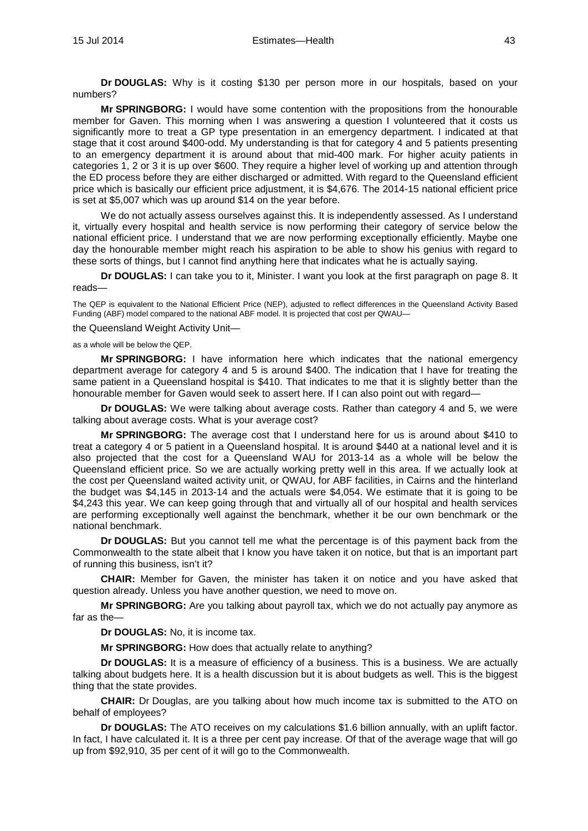**Dr DOUGLAS:** Why is it costing \$130 per person more in our hospitals, based on your numbers?

**Mr SPRINGBORG:** I would have some contention with the propositions from the honourable member for Gaven. This morning when I was answering a question I volunteered that it costs us significantly more to treat a GP type presentation in an emergency department. I indicated at that stage that it cost around \$400-odd. My understanding is that for category 4 and 5 patients presenting to an emergency department it is around about that mid-400 mark. For higher acuity patients in categories 1, 2 or 3 it is up over \$600. They require a higher level of working up and attention through the ED process before they are either discharged or admitted. With regard to the Queensland efficient price which is basically our efficient price adjustment, it is \$4,676. The 2014-15 national efficient price is set at \$5,007 which was up around \$14 on the year before.

We do not actually assess ourselves against this. It is independently assessed. As I understand it, virtually every hospital and health service is now performing their category of service below the national efficient price. I understand that we are now performing exceptionally efficiently. Maybe one day the honourable member might reach his aspiration to be able to show his genius with regard to these sorts of things, but I cannot find anything here that indicates what he is actually saying.

**Dr DOUGLAS:** I can take you to it, Minister. I want you look at the first paragraph on page 8. It reads—

The QEP is equivalent to the National Efficient Price (NEP), adjusted to reflect differences in the Queensland Activity Based Funding (ABF) model compared to the national ABF model. It is projected that cost per QWAU—

the Queensland Weight Activity Unit—

as a whole will be below the QEP.

**Mr SPRINGBORG:** I have information here which indicates that the national emergency department average for category 4 and 5 is around \$400. The indication that I have for treating the same patient in a Queensland hospital is \$410. That indicates to me that it is slightly better than the honourable member for Gaven would seek to assert here. If I can also point out with regard—

**Dr DOUGLAS:** We were talking about average costs. Rather than category 4 and 5, we were talking about average costs. What is your average cost?

**Mr SPRINGBORG:** The average cost that I understand here for us is around about \$410 to treat a category 4 or 5 patient in a Queensland hospital. It is around \$440 at a national level and it is also projected that the cost for a Queensland WAU for 2013-14 as a whole will be below the Queensland efficient price. So we are actually working pretty well in this area. If we actually look at the cost per Queensland waited activity unit, or QWAU, for ABF facilities, in Cairns and the hinterland the budget was \$4,145 in 2013-14 and the actuals were \$4,054. We estimate that it is going to be \$4,243 this year. We can keep going through that and virtually all of our hospital and health services are performing exceptionally well against the benchmark, whether it be our own benchmark or the national benchmark.

**Dr DOUGLAS:** But you cannot tell me what the percentage is of this payment back from the Commonwealth to the state albeit that I know you have taken it on notice, but that is an important part of running this business, isn't it?

**CHAIR:** Member for Gaven, the minister has taken it on notice and you have asked that question already. Unless you have another question, we need to move on.

**Mr SPRINGBORG:** Are you talking about payroll tax, which we do not actually pay anymore as far as the—

**Dr DOUGLAS:** No, it is income tax.

**Mr SPRINGBORG:** How does that actually relate to anything?

**Dr DOUGLAS:** It is a measure of efficiency of a business. This is a business. We are actually talking about budgets here. It is a health discussion but it is about budgets as well. This is the biggest thing that the state provides.

**CHAIR:** Dr Douglas, are you talking about how much income tax is submitted to the ATO on behalf of employees?

**Dr DOUGLAS:** The ATO receives on my calculations \$1.6 billion annually, with an uplift factor. In fact, I have calculated it. It is a three per cent pay increase. Of that of the average wage that will go up from \$92,910, 35 per cent of it will go to the Commonwealth.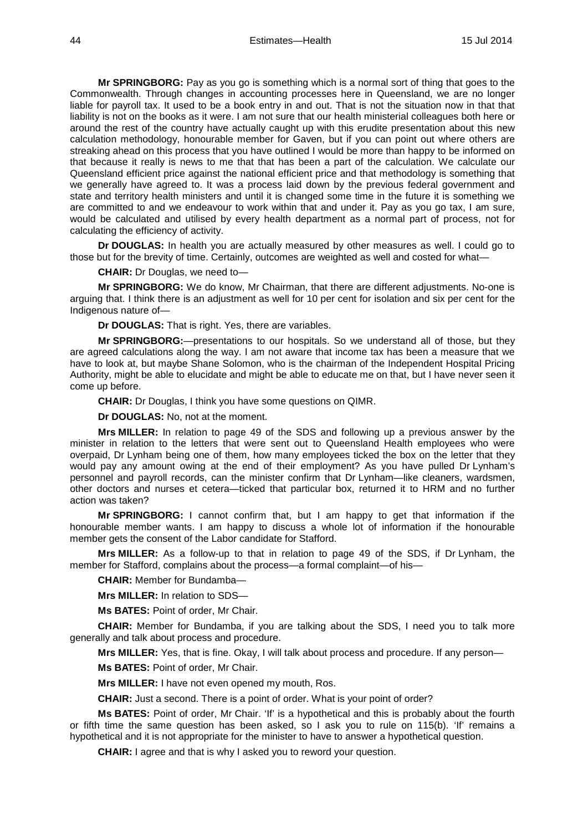**Mr SPRINGBORG:** Pay as you go is something which is a normal sort of thing that goes to the Commonwealth. Through changes in accounting processes here in Queensland, we are no longer liable for payroll tax. It used to be a book entry in and out. That is not the situation now in that that liability is not on the books as it were. I am not sure that our health ministerial colleagues both here or around the rest of the country have actually caught up with this erudite presentation about this new calculation methodology, honourable member for Gaven, but if you can point out where others are streaking ahead on this process that you have outlined I would be more than happy to be informed on that because it really is news to me that that has been a part of the calculation. We calculate our Queensland efficient price against the national efficient price and that methodology is something that we generally have agreed to. It was a process laid down by the previous federal government and state and territory health ministers and until it is changed some time in the future it is something we are committed to and we endeavour to work within that and under it. Pay as you go tax, I am sure, would be calculated and utilised by every health department as a normal part of process, not for calculating the efficiency of activity.

**Dr DOUGLAS:** In health you are actually measured by other measures as well. I could go to those but for the brevity of time. Certainly, outcomes are weighted as well and costed for what—

**CHAIR:** Dr Douglas, we need to—

**Mr SPRINGBORG:** We do know, Mr Chairman, that there are different adjustments. No-one is arguing that. I think there is an adjustment as well for 10 per cent for isolation and six per cent for the Indigenous nature of—

**Dr DOUGLAS:** That is right. Yes, there are variables.

**Mr SPRINGBORG:**—presentations to our hospitals. So we understand all of those, but they are agreed calculations along the way. I am not aware that income tax has been a measure that we have to look at, but maybe Shane Solomon, who is the chairman of the Independent Hospital Pricing Authority, might be able to elucidate and might be able to educate me on that, but I have never seen it come up before.

**CHAIR:** Dr Douglas, I think you have some questions on QIMR.

**Dr DOUGLAS:** No, not at the moment.

**Mrs MILLER:** In relation to page 49 of the SDS and following up a previous answer by the minister in relation to the letters that were sent out to Queensland Health employees who were overpaid, Dr Lynham being one of them, how many employees ticked the box on the letter that they would pay any amount owing at the end of their employment? As you have pulled Dr Lynham's personnel and payroll records, can the minister confirm that Dr Lynham—like cleaners, wardsmen, other doctors and nurses et cetera—ticked that particular box, returned it to HRM and no further action was taken?

**Mr SPRINGBORG:** I cannot confirm that, but I am happy to get that information if the honourable member wants. I am happy to discuss a whole lot of information if the honourable member gets the consent of the Labor candidate for Stafford.

**Mrs MILLER:** As a follow-up to that in relation to page 49 of the SDS, if Dr Lynham, the member for Stafford, complains about the process—a formal complaint—of his—

**CHAIR:** Member for Bundamba—

**Mrs MILLER:** In relation to SDS—

**Ms BATES:** Point of order, Mr Chair.

**CHAIR:** Member for Bundamba, if you are talking about the SDS, I need you to talk more generally and talk about process and procedure.

**Mrs MILLER:** Yes, that is fine. Okay, I will talk about process and procedure. If any person— **Ms BATES:** Point of order, Mr Chair.

**Mrs MILLER:** I have not even opened my mouth, Ros.

**CHAIR:** Just a second. There is a point of order. What is your point of order?

**Ms BATES:** Point of order, Mr Chair. 'If' is a hypothetical and this is probably about the fourth or fifth time the same question has been asked, so I ask you to rule on 115(b). 'If' remains a hypothetical and it is not appropriate for the minister to have to answer a hypothetical question.

**CHAIR:** I agree and that is why I asked you to reword your question.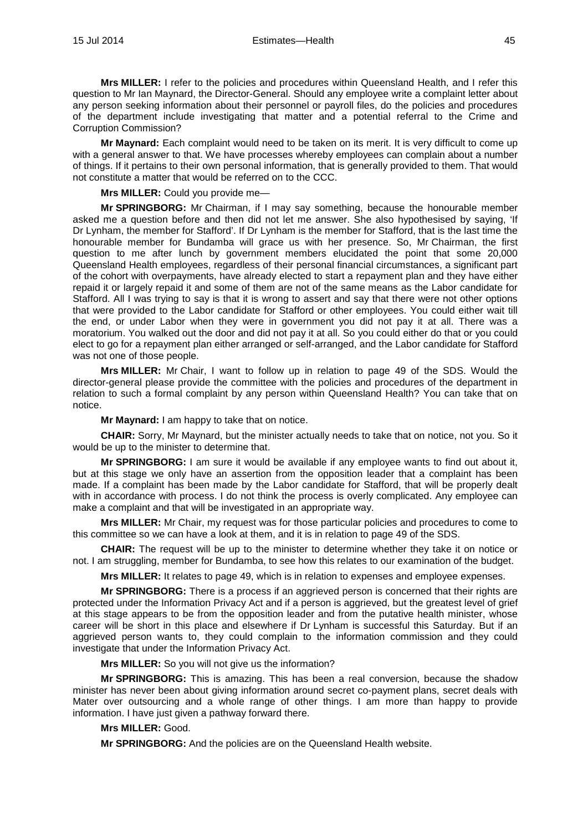**Mrs MILLER:** I refer to the policies and procedures within Queensland Health, and I refer this question to Mr Ian Maynard, the Director-General. Should any employee write a complaint letter about any person seeking information about their personnel or payroll files, do the policies and procedures of the department include investigating that matter and a potential referral to the Crime and Corruption Commission?

**Mr Maynard:** Each complaint would need to be taken on its merit. It is very difficult to come up with a general answer to that. We have processes whereby employees can complain about a number of things. If it pertains to their own personal information, that is generally provided to them. That would not constitute a matter that would be referred on to the CCC.

**Mrs MILLER:** Could you provide me—

**Mr SPRINGBORG:** Mr Chairman, if I may say something, because the honourable member asked me a question before and then did not let me answer. She also hypothesised by saying, 'If Dr Lynham, the member for Stafford'. If Dr Lynham is the member for Stafford, that is the last time the honourable member for Bundamba will grace us with her presence. So, Mr Chairman, the first question to me after lunch by government members elucidated the point that some 20,000 Queensland Health employees, regardless of their personal financial circumstances, a significant part of the cohort with overpayments, have already elected to start a repayment plan and they have either repaid it or largely repaid it and some of them are not of the same means as the Labor candidate for Stafford. All I was trying to say is that it is wrong to assert and say that there were not other options that were provided to the Labor candidate for Stafford or other employees. You could either wait till the end, or under Labor when they were in government you did not pay it at all. There was a moratorium. You walked out the door and did not pay it at all. So you could either do that or you could elect to go for a repayment plan either arranged or self-arranged, and the Labor candidate for Stafford was not one of those people.

**Mrs MILLER:** Mr Chair, I want to follow up in relation to page 49 of the SDS. Would the director-general please provide the committee with the policies and procedures of the department in relation to such a formal complaint by any person within Queensland Health? You can take that on notice.

**Mr Maynard:** I am happy to take that on notice.

**CHAIR:** Sorry, Mr Maynard, but the minister actually needs to take that on notice, not you. So it would be up to the minister to determine that.

**Mr SPRINGBORG:** I am sure it would be available if any employee wants to find out about it, but at this stage we only have an assertion from the opposition leader that a complaint has been made. If a complaint has been made by the Labor candidate for Stafford, that will be properly dealt with in accordance with process. I do not think the process is overly complicated. Any employee can make a complaint and that will be investigated in an appropriate way.

**Mrs MILLER:** Mr Chair, my request was for those particular policies and procedures to come to this committee so we can have a look at them, and it is in relation to page 49 of the SDS.

**CHAIR:** The request will be up to the minister to determine whether they take it on notice or not. I am struggling, member for Bundamba, to see how this relates to our examination of the budget.

**Mrs MILLER:** It relates to page 49, which is in relation to expenses and employee expenses.

**Mr SPRINGBORG:** There is a process if an aggrieved person is concerned that their rights are protected under the Information Privacy Act and if a person is aggrieved, but the greatest level of grief at this stage appears to be from the opposition leader and from the putative health minister, whose career will be short in this place and elsewhere if Dr Lynham is successful this Saturday. But if an aggrieved person wants to, they could complain to the information commission and they could investigate that under the Information Privacy Act.

**Mrs MILLER:** So you will not give us the information?

**Mr SPRINGBORG:** This is amazing. This has been a real conversion, because the shadow minister has never been about giving information around secret co-payment plans, secret deals with Mater over outsourcing and a whole range of other things. I am more than happy to provide information. I have just given a pathway forward there.

## **Mrs MILLER:** Good.

**Mr SPRINGBORG:** And the policies are on the Queensland Health website.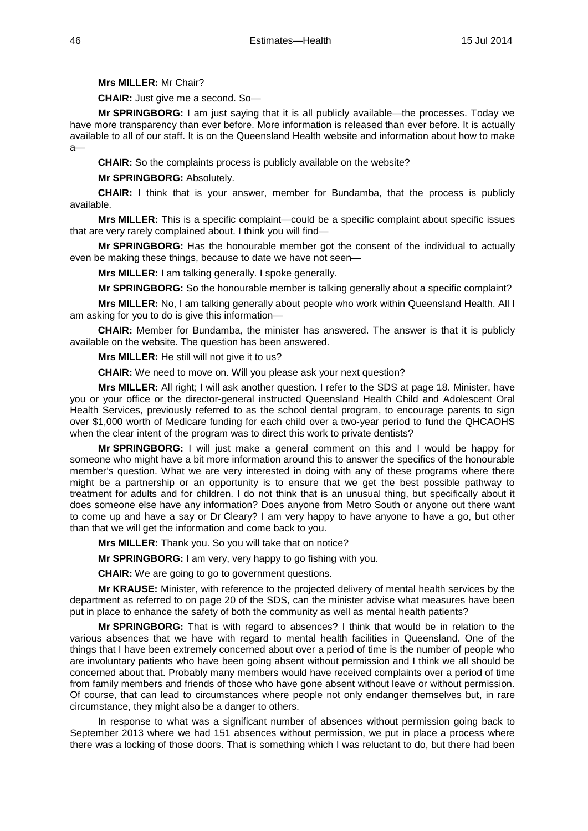**Mrs MILLER:** Mr Chair?

**CHAIR:** Just give me a second. So—

**Mr SPRINGBORG:** I am just saying that it is all publicly available—the processes. Today we have more transparency than ever before. More information is released than ever before. It is actually available to all of our staff. It is on the Queensland Health website and information about how to make a—

**CHAIR:** So the complaints process is publicly available on the website?

**Mr SPRINGBORG:** Absolutely.

**CHAIR:** I think that is your answer, member for Bundamba, that the process is publicly available.

**Mrs MILLER:** This is a specific complaint—could be a specific complaint about specific issues that are very rarely complained about. I think you will find—

**Mr SPRINGBORG:** Has the honourable member got the consent of the individual to actually even be making these things, because to date we have not seen—

**Mrs MILLER:** I am talking generally. I spoke generally.

**Mr SPRINGBORG:** So the honourable member is talking generally about a specific complaint?

**Mrs MILLER:** No, I am talking generally about people who work within Queensland Health. All I am asking for you to do is give this information—

**CHAIR:** Member for Bundamba, the minister has answered. The answer is that it is publicly available on the website. The question has been answered.

**Mrs MILLER:** He still will not give it to us?

**CHAIR:** We need to move on. Will you please ask your next question?

**Mrs MILLER:** All right; I will ask another question. I refer to the SDS at page 18. Minister, have you or your office or the director-general instructed Queensland Health Child and Adolescent Oral Health Services, previously referred to as the school dental program, to encourage parents to sign over \$1,000 worth of Medicare funding for each child over a two-year period to fund the QHCAOHS when the clear intent of the program was to direct this work to private dentists?

**Mr SPRINGBORG:** I will just make a general comment on this and I would be happy for someone who might have a bit more information around this to answer the specifics of the honourable member's question. What we are very interested in doing with any of these programs where there might be a partnership or an opportunity is to ensure that we get the best possible pathway to treatment for adults and for children. I do not think that is an unusual thing, but specifically about it does someone else have any information? Does anyone from Metro South or anyone out there want to come up and have a say or Dr Cleary? I am very happy to have anyone to have a go, but other than that we will get the information and come back to you.

**Mrs MILLER:** Thank you. So you will take that on notice?

**Mr SPRINGBORG:** I am very, very happy to go fishing with you.

**CHAIR:** We are going to go to government questions.

**Mr KRAUSE:** Minister, with reference to the projected delivery of mental health services by the department as referred to on page 20 of the SDS, can the minister advise what measures have been put in place to enhance the safety of both the community as well as mental health patients?

**Mr SPRINGBORG:** That is with regard to absences? I think that would be in relation to the various absences that we have with regard to mental health facilities in Queensland. One of the things that I have been extremely concerned about over a period of time is the number of people who are involuntary patients who have been going absent without permission and I think we all should be concerned about that. Probably many members would have received complaints over a period of time from family members and friends of those who have gone absent without leave or without permission. Of course, that can lead to circumstances where people not only endanger themselves but, in rare circumstance, they might also be a danger to others.

In response to what was a significant number of absences without permission going back to September 2013 where we had 151 absences without permission, we put in place a process where there was a locking of those doors. That is something which I was reluctant to do, but there had been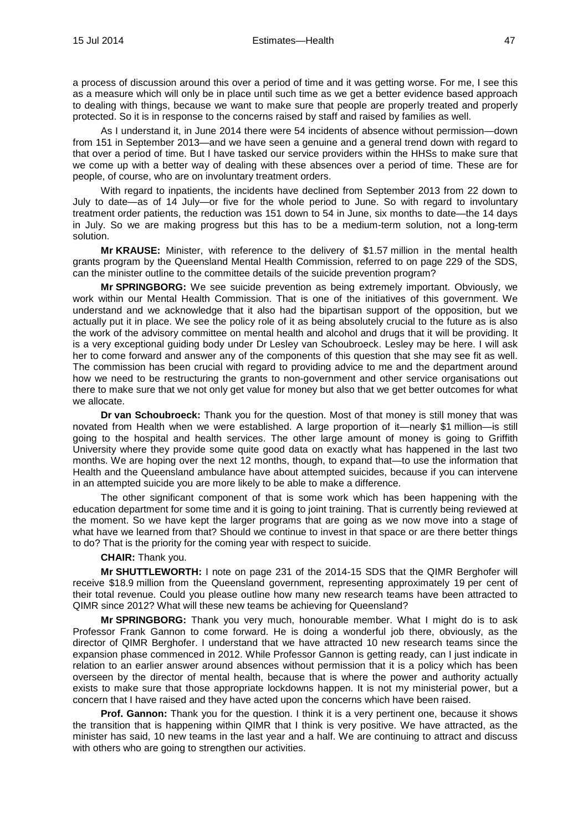a process of discussion around this over a period of time and it was getting worse. For me, I see this as a measure which will only be in place until such time as we get a better evidence based approach to dealing with things, because we want to make sure that people are properly treated and properly protected. So it is in response to the concerns raised by staff and raised by families as well.

As I understand it, in June 2014 there were 54 incidents of absence without permission—down from 151 in September 2013—and we have seen a genuine and a general trend down with regard to that over a period of time. But I have tasked our service providers within the HHSs to make sure that we come up with a better way of dealing with these absences over a period of time. These are for people, of course, who are on involuntary treatment orders.

With regard to inpatients, the incidents have declined from September 2013 from 22 down to July to date—as of 14 July—or five for the whole period to June. So with regard to involuntary treatment order patients, the reduction was 151 down to 54 in June, six months to date—the 14 days in July. So we are making progress but this has to be a medium-term solution, not a long-term solution.

**Mr KRAUSE:** Minister, with reference to the delivery of \$1.57 million in the mental health grants program by the Queensland Mental Health Commission, referred to on page 229 of the SDS, can the minister outline to the committee details of the suicide prevention program?

**Mr SPRINGBORG:** We see suicide prevention as being extremely important. Obviously, we work within our Mental Health Commission. That is one of the initiatives of this government. We understand and we acknowledge that it also had the bipartisan support of the opposition, but we actually put it in place. We see the policy role of it as being absolutely crucial to the future as is also the work of the advisory committee on mental health and alcohol and drugs that it will be providing. It is a very exceptional guiding body under Dr Lesley van Schoubroeck. Lesley may be here. I will ask her to come forward and answer any of the components of this question that she may see fit as well. The commission has been crucial with regard to providing advice to me and the department around how we need to be restructuring the grants to non-government and other service organisations out there to make sure that we not only get value for money but also that we get better outcomes for what we allocate.

**Dr van Schoubroeck:** Thank you for the question. Most of that money is still money that was novated from Health when we were established. A large proportion of it—nearly \$1 million—is still going to the hospital and health services. The other large amount of money is going to Griffith University where they provide some quite good data on exactly what has happened in the last two months. We are hoping over the next 12 months, though, to expand that—to use the information that Health and the Queensland ambulance have about attempted suicides, because if you can intervene in an attempted suicide you are more likely to be able to make a difference.

The other significant component of that is some work which has been happening with the education department for some time and it is going to joint training. That is currently being reviewed at the moment. So we have kept the larger programs that are going as we now move into a stage of what have we learned from that? Should we continue to invest in that space or are there better things to do? That is the priority for the coming year with respect to suicide.

## **CHAIR:** Thank you.

**Mr SHUTTLEWORTH:** I note on page 231 of the 2014-15 SDS that the QIMR Berghofer will receive \$18.9 million from the Queensland government, representing approximately 19 per cent of their total revenue. Could you please outline how many new research teams have been attracted to QIMR since 2012? What will these new teams be achieving for Queensland?

**Mr SPRINGBORG:** Thank you very much, honourable member. What I might do is to ask Professor Frank Gannon to come forward. He is doing a wonderful job there, obviously, as the director of QIMR Berghofer. I understand that we have attracted 10 new research teams since the expansion phase commenced in 2012. While Professor Gannon is getting ready, can I just indicate in relation to an earlier answer around absences without permission that it is a policy which has been overseen by the director of mental health, because that is where the power and authority actually exists to make sure that those appropriate lockdowns happen. It is not my ministerial power, but a concern that I have raised and they have acted upon the concerns which have been raised.

**Prof. Gannon:** Thank you for the question. I think it is a very pertinent one, because it shows the transition that is happening within QIMR that I think is very positive. We have attracted, as the minister has said, 10 new teams in the last year and a half. We are continuing to attract and discuss with others who are going to strengthen our activities.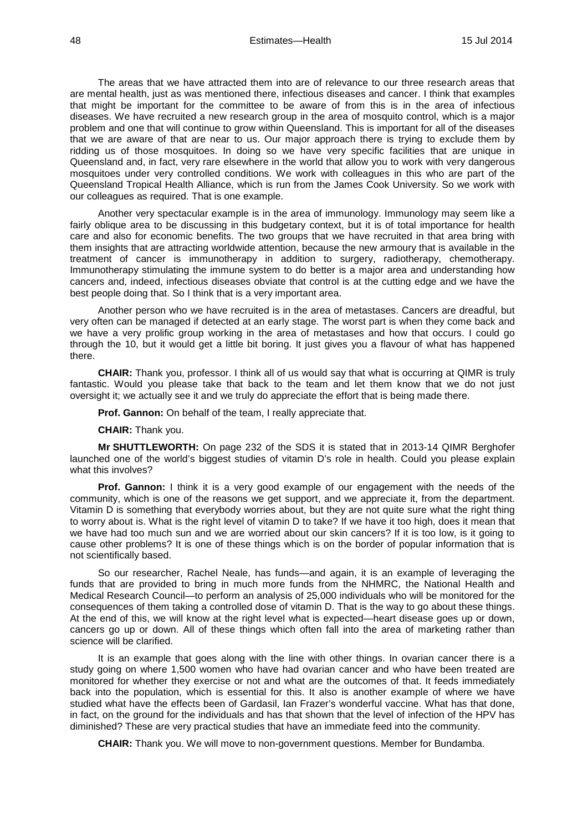The areas that we have attracted them into are of relevance to our three research areas that are mental health, just as was mentioned there, infectious diseases and cancer. I think that examples that might be important for the committee to be aware of from this is in the area of infectious diseases. We have recruited a new research group in the area of mosquito control, which is a major problem and one that will continue to grow within Queensland. This is important for all of the diseases that we are aware of that are near to us. Our major approach there is trying to exclude them by ridding us of those mosquitoes. In doing so we have very specific facilities that are unique in Queensland and, in fact, very rare elsewhere in the world that allow you to work with very dangerous mosquitoes under very controlled conditions. We work with colleagues in this who are part of the Queensland Tropical Health Alliance, which is run from the James Cook University. So we work with our colleagues as required. That is one example.

Another very spectacular example is in the area of immunology. Immunology may seem like a fairly oblique area to be discussing in this budgetary context, but it is of total importance for health care and also for economic benefits. The two groups that we have recruited in that area bring with them insights that are attracting worldwide attention, because the new armoury that is available in the treatment of cancer is immunotherapy in addition to surgery, radiotherapy, chemotherapy. Immunotherapy stimulating the immune system to do better is a major area and understanding how cancers and, indeed, infectious diseases obviate that control is at the cutting edge and we have the best people doing that. So I think that is a very important area.

Another person who we have recruited is in the area of metastases. Cancers are dreadful, but very often can be managed if detected at an early stage. The worst part is when they come back and we have a very prolific group working in the area of metastases and how that occurs. I could go through the 10, but it would get a little bit boring. It just gives you a flavour of what has happened there.

**CHAIR:** Thank you, professor. I think all of us would say that what is occurring at QIMR is truly fantastic. Would you please take that back to the team and let them know that we do not just oversight it; we actually see it and we truly do appreciate the effort that is being made there.

**Prof. Gannon:** On behalf of the team, I really appreciate that.

#### **CHAIR:** Thank you.

**Mr SHUTTLEWORTH:** On page 232 of the SDS it is stated that in 2013-14 QIMR Berghofer launched one of the world's biggest studies of vitamin D's role in health. Could you please explain what this involves?

**Prof. Gannon:** I think it is a very good example of our engagement with the needs of the community, which is one of the reasons we get support, and we appreciate it, from the department. Vitamin D is something that everybody worries about, but they are not quite sure what the right thing to worry about is. What is the right level of vitamin D to take? If we have it too high, does it mean that we have had too much sun and we are worried about our skin cancers? If it is too low, is it going to cause other problems? It is one of these things which is on the border of popular information that is not scientifically based.

So our researcher, Rachel Neale, has funds—and again, it is an example of leveraging the funds that are provided to bring in much more funds from the NHMRC, the National Health and Medical Research Council—to perform an analysis of 25,000 individuals who will be monitored for the consequences of them taking a controlled dose of vitamin D. That is the way to go about these things. At the end of this, we will know at the right level what is expected—heart disease goes up or down, cancers go up or down. All of these things which often fall into the area of marketing rather than science will be clarified.

It is an example that goes along with the line with other things. In ovarian cancer there is a study going on where 1,500 women who have had ovarian cancer and who have been treated are monitored for whether they exercise or not and what are the outcomes of that. It feeds immediately back into the population, which is essential for this. It also is another example of where we have studied what have the effects been of Gardasil, Ian Frazer's wonderful vaccine. What has that done, in fact, on the ground for the individuals and has that shown that the level of infection of the HPV has diminished? These are very practical studies that have an immediate feed into the community.

**CHAIR:** Thank you. We will move to non-government questions. Member for Bundamba.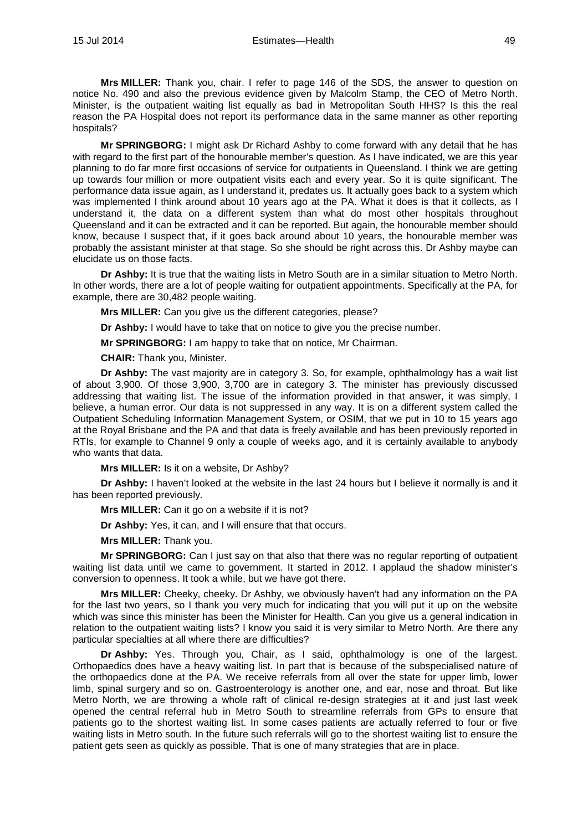**Mrs MILLER:** Thank you, chair. I refer to page 146 of the SDS, the answer to question on notice No. 490 and also the previous evidence given by Malcolm Stamp, the CEO of Metro North. Minister, is the outpatient waiting list equally as bad in Metropolitan South HHS? Is this the real reason the PA Hospital does not report its performance data in the same manner as other reporting hospitals?

**Mr SPRINGBORG:** I might ask Dr Richard Ashby to come forward with any detail that he has with regard to the first part of the honourable member's question. As I have indicated, we are this year planning to do far more first occasions of service for outpatients in Queensland. I think we are getting up towards four million or more outpatient visits each and every year. So it is quite significant. The performance data issue again, as I understand it, predates us. It actually goes back to a system which was implemented I think around about 10 years ago at the PA. What it does is that it collects, as I understand it, the data on a different system than what do most other hospitals throughout Queensland and it can be extracted and it can be reported. But again, the honourable member should know, because I suspect that, if it goes back around about 10 years, the honourable member was probably the assistant minister at that stage. So she should be right across this. Dr Ashby maybe can elucidate us on those facts.

**Dr Ashby:** It is true that the waiting lists in Metro South are in a similar situation to Metro North. In other words, there are a lot of people waiting for outpatient appointments. Specifically at the PA, for example, there are 30,482 people waiting.

**Mrs MILLER:** Can you give us the different categories, please?

**Dr Ashby:** I would have to take that on notice to give you the precise number.

**Mr SPRINGBORG:** I am happy to take that on notice, Mr Chairman.

**CHAIR:** Thank you, Minister.

**Dr Ashby:** The vast majority are in category 3. So, for example, ophthalmology has a wait list of about 3,900. Of those 3,900, 3,700 are in category 3. The minister has previously discussed addressing that waiting list. The issue of the information provided in that answer, it was simply, I believe, a human error. Our data is not suppressed in any way. It is on a different system called the Outpatient Scheduling Information Management System, or OSIM, that we put in 10 to 15 years ago at the Royal Brisbane and the PA and that data is freely available and has been previously reported in RTIs, for example to Channel 9 only a couple of weeks ago, and it is certainly available to anybody who wants that data.

**Mrs MILLER:** Is it on a website, Dr Ashby?

**Dr Ashby:** I haven't looked at the website in the last 24 hours but I believe it normally is and it has been reported previously.

**Mrs MILLER:** Can it go on a website if it is not?

**Dr Ashby:** Yes, it can, and I will ensure that that occurs.

**Mrs MILLER:** Thank you.

**Mr SPRINGBORG:** Can I just say on that also that there was no regular reporting of outpatient waiting list data until we came to government. It started in 2012. I applaud the shadow minister's conversion to openness. It took a while, but we have got there.

**Mrs MILLER:** Cheeky, cheeky. Dr Ashby, we obviously haven't had any information on the PA for the last two years, so I thank you very much for indicating that you will put it up on the website which was since this minister has been the Minister for Health. Can you give us a general indication in relation to the outpatient waiting lists? I know you said it is very similar to Metro North. Are there any particular specialties at all where there are difficulties?

**Dr Ashby:** Yes. Through you, Chair, as I said, ophthalmology is one of the largest. Orthopaedics does have a heavy waiting list. In part that is because of the subspecialised nature of the orthopaedics done at the PA. We receive referrals from all over the state for upper limb, lower limb, spinal surgery and so on. Gastroenterology is another one, and ear, nose and throat. But like Metro North, we are throwing a whole raft of clinical re-design strategies at it and just last week opened the central referral hub in Metro South to streamline referrals from GPs to ensure that patients go to the shortest waiting list. In some cases patients are actually referred to four or five waiting lists in Metro south. In the future such referrals will go to the shortest waiting list to ensure the patient gets seen as quickly as possible. That is one of many strategies that are in place.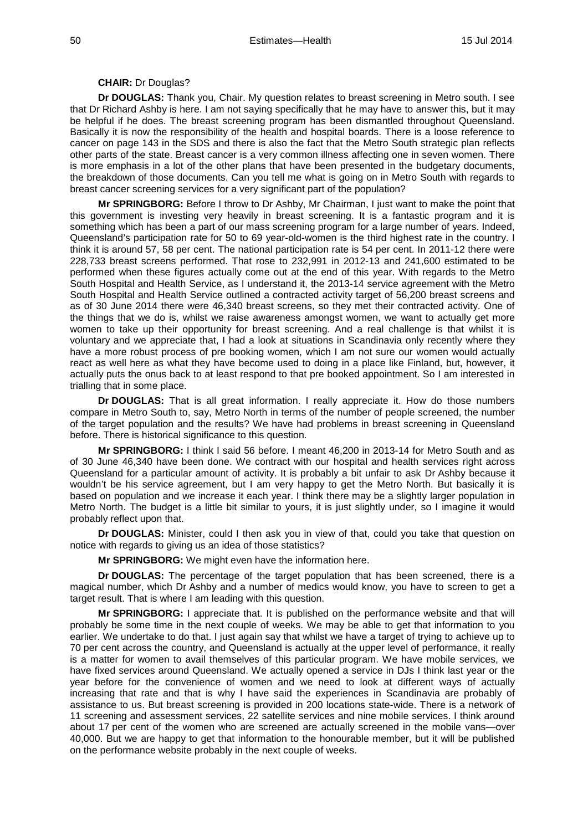#### **CHAIR:** Dr Douglas?

**Dr DOUGLAS:** Thank you, Chair. My question relates to breast screening in Metro south. I see that Dr Richard Ashby is here. I am not saying specifically that he may have to answer this, but it may be helpful if he does. The breast screening program has been dismantled throughout Queensland. Basically it is now the responsibility of the health and hospital boards. There is a loose reference to cancer on page 143 in the SDS and there is also the fact that the Metro South strategic plan reflects other parts of the state. Breast cancer is a very common illness affecting one in seven women. There is more emphasis in a lot of the other plans that have been presented in the budgetary documents, the breakdown of those documents. Can you tell me what is going on in Metro South with regards to breast cancer screening services for a very significant part of the population?

**Mr SPRINGBORG:** Before I throw to Dr Ashby, Mr Chairman, I just want to make the point that this government is investing very heavily in breast screening. It is a fantastic program and it is something which has been a part of our mass screening program for a large number of years. Indeed, Queensland's participation rate for 50 to 69 year-old-women is the third highest rate in the country. I think it is around 57, 58 per cent. The national participation rate is 54 per cent. In 2011-12 there were 228,733 breast screens performed. That rose to 232,991 in 2012-13 and 241,600 estimated to be performed when these figures actually come out at the end of this year. With regards to the Metro South Hospital and Health Service, as I understand it, the 2013-14 service agreement with the Metro South Hospital and Health Service outlined a contracted activity target of 56,200 breast screens and as of 30 June 2014 there were 46,340 breast screens, so they met their contracted activity. One of the things that we do is, whilst we raise awareness amongst women, we want to actually get more women to take up their opportunity for breast screening. And a real challenge is that whilst it is voluntary and we appreciate that, I had a look at situations in Scandinavia only recently where they have a more robust process of pre booking women, which I am not sure our women would actually react as well here as what they have become used to doing in a place like Finland, but, however, it actually puts the onus back to at least respond to that pre booked appointment. So I am interested in trialling that in some place.

**Dr DOUGLAS:** That is all great information. I really appreciate it. How do those numbers compare in Metro South to, say, Metro North in terms of the number of people screened, the number of the target population and the results? We have had problems in breast screening in Queensland before. There is historical significance to this question.

**Mr SPRINGBORG:** I think I said 56 before. I meant 46,200 in 2013-14 for Metro South and as of 30 June 46,340 have been done. We contract with our hospital and health services right across Queensland for a particular amount of activity. It is probably a bit unfair to ask Dr Ashby because it wouldn't be his service agreement, but I am very happy to get the Metro North. But basically it is based on population and we increase it each year. I think there may be a slightly larger population in Metro North. The budget is a little bit similar to yours, it is just slightly under, so I imagine it would probably reflect upon that.

**Dr DOUGLAS:** Minister, could I then ask you in view of that, could you take that question on notice with regards to giving us an idea of those statistics?

**Mr SPRINGBORG:** We might even have the information here.

**Dr DOUGLAS:** The percentage of the target population that has been screened, there is a magical number, which Dr Ashby and a number of medics would know, you have to screen to get a target result. That is where I am leading with this question.

**Mr SPRINGBORG:** I appreciate that. It is published on the performance website and that will probably be some time in the next couple of weeks. We may be able to get that information to you earlier. We undertake to do that. I just again say that whilst we have a target of trying to achieve up to 70 per cent across the country, and Queensland is actually at the upper level of performance, it really is a matter for women to avail themselves of this particular program. We have mobile services, we have fixed services around Queensland. We actually opened a service in DJs I think last year or the year before for the convenience of women and we need to look at different ways of actually increasing that rate and that is why I have said the experiences in Scandinavia are probably of assistance to us. But breast screening is provided in 200 locations state-wide. There is a network of 11 screening and assessment services, 22 satellite services and nine mobile services. I think around about 17 per cent of the women who are screened are actually screened in the mobile vans—over 40,000. But we are happy to get that information to the honourable member, but it will be published on the performance website probably in the next couple of weeks.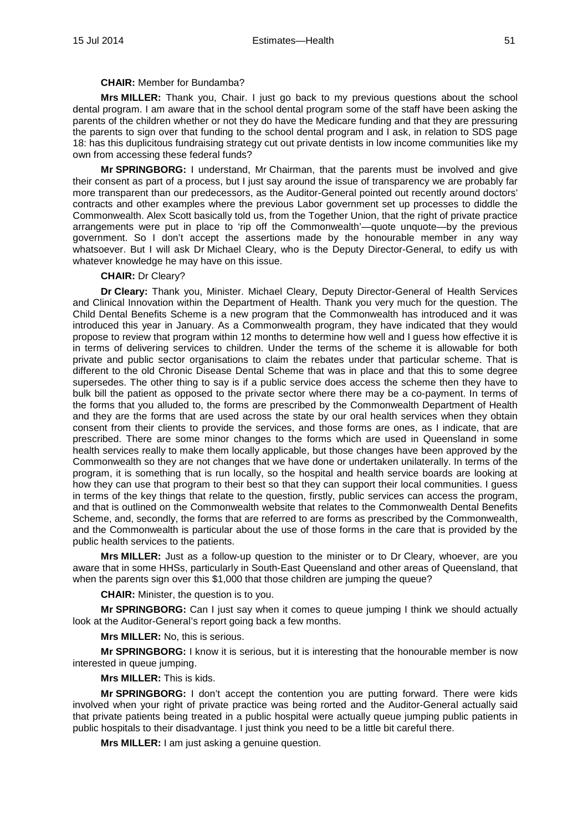#### **CHAIR:** Member for Bundamba?

**Mrs MILLER:** Thank you, Chair. I just go back to my previous questions about the school dental program. I am aware that in the school dental program some of the staff have been asking the parents of the children whether or not they do have the Medicare funding and that they are pressuring the parents to sign over that funding to the school dental program and I ask, in relation to SDS page 18: has this duplicitous fundraising strategy cut out private dentists in low income communities like my own from accessing these federal funds?

**Mr SPRINGBORG:** I understand, Mr Chairman, that the parents must be involved and give their consent as part of a process, but I just say around the issue of transparency we are probably far more transparent than our predecessors, as the Auditor-General pointed out recently around doctors' contracts and other examples where the previous Labor government set up processes to diddle the Commonwealth. Alex Scott basically told us, from the Together Union, that the right of private practice arrangements were put in place to 'rip off the Commonwealth'—quote unquote—by the previous government. So I don't accept the assertions made by the honourable member in any way whatsoever. But I will ask Dr Michael Cleary, who is the Deputy Director-General, to edify us with whatever knowledge he may have on this issue.

## **CHAIR:** Dr Cleary?

**Dr Cleary:** Thank you, Minister. Michael Cleary, Deputy Director-General of Health Services and Clinical Innovation within the Department of Health. Thank you very much for the question. The Child Dental Benefits Scheme is a new program that the Commonwealth has introduced and it was introduced this year in January. As a Commonwealth program, they have indicated that they would propose to review that program within 12 months to determine how well and I guess how effective it is in terms of delivering services to children. Under the terms of the scheme it is allowable for both private and public sector organisations to claim the rebates under that particular scheme. That is different to the old Chronic Disease Dental Scheme that was in place and that this to some degree supersedes. The other thing to say is if a public service does access the scheme then they have to bulk bill the patient as opposed to the private sector where there may be a co-payment. In terms of the forms that you alluded to, the forms are prescribed by the Commonwealth Department of Health and they are the forms that are used across the state by our oral health services when they obtain consent from their clients to provide the services, and those forms are ones, as I indicate, that are prescribed. There are some minor changes to the forms which are used in Queensland in some health services really to make them locally applicable, but those changes have been approved by the Commonwealth so they are not changes that we have done or undertaken unilaterally. In terms of the program, it is something that is run locally, so the hospital and health service boards are looking at how they can use that program to their best so that they can support their local communities. I guess in terms of the key things that relate to the question, firstly, public services can access the program, and that is outlined on the Commonwealth website that relates to the Commonwealth Dental Benefits Scheme, and, secondly, the forms that are referred to are forms as prescribed by the Commonwealth, and the Commonwealth is particular about the use of those forms in the care that is provided by the public health services to the patients.

**Mrs MILLER:** Just as a follow-up question to the minister or to Dr Cleary, whoever, are you aware that in some HHSs, particularly in South-East Queensland and other areas of Queensland, that when the parents sign over this \$1,000 that those children are jumping the queue?

**CHAIR:** Minister, the question is to you.

**Mr SPRINGBORG:** Can I just say when it comes to queue jumping I think we should actually look at the Auditor-General's report going back a few months.

**Mrs MILLER:** No, this is serious.

**Mr SPRINGBORG:** I know it is serious, but it is interesting that the honourable member is now interested in queue jumping.

**Mrs MILLER:** This is kids.

**Mr SPRINGBORG:** I don't accept the contention you are putting forward. There were kids involved when your right of private practice was being rorted and the Auditor-General actually said that private patients being treated in a public hospital were actually queue jumping public patients in public hospitals to their disadvantage. I just think you need to be a little bit careful there.

**Mrs MILLER:** I am just asking a genuine question.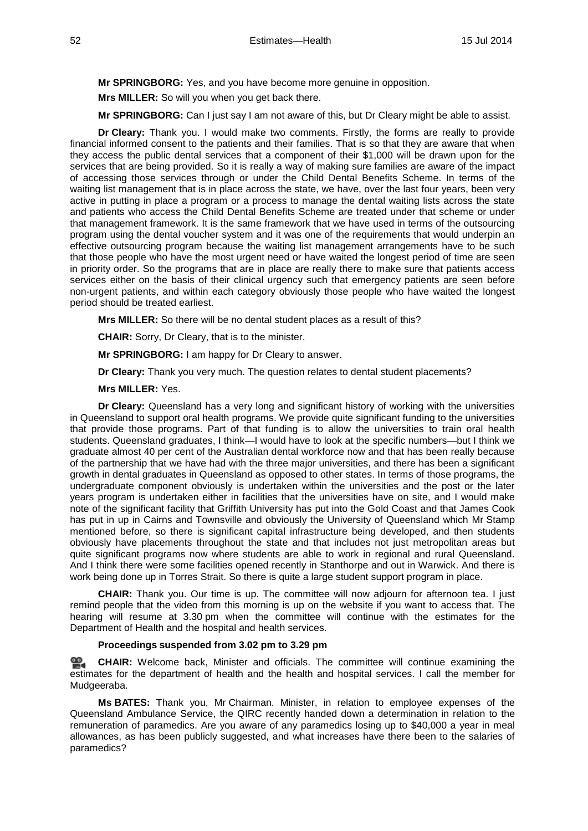**Mr SPRINGBORG:** Yes, and you have become more genuine in opposition.

**Mrs MILLER:** So will you when you get back there.

**Mr SPRINGBORG:** Can I just say I am not aware of this, but Dr Cleary might be able to assist.

**Dr Cleary:** Thank you. I would make two comments. Firstly, the forms are really to provide financial informed consent to the patients and their families. That is so that they are aware that when they access the public dental services that a component of their \$1,000 will be drawn upon for the services that are being provided. So it is really a way of making sure families are aware of the impact of accessing those services through or under the Child Dental Benefits Scheme. In terms of the waiting list management that is in place across the state, we have, over the last four years, been very active in putting in place a program or a process to manage the dental waiting lists across the state and patients who access the Child Dental Benefits Scheme are treated under that scheme or under that management framework. It is the same framework that we have used in terms of the outsourcing program using the dental voucher system and it was one of the requirements that would underpin an effective outsourcing program because the waiting list management arrangements have to be such that those people who have the most urgent need or have waited the longest period of time are seen in priority order. So the programs that are in place are really there to make sure that patients access services either on the basis of their clinical urgency such that emergency patients are seen before non-urgent patients, and within each category obviously those people who have waited the longest period should be treated earliest.

**Mrs MILLER:** So there will be no dental student places as a result of this?

**CHAIR:** Sorry, Dr Cleary, that is to the minister.

**Mr SPRINGBORG:** I am happy for Dr Cleary to answer.

**Dr Cleary:** Thank you very much. The question relates to dental student placements?

## **Mrs MILLER:** Yes.

**Dr Cleary:** Queensland has a very long and significant history of working with the universities in Queensland to support oral health programs. We provide quite significant funding to the universities that provide those programs. Part of that funding is to allow the universities to train oral health students. Queensland graduates, I think—I would have to look at the specific numbers—but I think we graduate almost 40 per cent of the Australian dental workforce now and that has been really because of the partnership that we have had with the three major universities, and there has been a significant growth in dental graduates in Queensland as opposed to other states. In terms of those programs, the undergraduate component obviously is undertaken within the universities and the post or the later years program is undertaken either in facilities that the universities have on site, and I would make note of the significant facility that Griffith University has put into the Gold Coast and that James Cook has put in up in Cairns and Townsville and obviously the University of Queensland which Mr Stamp mentioned before, so there is significant capital infrastructure being developed, and then students obviously have placements throughout the state and that includes not just metropolitan areas but quite significant programs now where students are able to work in regional and rural Queensland. And I think there were some facilities opened recently in Stanthorpe and out in Warwick. And there is work being done up in Torres Strait. So there is quite a large student support program in place.

**CHAIR:** Thank you. Our time is up. The committee will now adjourn for afternoon tea. I just remind people that the video from this morning is up on the website if you want to access that. The hearing will resume at 3.30 pm when the committee will continue with the estimates for the Department of Health and the hospital and health services.

## **Proceedings suspended from 3.02 pm to 3.29 pm**

**[CHAIR:](http://www.parliament.qld.gov.au/docs/find.aspx?id=0MbaHCSC20140715_153020)** Welcome back, Minister and officials. The committee will continue examining the estimates for the department of health and the health and hospital services. I call the member for Mudgeeraba.

**Ms BATES:** Thank you, Mr Chairman. Minister, in relation to employee expenses of the Queensland Ambulance Service, the QIRC recently handed down a determination in relation to the remuneration of paramedics. Are you aware of any paramedics losing up to \$40,000 a year in meal allowances, as has been publicly suggested, and what increases have there been to the salaries of paramedics?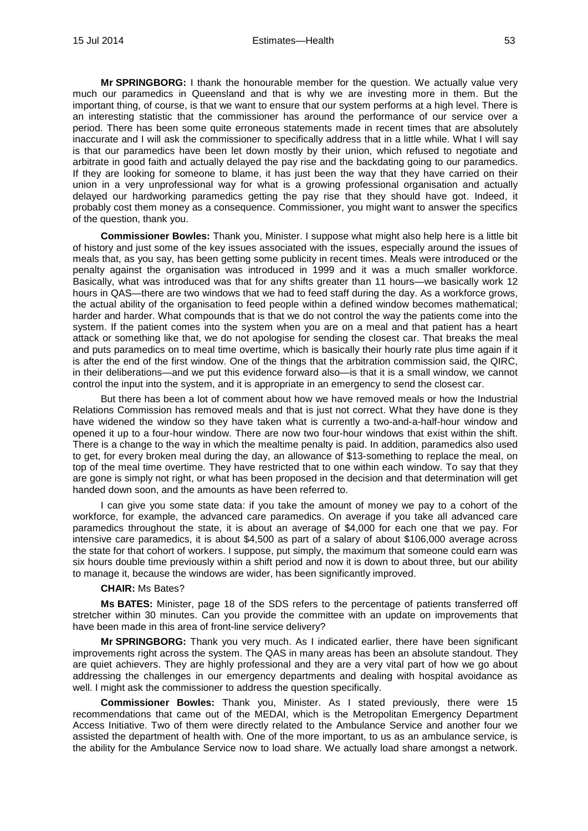**Mr SPRINGBORG:** I thank the honourable member for the question. We actually value very much our paramedics in Queensland and that is why we are investing more in them. But the important thing, of course, is that we want to ensure that our system performs at a high level. There is an interesting statistic that the commissioner has around the performance of our service over a period. There has been some quite erroneous statements made in recent times that are absolutely inaccurate and I will ask the commissioner to specifically address that in a little while. What I will say is that our paramedics have been let down mostly by their union, which refused to negotiate and arbitrate in good faith and actually delayed the pay rise and the backdating going to our paramedics. If they are looking for someone to blame, it has just been the way that they have carried on their union in a very unprofessional way for what is a growing professional organisation and actually delayed our hardworking paramedics getting the pay rise that they should have got. Indeed, it probably cost them money as a consequence. Commissioner, you might want to answer the specifics of the question, thank you.

**Commissioner Bowles:** Thank you, Minister. I suppose what might also help here is a little bit of history and just some of the key issues associated with the issues, especially around the issues of meals that, as you say, has been getting some publicity in recent times. Meals were introduced or the penalty against the organisation was introduced in 1999 and it was a much smaller workforce. Basically, what was introduced was that for any shifts greater than 11 hours—we basically work 12 hours in QAS—there are two windows that we had to feed staff during the day. As a workforce grows, the actual ability of the organisation to feed people within a defined window becomes mathematical; harder and harder. What compounds that is that we do not control the way the patients come into the system. If the patient comes into the system when you are on a meal and that patient has a heart attack or something like that, we do not apologise for sending the closest car. That breaks the meal and puts paramedics on to meal time overtime, which is basically their hourly rate plus time again if it is after the end of the first window. One of the things that the arbitration commission said, the QIRC, in their deliberations—and we put this evidence forward also—is that it is a small window, we cannot control the input into the system, and it is appropriate in an emergency to send the closest car.

But there has been a lot of comment about how we have removed meals or how the Industrial Relations Commission has removed meals and that is just not correct. What they have done is they have widened the window so they have taken what is currently a two-and-a-half-hour window and opened it up to a four-hour window. There are now two four-hour windows that exist within the shift. There is a change to the way in which the mealtime penalty is paid. In addition, paramedics also used to get, for every broken meal during the day, an allowance of \$13-something to replace the meal, on top of the meal time overtime. They have restricted that to one within each window. To say that they are gone is simply not right, or what has been proposed in the decision and that determination will get handed down soon, and the amounts as have been referred to.

I can give you some state data: if you take the amount of money we pay to a cohort of the workforce, for example, the advanced care paramedics. On average if you take all advanced care paramedics throughout the state, it is about an average of \$4,000 for each one that we pay. For intensive care paramedics, it is about \$4,500 as part of a salary of about \$106,000 average across the state for that cohort of workers. I suppose, put simply, the maximum that someone could earn was six hours double time previously within a shift period and now it is down to about three, but our ability to manage it, because the windows are wider, has been significantly improved.

# **CHAIR:** Ms Bates?

**Ms BATES:** Minister, page 18 of the SDS refers to the percentage of patients transferred off stretcher within 30 minutes. Can you provide the committee with an update on improvements that have been made in this area of front-line service delivery?

**Mr SPRINGBORG:** Thank you very much. As I indicated earlier, there have been significant improvements right across the system. The QAS in many areas has been an absolute standout. They are quiet achievers. They are highly professional and they are a very vital part of how we go about addressing the challenges in our emergency departments and dealing with hospital avoidance as well. I might ask the commissioner to address the question specifically.

**Commissioner Bowles:** Thank you, Minister. As I stated previously, there were 15 recommendations that came out of the MEDAI, which is the Metropolitan Emergency Department Access Initiative. Two of them were directly related to the Ambulance Service and another four we assisted the department of health with. One of the more important, to us as an ambulance service, is the ability for the Ambulance Service now to load share. We actually load share amongst a network.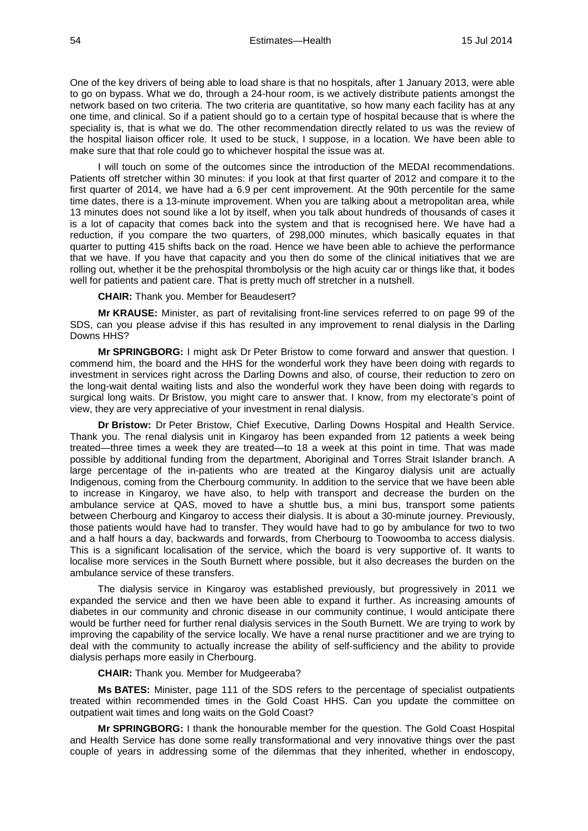One of the key drivers of being able to load share is that no hospitals, after 1 January 2013, were able to go on bypass. What we do, through a 24-hour room, is we actively distribute patients amongst the network based on two criteria. The two criteria are quantitative, so how many each facility has at any one time, and clinical. So if a patient should go to a certain type of hospital because that is where the speciality is, that is what we do. The other recommendation directly related to us was the review of the hospital liaison officer role. It used to be stuck, I suppose, in a location. We have been able to make sure that that role could go to whichever hospital the issue was at.

I will touch on some of the outcomes since the introduction of the MEDAI recommendations. Patients off stretcher within 30 minutes: if you look at that first quarter of 2012 and compare it to the first quarter of 2014, we have had a 6.9 per cent improvement. At the 90th percentile for the same time dates, there is a 13-minute improvement. When you are talking about a metropolitan area, while 13 minutes does not sound like a lot by itself, when you talk about hundreds of thousands of cases it is a lot of capacity that comes back into the system and that is recognised here. We have had a reduction, if you compare the two quarters, of 298,000 minutes, which basically equates in that quarter to putting 415 shifts back on the road. Hence we have been able to achieve the performance that we have. If you have that capacity and you then do some of the clinical initiatives that we are rolling out, whether it be the prehospital thrombolysis or the high acuity car or things like that, it bodes well for patients and patient care. That is pretty much off stretcher in a nutshell.

**CHAIR:** Thank you. Member for Beaudesert?

**Mr KRAUSE:** Minister, as part of revitalising front-line services referred to on page 99 of the SDS, can you please advise if this has resulted in any improvement to renal dialysis in the Darling Downs HHS?

**Mr SPRINGBORG:** I might ask Dr Peter Bristow to come forward and answer that question. I commend him, the board and the HHS for the wonderful work they have been doing with regards to investment in services right across the Darling Downs and also, of course, their reduction to zero on the long-wait dental waiting lists and also the wonderful work they have been doing with regards to surgical long waits. Dr Bristow, you might care to answer that. I know, from my electorate's point of view, they are very appreciative of your investment in renal dialysis.

**Dr Bristow:** Dr Peter Bristow, Chief Executive, Darling Downs Hospital and Health Service. Thank you. The renal dialysis unit in Kingaroy has been expanded from 12 patients a week being treated—three times a week they are treated—to 18 a week at this point in time. That was made possible by additional funding from the department, Aboriginal and Torres Strait Islander branch. A large percentage of the in-patients who are treated at the Kingaroy dialysis unit are actually Indigenous, coming from the Cherbourg community. In addition to the service that we have been able to increase in Kingaroy, we have also, to help with transport and decrease the burden on the ambulance service at QAS, moved to have a shuttle bus, a mini bus, transport some patients between Cherbourg and Kingaroy to access their dialysis. It is about a 30-minute journey. Previously, those patients would have had to transfer. They would have had to go by ambulance for two to two and a half hours a day, backwards and forwards, from Cherbourg to Toowoomba to access dialysis. This is a significant localisation of the service, which the board is very supportive of. It wants to localise more services in the South Burnett where possible, but it also decreases the burden on the ambulance service of these transfers.

The dialysis service in Kingaroy was established previously, but progressively in 2011 we expanded the service and then we have been able to expand it further. As increasing amounts of diabetes in our community and chronic disease in our community continue, I would anticipate there would be further need for further renal dialysis services in the South Burnett. We are trying to work by improving the capability of the service locally. We have a renal nurse practitioner and we are trying to deal with the community to actually increase the ability of self-sufficiency and the ability to provide dialysis perhaps more easily in Cherbourg.

**CHAIR:** Thank you. Member for Mudgeeraba?

**Ms BATES:** Minister, page 111 of the SDS refers to the percentage of specialist outpatients treated within recommended times in the Gold Coast HHS. Can you update the committee on outpatient wait times and long waits on the Gold Coast?

**Mr SPRINGBORG:** I thank the honourable member for the question. The Gold Coast Hospital and Health Service has done some really transformational and very innovative things over the past couple of years in addressing some of the dilemmas that they inherited, whether in endoscopy,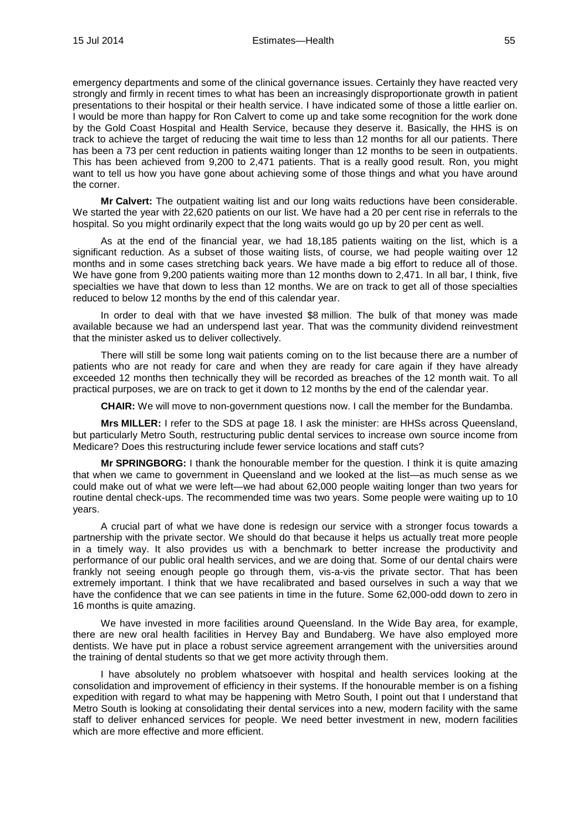emergency departments and some of the clinical governance issues. Certainly they have reacted very strongly and firmly in recent times to what has been an increasingly disproportionate growth in patient presentations to their hospital or their health service. I have indicated some of those a little earlier on. I would be more than happy for Ron Calvert to come up and take some recognition for the work done by the Gold Coast Hospital and Health Service, because they deserve it. Basically, the HHS is on track to achieve the target of reducing the wait time to less than 12 months for all our patients. There has been a 73 per cent reduction in patients waiting longer than 12 months to be seen in outpatients. This has been achieved from 9,200 to 2,471 patients. That is a really good result. Ron, you might want to tell us how you have gone about achieving some of those things and what you have around the corner.

**Mr Calvert:** The outpatient waiting list and our long waits reductions have been considerable. We started the year with 22,620 patients on our list. We have had a 20 per cent rise in referrals to the hospital. So you might ordinarily expect that the long waits would go up by 20 per cent as well.

As at the end of the financial year, we had 18,185 patients waiting on the list, which is a significant reduction. As a subset of those waiting lists, of course, we had people waiting over 12 months and in some cases stretching back years. We have made a big effort to reduce all of those. We have gone from 9,200 patients waiting more than 12 months down to 2,471. In all bar, I think, five specialties we have that down to less than 12 months. We are on track to get all of those specialties reduced to below 12 months by the end of this calendar year.

In order to deal with that we have invested \$8 million. The bulk of that money was made available because we had an underspend last year. That was the community dividend reinvestment that the minister asked us to deliver collectively.

There will still be some long wait patients coming on to the list because there are a number of patients who are not ready for care and when they are ready for care again if they have already exceeded 12 months then technically they will be recorded as breaches of the 12 month wait. To all practical purposes, we are on track to get it down to 12 months by the end of the calendar year.

**CHAIR:** We will move to non-government questions now. I call the member for the Bundamba.

**Mrs MILLER:** I refer to the SDS at page 18. I ask the minister: are HHSs across Queensland, but particularly Metro South, restructuring public dental services to increase own source income from Medicare? Does this restructuring include fewer service locations and staff cuts?

**Mr SPRINGBORG:** I thank the honourable member for the question. I think it is quite amazing that when we came to government in Queensland and we looked at the list—as much sense as we could make out of what we were left—we had about 62,000 people waiting longer than two years for routine dental check-ups. The recommended time was two years. Some people were waiting up to 10 years.

A crucial part of what we have done is redesign our service with a stronger focus towards a partnership with the private sector. We should do that because it helps us actually treat more people in a timely way. It also provides us with a benchmark to better increase the productivity and performance of our public oral health services, and we are doing that. Some of our dental chairs were frankly not seeing enough people go through them, vis-a-vis the private sector. That has been extremely important. I think that we have recalibrated and based ourselves in such a way that we have the confidence that we can see patients in time in the future. Some 62,000-odd down to zero in 16 months is quite amazing.

We have invested in more facilities around Queensland. In the Wide Bay area, for example, there are new oral health facilities in Hervey Bay and Bundaberg. We have also employed more dentists. We have put in place a robust service agreement arrangement with the universities around the training of dental students so that we get more activity through them.

I have absolutely no problem whatsoever with hospital and health services looking at the consolidation and improvement of efficiency in their systems. If the honourable member is on a fishing expedition with regard to what may be happening with Metro South, I point out that I understand that Metro South is looking at consolidating their dental services into a new, modern facility with the same staff to deliver enhanced services for people. We need better investment in new, modern facilities which are more effective and more efficient.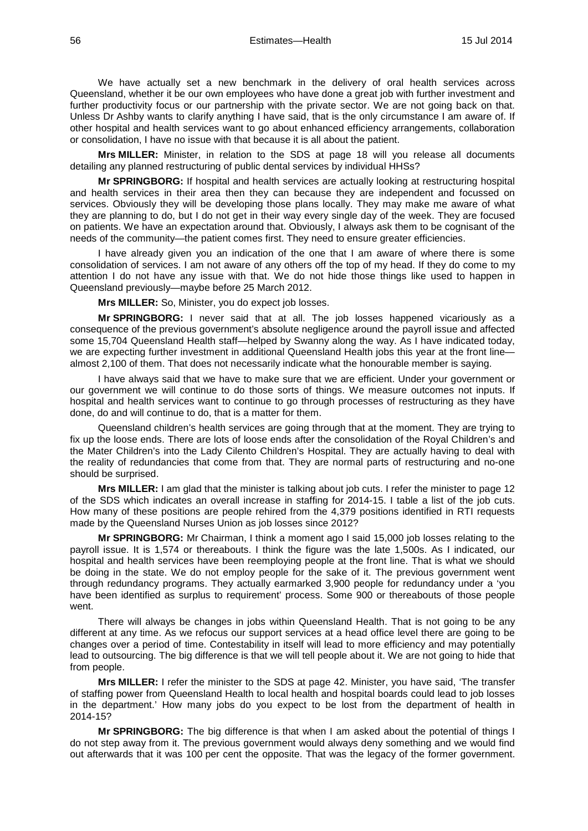We have actually set a new benchmark in the delivery of oral health services across Queensland, whether it be our own employees who have done a great job with further investment and further productivity focus or our partnership with the private sector. We are not going back on that. Unless Dr Ashby wants to clarify anything I have said, that is the only circumstance I am aware of. If other hospital and health services want to go about enhanced efficiency arrangements, collaboration or consolidation, I have no issue with that because it is all about the patient.

**Mrs MILLER:** Minister, in relation to the SDS at page 18 will you release all documents detailing any planned restructuring of public dental services by individual HHSs?

**Mr SPRINGBORG:** If hospital and health services are actually looking at restructuring hospital and health services in their area then they can because they are independent and focussed on services. Obviously they will be developing those plans locally. They may make me aware of what they are planning to do, but I do not get in their way every single day of the week. They are focused on patients. We have an expectation around that. Obviously, I always ask them to be cognisant of the needs of the community—the patient comes first. They need to ensure greater efficiencies.

I have already given you an indication of the one that I am aware of where there is some consolidation of services. I am not aware of any others off the top of my head. If they do come to my attention I do not have any issue with that. We do not hide those things like used to happen in Queensland previously—maybe before 25 March 2012.

**Mrs MILLER:** So, Minister, you do expect job losses.

**Mr SPRINGBORG:** I never said that at all. The job losses happened vicariously as a consequence of the previous government's absolute negligence around the payroll issue and affected some 15,704 Queensland Health staff—helped by Swanny along the way. As I have indicated today, we are expecting further investment in additional Queensland Health jobs this year at the front linealmost 2,100 of them. That does not necessarily indicate what the honourable member is saying.

I have always said that we have to make sure that we are efficient. Under your government or our government we will continue to do those sorts of things. We measure outcomes not inputs. If hospital and health services want to continue to go through processes of restructuring as they have done, do and will continue to do, that is a matter for them.

Queensland children's health services are going through that at the moment. They are trying to fix up the loose ends. There are lots of loose ends after the consolidation of the Royal Children's and the Mater Children's into the Lady Cilento Children's Hospital. They are actually having to deal with the reality of redundancies that come from that. They are normal parts of restructuring and no-one should be surprised.

**Mrs MILLER:** I am glad that the minister is talking about job cuts. I refer the minister to page 12 of the SDS which indicates an overall increase in staffing for 2014-15. I table a list of the job cuts. How many of these positions are people rehired from the 4,379 positions identified in RTI requests made by the Queensland Nurses Union as job losses since 2012?

**Mr SPRINGBORG:** Mr Chairman, I think a moment ago I said 15,000 job losses relating to the payroll issue. It is 1,574 or thereabouts. I think the figure was the late 1,500s. As I indicated, our hospital and health services have been reemploying people at the front line. That is what we should be doing in the state. We do not employ people for the sake of it. The previous government went through redundancy programs. They actually earmarked 3,900 people for redundancy under a 'you have been identified as surplus to requirement' process. Some 900 or thereabouts of those people went.

There will always be changes in jobs within Queensland Health. That is not going to be any different at any time. As we refocus our support services at a head office level there are going to be changes over a period of time. Contestability in itself will lead to more efficiency and may potentially lead to outsourcing. The big difference is that we will tell people about it. We are not going to hide that from people.

**Mrs MILLER:** I refer the minister to the SDS at page 42. Minister, you have said, 'The transfer of staffing power from Queensland Health to local health and hospital boards could lead to job losses in the department.' How many jobs do you expect to be lost from the department of health in 2014-15?

**Mr SPRINGBORG:** The big difference is that when I am asked about the potential of things I do not step away from it. The previous government would always deny something and we would find out afterwards that it was 100 per cent the opposite. That was the legacy of the former government.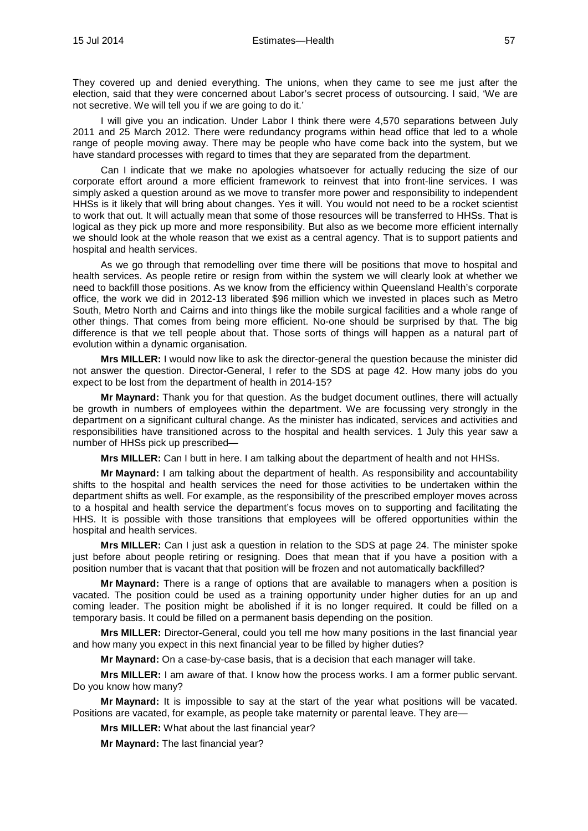They covered up and denied everything. The unions, when they came to see me just after the election, said that they were concerned about Labor's secret process of outsourcing. I said, 'We are not secretive. We will tell you if we are going to do it.'

I will give you an indication. Under Labor I think there were 4,570 separations between July 2011 and 25 March 2012. There were redundancy programs within head office that led to a whole range of people moving away. There may be people who have come back into the system, but we have standard processes with regard to times that they are separated from the department.

Can I indicate that we make no apologies whatsoever for actually reducing the size of our corporate effort around a more efficient framework to reinvest that into front-line services. I was simply asked a question around as we move to transfer more power and responsibility to independent HHSs is it likely that will bring about changes. Yes it will. You would not need to be a rocket scientist to work that out. It will actually mean that some of those resources will be transferred to HHSs. That is logical as they pick up more and more responsibility. But also as we become more efficient internally we should look at the whole reason that we exist as a central agency. That is to support patients and hospital and health services.

As we go through that remodelling over time there will be positions that move to hospital and health services. As people retire or resign from within the system we will clearly look at whether we need to backfill those positions. As we know from the efficiency within Queensland Health's corporate office, the work we did in 2012-13 liberated \$96 million which we invested in places such as Metro South, Metro North and Cairns and into things like the mobile surgical facilities and a whole range of other things. That comes from being more efficient. No-one should be surprised by that. The big difference is that we tell people about that. Those sorts of things will happen as a natural part of evolution within a dynamic organisation.

**Mrs MILLER:** I would now like to ask the director-general the question because the minister did not answer the question. Director-General, I refer to the SDS at page 42. How many jobs do you expect to be lost from the department of health in 2014-15?

**Mr Maynard:** Thank you for that question. As the budget document outlines, there will actually be growth in numbers of employees within the department. We are focussing very strongly in the department on a significant cultural change. As the minister has indicated, services and activities and responsibilities have transitioned across to the hospital and health services. 1 July this year saw a number of HHSs pick up prescribed—

**Mrs MILLER:** Can I butt in here. I am talking about the department of health and not HHSs.

**Mr Maynard:** I am talking about the department of health. As responsibility and accountability shifts to the hospital and health services the need for those activities to be undertaken within the department shifts as well. For example, as the responsibility of the prescribed employer moves across to a hospital and health service the department's focus moves on to supporting and facilitating the HHS. It is possible with those transitions that employees will be offered opportunities within the hospital and health services.

**Mrs MILLER:** Can I just ask a question in relation to the SDS at page 24. The minister spoke just before about people retiring or resigning. Does that mean that if you have a position with a position number that is vacant that that position will be frozen and not automatically backfilled?

**Mr Maynard:** There is a range of options that are available to managers when a position is vacated. The position could be used as a training opportunity under higher duties for an up and coming leader. The position might be abolished if it is no longer required. It could be filled on a temporary basis. It could be filled on a permanent basis depending on the position.

**Mrs MILLER:** Director-General, could you tell me how many positions in the last financial year and how many you expect in this next financial year to be filled by higher duties?

**Mr Maynard:** On a case-by-case basis, that is a decision that each manager will take.

**Mrs MILLER:** I am aware of that. I know how the process works. I am a former public servant. Do you know how many?

**Mr Maynard:** It is impossible to say at the start of the year what positions will be vacated. Positions are vacated, for example, as people take maternity or parental leave. They are—

**Mrs MILLER:** What about the last financial year?

**Mr Maynard:** The last financial year?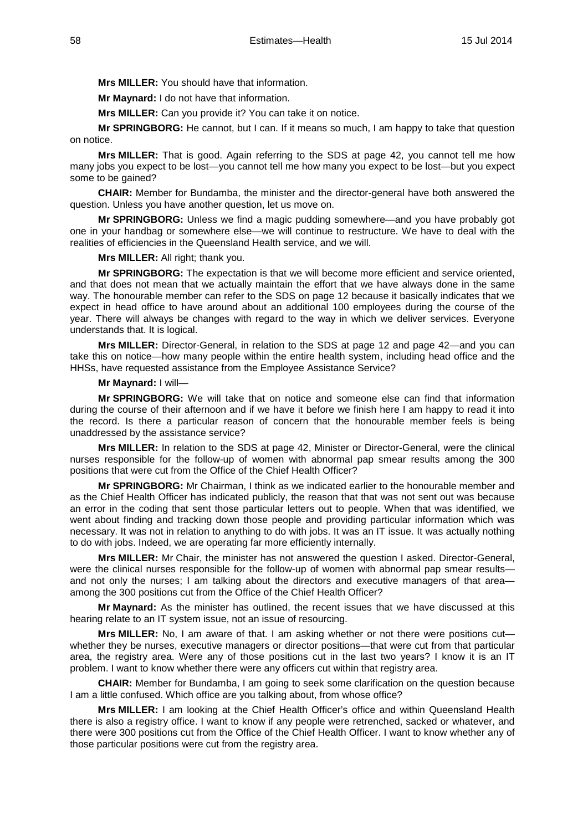**Mrs MILLER:** You should have that information.

**Mr Maynard:** I do not have that information.

**Mrs MILLER:** Can you provide it? You can take it on notice.

**Mr SPRINGBORG:** He cannot, but I can. If it means so much, I am happy to take that question on notice.

**Mrs MILLER:** That is good. Again referring to the SDS at page 42, you cannot tell me how many jobs you expect to be lost—you cannot tell me how many you expect to be lost—but you expect some to be gained?

**CHAIR:** Member for Bundamba, the minister and the director-general have both answered the question. Unless you have another question, let us move on.

**Mr SPRINGBORG:** Unless we find a magic pudding somewhere—and you have probably got one in your handbag or somewhere else—we will continue to restructure. We have to deal with the realities of efficiencies in the Queensland Health service, and we will.

**Mrs MILLER:** All right; thank you.

**Mr SPRINGBORG:** The expectation is that we will become more efficient and service oriented, and that does not mean that we actually maintain the effort that we have always done in the same way. The honourable member can refer to the SDS on page 12 because it basically indicates that we expect in head office to have around about an additional 100 employees during the course of the year. There will always be changes with regard to the way in which we deliver services. Everyone understands that. It is logical.

**Mrs MILLER:** Director-General, in relation to the SDS at page 12 and page 42—and you can take this on notice—how many people within the entire health system, including head office and the HHSs, have requested assistance from the Employee Assistance Service?

#### **Mr Maynard:** I will—

**Mr SPRINGBORG:** We will take that on notice and someone else can find that information during the course of their afternoon and if we have it before we finish here I am happy to read it into the record. Is there a particular reason of concern that the honourable member feels is being unaddressed by the assistance service?

**Mrs MILLER:** In relation to the SDS at page 42, Minister or Director-General, were the clinical nurses responsible for the follow-up of women with abnormal pap smear results among the 300 positions that were cut from the Office of the Chief Health Officer?

**Mr SPRINGBORG:** Mr Chairman, I think as we indicated earlier to the honourable member and as the Chief Health Officer has indicated publicly, the reason that that was not sent out was because an error in the coding that sent those particular letters out to people. When that was identified, we went about finding and tracking down those people and providing particular information which was necessary. It was not in relation to anything to do with jobs. It was an IT issue. It was actually nothing to do with jobs. Indeed, we are operating far more efficiently internally.

**Mrs MILLER:** Mr Chair, the minister has not answered the question I asked. Director-General, were the clinical nurses responsible for the follow-up of women with abnormal pap smear results and not only the nurses; I am talking about the directors and executive managers of that area among the 300 positions cut from the Office of the Chief Health Officer?

**Mr Maynard:** As the minister has outlined, the recent issues that we have discussed at this hearing relate to an IT system issue, not an issue of resourcing.

**Mrs MILLER:** No, I am aware of that. I am asking whether or not there were positions cut whether they be nurses, executive managers or director positions—that were cut from that particular area, the registry area. Were any of those positions cut in the last two years? I know it is an IT problem. I want to know whether there were any officers cut within that registry area.

**CHAIR:** Member for Bundamba, I am going to seek some clarification on the question because I am a little confused. Which office are you talking about, from whose office?

**Mrs MILLER:** I am looking at the Chief Health Officer's office and within Queensland Health there is also a registry office. I want to know if any people were retrenched, sacked or whatever, and there were 300 positions cut from the Office of the Chief Health Officer. I want to know whether any of those particular positions were cut from the registry area.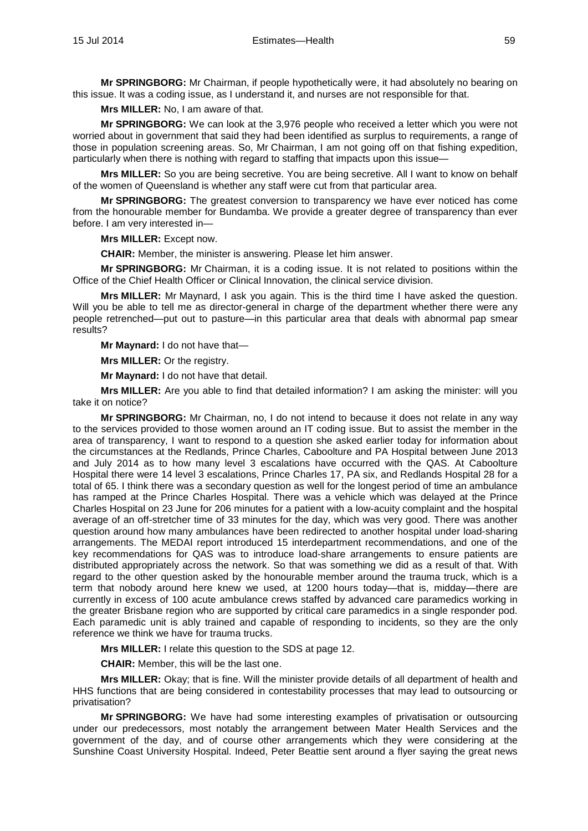**Mr SPRINGBORG:** Mr Chairman, if people hypothetically were, it had absolutely no bearing on this issue. It was a coding issue, as I understand it, and nurses are not responsible for that.

**Mrs MILLER:** No, I am aware of that.

**Mr SPRINGBORG:** We can look at the 3,976 people who received a letter which you were not worried about in government that said they had been identified as surplus to requirements, a range of those in population screening areas. So, Mr Chairman, I am not going off on that fishing expedition, particularly when there is nothing with regard to staffing that impacts upon this issue-

**Mrs MILLER:** So you are being secretive. You are being secretive. All I want to know on behalf of the women of Queensland is whether any staff were cut from that particular area.

**Mr SPRINGBORG:** The greatest conversion to transparency we have ever noticed has come from the honourable member for Bundamba. We provide a greater degree of transparency than ever before. I am very interested in—

**Mrs MILLER:** Except now.

**CHAIR:** Member, the minister is answering. Please let him answer.

**Mr SPRINGBORG:** Mr Chairman, it is a coding issue. It is not related to positions within the Office of the Chief Health Officer or Clinical Innovation, the clinical service division.

**Mrs MILLER:** Mr Maynard, I ask you again. This is the third time I have asked the question. Will you be able to tell me as director-general in charge of the department whether there were any people retrenched—put out to pasture—in this particular area that deals with abnormal pap smear results?

**Mr Maynard:** I do not have that—

**Mrs MILLER:** Or the registry.

**Mr Maynard:** I do not have that detail.

**Mrs MILLER:** Are you able to find that detailed information? I am asking the minister: will you take it on notice?

**Mr SPRINGBORG:** Mr Chairman, no, I do not intend to because it does not relate in any way to the services provided to those women around an IT coding issue. But to assist the member in the area of transparency, I want to respond to a question she asked earlier today for information about the circumstances at the Redlands, Prince Charles, Caboolture and PA Hospital between June 2013 and July 2014 as to how many level 3 escalations have occurred with the QAS. At Caboolture Hospital there were 14 level 3 escalations, Prince Charles 17, PA six, and Redlands Hospital 28 for a total of 65. I think there was a secondary question as well for the longest period of time an ambulance has ramped at the Prince Charles Hospital. There was a vehicle which was delayed at the Prince Charles Hospital on 23 June for 206 minutes for a patient with a low-acuity complaint and the hospital average of an off-stretcher time of 33 minutes for the day, which was very good. There was another question around how many ambulances have been redirected to another hospital under load-sharing arrangements. The MEDAI report introduced 15 interdepartment recommendations, and one of the key recommendations for QAS was to introduce load-share arrangements to ensure patients are distributed appropriately across the network. So that was something we did as a result of that. With regard to the other question asked by the honourable member around the trauma truck, which is a term that nobody around here knew we used, at 1200 hours today—that is, midday—there are currently in excess of 100 acute ambulance crews staffed by advanced care paramedics working in the greater Brisbane region who are supported by critical care paramedics in a single responder pod. Each paramedic unit is ably trained and capable of responding to incidents, so they are the only reference we think we have for trauma trucks.

**Mrs MILLER:** I relate this question to the SDS at page 12.

**CHAIR:** Member, this will be the last one.

**Mrs MILLER:** Okay; that is fine. Will the minister provide details of all department of health and HHS functions that are being considered in contestability processes that may lead to outsourcing or privatisation?

**Mr SPRINGBORG:** We have had some interesting examples of privatisation or outsourcing under our predecessors, most notably the arrangement between Mater Health Services and the government of the day, and of course other arrangements which they were considering at the Sunshine Coast University Hospital. Indeed, Peter Beattie sent around a flyer saying the great news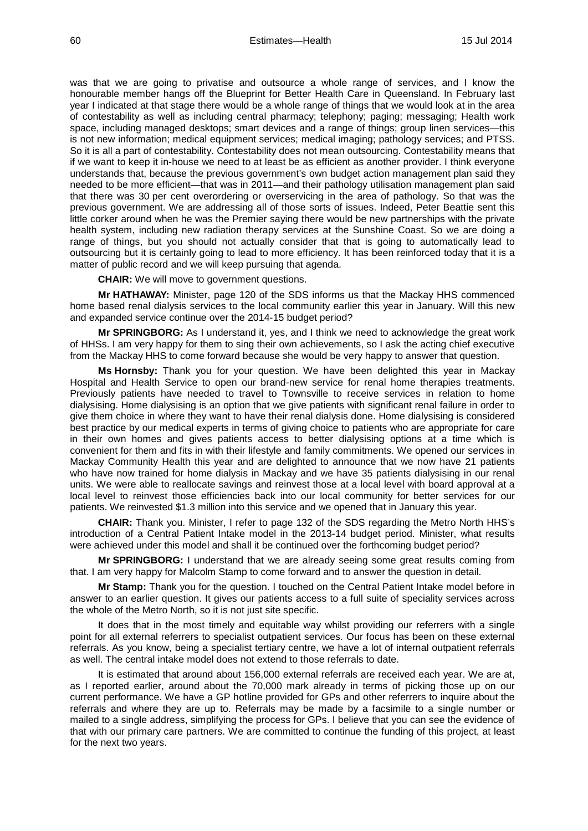was that we are going to privatise and outsource a whole range of services, and I know the honourable member hangs off the Blueprint for Better Health Care in Queensland. In February last year I indicated at that stage there would be a whole range of things that we would look at in the area of contestability as well as including central pharmacy; telephony; paging; messaging; Health work space, including managed desktops; smart devices and a range of things; group linen services—this is not new information; medical equipment services; medical imaging; pathology services; and PTSS. So it is all a part of contestability. Contestability does not mean outsourcing. Contestability means that if we want to keep it in-house we need to at least be as efficient as another provider. I think everyone understands that, because the previous government's own budget action management plan said they needed to be more efficient—that was in 2011—and their pathology utilisation management plan said that there was 30 per cent overordering or overservicing in the area of pathology. So that was the previous government. We are addressing all of those sorts of issues. Indeed, Peter Beattie sent this little corker around when he was the Premier saying there would be new partnerships with the private health system, including new radiation therapy services at the Sunshine Coast. So we are doing a range of things, but you should not actually consider that that is going to automatically lead to outsourcing but it is certainly going to lead to more efficiency. It has been reinforced today that it is a matter of public record and we will keep pursuing that agenda.

**CHAIR:** We will move to government questions.

**Mr HATHAWAY:** Minister, page 120 of the SDS informs us that the Mackay HHS commenced home based renal dialysis services to the local community earlier this year in January. Will this new and expanded service continue over the 2014-15 budget period?

**Mr SPRINGBORG:** As I understand it, yes, and I think we need to acknowledge the great work of HHSs. I am very happy for them to sing their own achievements, so I ask the acting chief executive from the Mackay HHS to come forward because she would be very happy to answer that question.

**Ms Hornsby:** Thank you for your question. We have been delighted this year in Mackay Hospital and Health Service to open our brand-new service for renal home therapies treatments. Previously patients have needed to travel to Townsville to receive services in relation to home dialysising. Home dialysising is an option that we give patients with significant renal failure in order to give them choice in where they want to have their renal dialysis done. Home dialysising is considered best practice by our medical experts in terms of giving choice to patients who are appropriate for care in their own homes and gives patients access to better dialysising options at a time which is convenient for them and fits in with their lifestyle and family commitments. We opened our services in Mackay Community Health this year and are delighted to announce that we now have 21 patients who have now trained for home dialysis in Mackay and we have 35 patients dialysising in our renal units. We were able to reallocate savings and reinvest those at a local level with board approval at a local level to reinvest those efficiencies back into our local community for better services for our patients. We reinvested \$1.3 million into this service and we opened that in January this year.

**CHAIR:** Thank you. Minister, I refer to page 132 of the SDS regarding the Metro North HHS's introduction of a Central Patient Intake model in the 2013-14 budget period. Minister, what results were achieved under this model and shall it be continued over the forthcoming budget period?

**Mr SPRINGBORG:** I understand that we are already seeing some great results coming from that. I am very happy for Malcolm Stamp to come forward and to answer the question in detail.

**Mr Stamp:** Thank you for the question. I touched on the Central Patient Intake model before in answer to an earlier question. It gives our patients access to a full suite of speciality services across the whole of the Metro North, so it is not just site specific.

It does that in the most timely and equitable way whilst providing our referrers with a single point for all external referrers to specialist outpatient services. Our focus has been on these external referrals. As you know, being a specialist tertiary centre, we have a lot of internal outpatient referrals as well. The central intake model does not extend to those referrals to date.

It is estimated that around about 156,000 external referrals are received each year. We are at, as I reported earlier, around about the 70,000 mark already in terms of picking those up on our current performance. We have a GP hotline provided for GPs and other referrers to inquire about the referrals and where they are up to. Referrals may be made by a facsimile to a single number or mailed to a single address, simplifying the process for GPs. I believe that you can see the evidence of that with our primary care partners. We are committed to continue the funding of this project, at least for the next two years.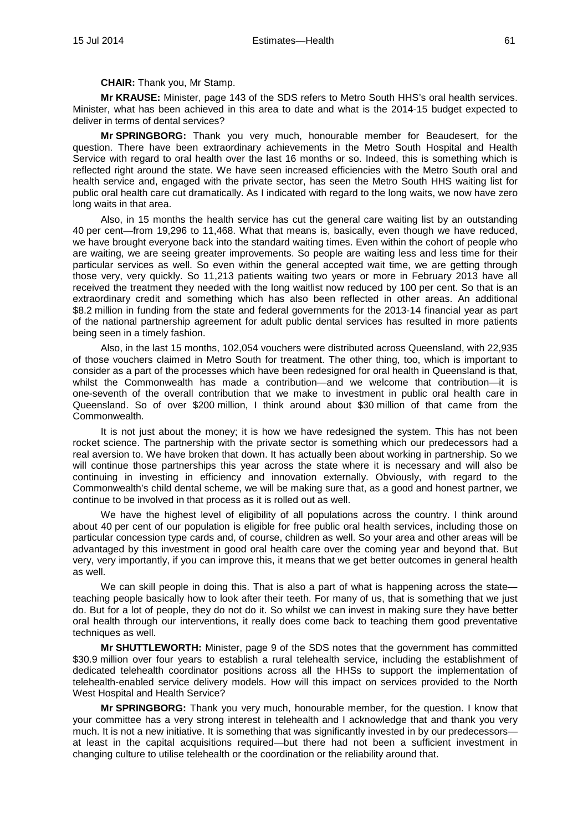**CHAIR:** Thank you, Mr Stamp.

**Mr KRAUSE:** Minister, page 143 of the SDS refers to Metro South HHS's oral health services. Minister, what has been achieved in this area to date and what is the 2014-15 budget expected to deliver in terms of dental services?

**Mr SPRINGBORG:** Thank you very much, honourable member for Beaudesert, for the question. There have been extraordinary achievements in the Metro South Hospital and Health Service with regard to oral health over the last 16 months or so. Indeed, this is something which is reflected right around the state. We have seen increased efficiencies with the Metro South oral and health service and, engaged with the private sector, has seen the Metro South HHS waiting list for public oral health care cut dramatically. As I indicated with regard to the long waits, we now have zero long waits in that area.

Also, in 15 months the health service has cut the general care waiting list by an outstanding 40 per cent—from 19,296 to 11,468. What that means is, basically, even though we have reduced, we have brought everyone back into the standard waiting times. Even within the cohort of people who are waiting, we are seeing greater improvements. So people are waiting less and less time for their particular services as well. So even within the general accepted wait time, we are getting through those very, very quickly. So 11,213 patients waiting two years or more in February 2013 have all received the treatment they needed with the long waitlist now reduced by 100 per cent. So that is an extraordinary credit and something which has also been reflected in other areas. An additional \$8.2 million in funding from the state and federal governments for the 2013-14 financial year as part of the national partnership agreement for adult public dental services has resulted in more patients being seen in a timely fashion.

Also, in the last 15 months, 102,054 vouchers were distributed across Queensland, with 22,935 of those vouchers claimed in Metro South for treatment. The other thing, too, which is important to consider as a part of the processes which have been redesigned for oral health in Queensland is that, whilst the Commonwealth has made a contribution—and we welcome that contribution—it is one-seventh of the overall contribution that we make to investment in public oral health care in Queensland. So of over \$200 million, I think around about \$30 million of that came from the Commonwealth.

It is not just about the money; it is how we have redesigned the system. This has not been rocket science. The partnership with the private sector is something which our predecessors had a real aversion to. We have broken that down. It has actually been about working in partnership. So we will continue those partnerships this year across the state where it is necessary and will also be continuing in investing in efficiency and innovation externally. Obviously, with regard to the Commonwealth's child dental scheme, we will be making sure that, as a good and honest partner, we continue to be involved in that process as it is rolled out as well.

We have the highest level of eligibility of all populations across the country. I think around about 40 per cent of our population is eligible for free public oral health services, including those on particular concession type cards and, of course, children as well. So your area and other areas will be advantaged by this investment in good oral health care over the coming year and beyond that. But very, very importantly, if you can improve this, it means that we get better outcomes in general health as well.

We can skill people in doing this. That is also a part of what is happening across the state teaching people basically how to look after their teeth. For many of us, that is something that we just do. But for a lot of people, they do not do it. So whilst we can invest in making sure they have better oral health through our interventions, it really does come back to teaching them good preventative techniques as well.

**Mr SHUTTLEWORTH:** Minister, page 9 of the SDS notes that the government has committed \$30.9 million over four years to establish a rural telehealth service, including the establishment of dedicated telehealth coordinator positions across all the HHSs to support the implementation of telehealth-enabled service delivery models. How will this impact on services provided to the North West Hospital and Health Service?

**Mr SPRINGBORG:** Thank you very much, honourable member, for the question. I know that your committee has a very strong interest in telehealth and I acknowledge that and thank you very much. It is not a new initiative. It is something that was significantly invested in by our predecessors at least in the capital acquisitions required—but there had not been a sufficient investment in changing culture to utilise telehealth or the coordination or the reliability around that.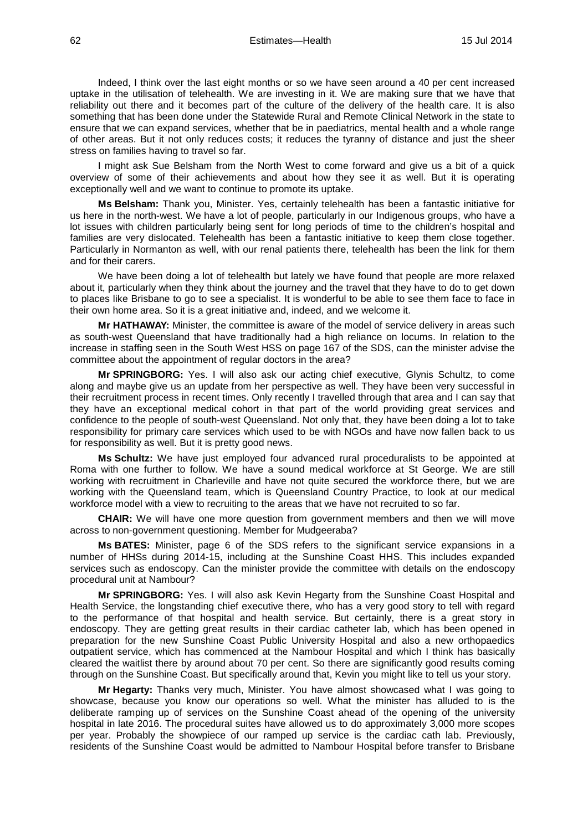Indeed, I think over the last eight months or so we have seen around a 40 per cent increased uptake in the utilisation of telehealth. We are investing in it. We are making sure that we have that reliability out there and it becomes part of the culture of the delivery of the health care. It is also something that has been done under the Statewide Rural and Remote Clinical Network in the state to ensure that we can expand services, whether that be in paediatrics, mental health and a whole range of other areas. But it not only reduces costs; it reduces the tyranny of distance and just the sheer stress on families having to travel so far.

I might ask Sue Belsham from the North West to come forward and give us a bit of a quick overview of some of their achievements and about how they see it as well. But it is operating exceptionally well and we want to continue to promote its uptake.

**Ms Belsham:** Thank you, Minister. Yes, certainly telehealth has been a fantastic initiative for us here in the north-west. We have a lot of people, particularly in our Indigenous groups, who have a lot issues with children particularly being sent for long periods of time to the children's hospital and families are very dislocated. Telehealth has been a fantastic initiative to keep them close together. Particularly in Normanton as well, with our renal patients there, telehealth has been the link for them and for their carers.

We have been doing a lot of telehealth but lately we have found that people are more relaxed about it, particularly when they think about the journey and the travel that they have to do to get down to places like Brisbane to go to see a specialist. It is wonderful to be able to see them face to face in their own home area. So it is a great initiative and, indeed, and we welcome it.

**Mr HATHAWAY:** Minister, the committee is aware of the model of service delivery in areas such as south-west Queensland that have traditionally had a high reliance on locums. In relation to the increase in staffing seen in the South West HSS on page 167 of the SDS, can the minister advise the committee about the appointment of regular doctors in the area?

**Mr SPRINGBORG:** Yes. I will also ask our acting chief executive, Glynis Schultz, to come along and maybe give us an update from her perspective as well. They have been very successful in their recruitment process in recent times. Only recently I travelled through that area and I can say that they have an exceptional medical cohort in that part of the world providing great services and confidence to the people of south-west Queensland. Not only that, they have been doing a lot to take responsibility for primary care services which used to be with NGOs and have now fallen back to us for responsibility as well. But it is pretty good news.

**Ms Schultz:** We have just employed four advanced rural proceduralists to be appointed at Roma with one further to follow. We have a sound medical workforce at St George. We are still working with recruitment in Charleville and have not quite secured the workforce there, but we are working with the Queensland team, which is Queensland Country Practice, to look at our medical workforce model with a view to recruiting to the areas that we have not recruited to so far.

**CHAIR:** We will have one more question from government members and then we will move across to non-government questioning. Member for Mudgeeraba?

**Ms BATES:** Minister, page 6 of the SDS refers to the significant service expansions in a number of HHSs during 2014-15, including at the Sunshine Coast HHS. This includes expanded services such as endoscopy. Can the minister provide the committee with details on the endoscopy procedural unit at Nambour?

**Mr SPRINGBORG:** Yes. I will also ask Kevin Hegarty from the Sunshine Coast Hospital and Health Service, the longstanding chief executive there, who has a very good story to tell with regard to the performance of that hospital and health service. But certainly, there is a great story in endoscopy. They are getting great results in their cardiac catheter lab, which has been opened in preparation for the new Sunshine Coast Public University Hospital and also a new orthopaedics outpatient service, which has commenced at the Nambour Hospital and which I think has basically cleared the waitlist there by around about 70 per cent. So there are significantly good results coming through on the Sunshine Coast. But specifically around that, Kevin you might like to tell us your story.

**Mr Hegarty:** Thanks very much, Minister. You have almost showcased what I was going to showcase, because you know our operations so well. What the minister has alluded to is the deliberate ramping up of services on the Sunshine Coast ahead of the opening of the university hospital in late 2016. The procedural suites have allowed us to do approximately 3,000 more scopes per year. Probably the showpiece of our ramped up service is the cardiac cath lab. Previously, residents of the Sunshine Coast would be admitted to Nambour Hospital before transfer to Brisbane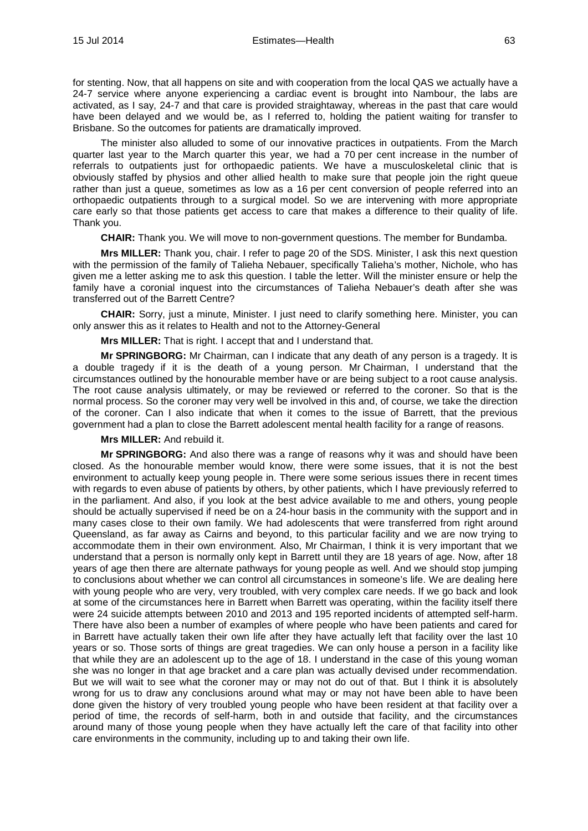for stenting. Now, that all happens on site and with cooperation from the local QAS we actually have a 24-7 service where anyone experiencing a cardiac event is brought into Nambour, the labs are activated, as I say, 24-7 and that care is provided straightaway, whereas in the past that care would have been delayed and we would be, as I referred to, holding the patient waiting for transfer to Brisbane. So the outcomes for patients are dramatically improved.

The minister also alluded to some of our innovative practices in outpatients. From the March quarter last year to the March quarter this year, we had a 70 per cent increase in the number of referrals to outpatients just for orthopaedic patients. We have a musculoskeletal clinic that is obviously staffed by physios and other allied health to make sure that people join the right queue rather than just a queue, sometimes as low as a 16 per cent conversion of people referred into an orthopaedic outpatients through to a surgical model. So we are intervening with more appropriate care early so that those patients get access to care that makes a difference to their quality of life. Thank you.

**CHAIR:** Thank you. We will move to non-government questions. The member for Bundamba.

**Mrs MILLER:** Thank you, chair. I refer to page 20 of the SDS. Minister, I ask this next question with the permission of the family of Talieha Nebauer, specifically Talieha's mother, Nichole, who has given me a letter asking me to ask this question. I table the letter. Will the minister ensure or help the family have a coronial inquest into the circumstances of Talieha Nebauer's death after she was transferred out of the Barrett Centre?

**CHAIR:** Sorry, just a minute, Minister. I just need to clarify something here. Minister, you can only answer this as it relates to Health and not to the Attorney-General

**Mrs MILLER:** That is right. I accept that and I understand that.

**Mr SPRINGBORG:** Mr Chairman, can I indicate that any death of any person is a tragedy. It is a double tragedy if it is the death of a young person. Mr Chairman, I understand that the circumstances outlined by the honourable member have or are being subject to a root cause analysis. The root cause analysis ultimately, or may be reviewed or referred to the coroner. So that is the normal process. So the coroner may very well be involved in this and, of course, we take the direction of the coroner. Can I also indicate that when it comes to the issue of Barrett, that the previous government had a plan to close the Barrett adolescent mental health facility for a range of reasons.

#### **Mrs MILLER:** And rebuild it.

**Mr SPRINGBORG:** And also there was a range of reasons why it was and should have been closed. As the honourable member would know, there were some issues, that it is not the best environment to actually keep young people in. There were some serious issues there in recent times with regards to even abuse of patients by others, by other patients, which I have previously referred to in the parliament. And also, if you look at the best advice available to me and others, young people should be actually supervised if need be on a 24-hour basis in the community with the support and in many cases close to their own family. We had adolescents that were transferred from right around Queensland, as far away as Cairns and beyond, to this particular facility and we are now trying to accommodate them in their own environment. Also, Mr Chairman, I think it is very important that we understand that a person is normally only kept in Barrett until they are 18 years of age. Now, after 18 years of age then there are alternate pathways for young people as well. And we should stop jumping to conclusions about whether we can control all circumstances in someone's life. We are dealing here with young people who are very, very troubled, with very complex care needs. If we go back and look at some of the circumstances here in Barrett when Barrett was operating, within the facility itself there were 24 suicide attempts between 2010 and 2013 and 195 reported incidents of attempted self-harm. There have also been a number of examples of where people who have been patients and cared for in Barrett have actually taken their own life after they have actually left that facility over the last 10 years or so. Those sorts of things are great tragedies. We can only house a person in a facility like that while they are an adolescent up to the age of 18. I understand in the case of this young woman she was no longer in that age bracket and a care plan was actually devised under recommendation. But we will wait to see what the coroner may or may not do out of that. But I think it is absolutely wrong for us to draw any conclusions around what may or may not have been able to have been done given the history of very troubled young people who have been resident at that facility over a period of time, the records of self-harm, both in and outside that facility, and the circumstances around many of those young people when they have actually left the care of that facility into other care environments in the community, including up to and taking their own life.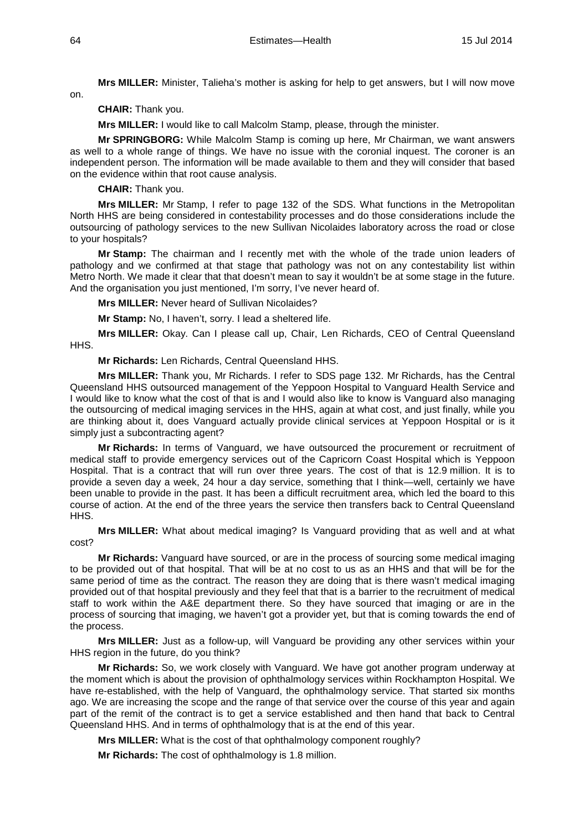**Mrs MILLER:** Minister, Talieha's mother is asking for help to get answers, but I will now move

on.

**CHAIR:** Thank you.

**Mrs MILLER:** I would like to call Malcolm Stamp, please, through the minister.

**Mr SPRINGBORG:** While Malcolm Stamp is coming up here, Mr Chairman, we want answers as well to a whole range of things. We have no issue with the coronial inquest. The coroner is an independent person. The information will be made available to them and they will consider that based on the evidence within that root cause analysis.

**CHAIR:** Thank you.

**Mrs MILLER:** Mr Stamp, I refer to page 132 of the SDS. What functions in the Metropolitan North HHS are being considered in contestability processes and do those considerations include the outsourcing of pathology services to the new Sullivan Nicolaides laboratory across the road or close to your hospitals?

**Mr Stamp:** The chairman and I recently met with the whole of the trade union leaders of pathology and we confirmed at that stage that pathology was not on any contestability list within Metro North. We made it clear that that doesn't mean to say it wouldn't be at some stage in the future. And the organisation you just mentioned, I'm sorry, I've never heard of.

**Mrs MILLER:** Never heard of Sullivan Nicolaides?

**Mr Stamp:** No, I haven't, sorry. I lead a sheltered life.

**Mrs MILLER:** Okay. Can I please call up, Chair, Len Richards, CEO of Central Queensland HH<sub>S</sub>.

**Mr Richards:** Len Richards, Central Queensland HHS.

**Mrs MILLER:** Thank you, Mr Richards. I refer to SDS page 132. Mr Richards, has the Central Queensland HHS outsourced management of the Yeppoon Hospital to Vanguard Health Service and I would like to know what the cost of that is and I would also like to know is Vanguard also managing the outsourcing of medical imaging services in the HHS, again at what cost, and just finally, while you are thinking about it, does Vanguard actually provide clinical services at Yeppoon Hospital or is it simply just a subcontracting agent?

**Mr Richards:** In terms of Vanguard, we have outsourced the procurement or recruitment of medical staff to provide emergency services out of the Capricorn Coast Hospital which is Yeppoon Hospital. That is a contract that will run over three years. The cost of that is 12.9 million. It is to provide a seven day a week, 24 hour a day service, something that I think—well, certainly we have been unable to provide in the past. It has been a difficult recruitment area, which led the board to this course of action. At the end of the three years the service then transfers back to Central Queensland HH<sub>S</sub>.

**Mrs MILLER:** What about medical imaging? Is Vanguard providing that as well and at what cost?

**Mr Richards:** Vanguard have sourced, or are in the process of sourcing some medical imaging to be provided out of that hospital. That will be at no cost to us as an HHS and that will be for the same period of time as the contract. The reason they are doing that is there wasn't medical imaging provided out of that hospital previously and they feel that that is a barrier to the recruitment of medical staff to work within the A&E department there. So they have sourced that imaging or are in the process of sourcing that imaging, we haven't got a provider yet, but that is coming towards the end of the process.

**Mrs MILLER:** Just as a follow-up, will Vanguard be providing any other services within your HHS region in the future, do you think?

**Mr Richards:** So, we work closely with Vanguard. We have got another program underway at the moment which is about the provision of ophthalmology services within Rockhampton Hospital. We have re-established, with the help of Vanguard, the ophthalmology service. That started six months ago. We are increasing the scope and the range of that service over the course of this year and again part of the remit of the contract is to get a service established and then hand that back to Central Queensland HHS. And in terms of ophthalmology that is at the end of this year.

**Mrs MILLER:** What is the cost of that ophthalmology component roughly?

**Mr Richards:** The cost of ophthalmology is 1.8 million.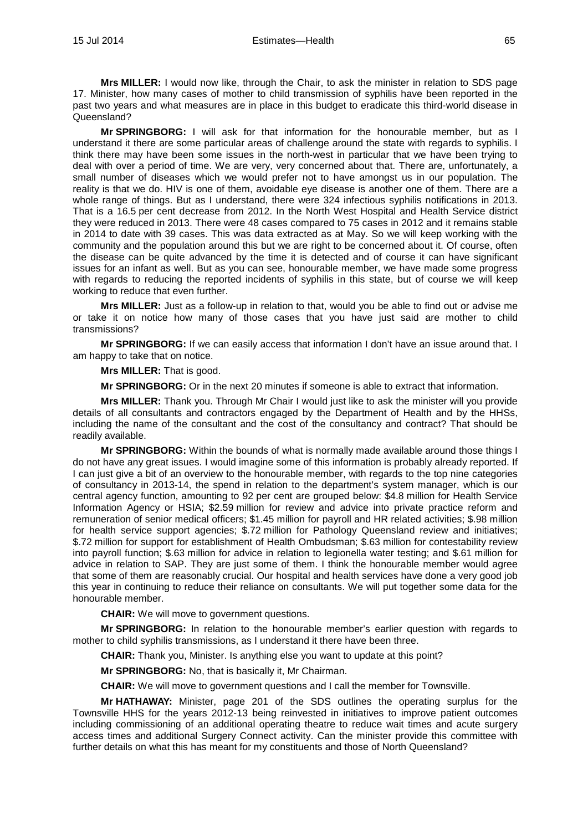**Mrs MILLER:** I would now like, through the Chair, to ask the minister in relation to SDS page 17. Minister, how many cases of mother to child transmission of syphilis have been reported in the past two years and what measures are in place in this budget to eradicate this third-world disease in Queensland?

**Mr SPRINGBORG:** I will ask for that information for the honourable member, but as I understand it there are some particular areas of challenge around the state with regards to syphilis. I think there may have been some issues in the north-west in particular that we have been trying to deal with over a period of time. We are very, very concerned about that. There are, unfortunately, a small number of diseases which we would prefer not to have amongst us in our population. The reality is that we do. HIV is one of them, avoidable eye disease is another one of them. There are a whole range of things. But as I understand, there were 324 infectious syphilis notifications in 2013. That is a 16.5 per cent decrease from 2012. In the North West Hospital and Health Service district they were reduced in 2013. There were 48 cases compared to 75 cases in 2012 and it remains stable in 2014 to date with 39 cases. This was data extracted as at May. So we will keep working with the community and the population around this but we are right to be concerned about it. Of course, often the disease can be quite advanced by the time it is detected and of course it can have significant issues for an infant as well. But as you can see, honourable member, we have made some progress with regards to reducing the reported incidents of syphilis in this state, but of course we will keep working to reduce that even further.

**Mrs MILLER:** Just as a follow-up in relation to that, would you be able to find out or advise me or take it on notice how many of those cases that you have just said are mother to child transmissions?

**Mr SPRINGBORG:** If we can easily access that information I don't have an issue around that. I am happy to take that on notice.

**Mrs MILLER:** That is good.

**Mr SPRINGBORG:** Or in the next 20 minutes if someone is able to extract that information.

**Mrs MILLER:** Thank you. Through Mr Chair I would just like to ask the minister will you provide details of all consultants and contractors engaged by the Department of Health and by the HHSs, including the name of the consultant and the cost of the consultancy and contract? That should be readily available.

**Mr SPRINGBORG:** Within the bounds of what is normally made available around those things I do not have any great issues. I would imagine some of this information is probably already reported. If I can just give a bit of an overview to the honourable member, with regards to the top nine categories of consultancy in 2013-14, the spend in relation to the department's system manager, which is our central agency function, amounting to 92 per cent are grouped below: \$4.8 million for Health Service Information Agency or HSIA; \$2.59 million for review and advice into private practice reform and remuneration of senior medical officers; \$1.45 million for payroll and HR related activities; \$.98 million for health service support agencies; \$.72 million for Pathology Queensland review and initiatives; \$.72 million for support for establishment of Health Ombudsman; \$.63 million for contestability review into payroll function; \$.63 million for advice in relation to legionella water testing; and \$.61 million for advice in relation to SAP. They are just some of them. I think the honourable member would agree that some of them are reasonably crucial. Our hospital and health services have done a very good job this year in continuing to reduce their reliance on consultants. We will put together some data for the honourable member.

**CHAIR:** We will move to government questions.

**Mr SPRINGBORG:** In relation to the honourable member's earlier question with regards to mother to child syphilis transmissions, as I understand it there have been three.

**CHAIR:** Thank you, Minister. Is anything else you want to update at this point?

**Mr SPRINGBORG:** No, that is basically it, Mr Chairman.

**CHAIR:** We will move to government questions and I call the member for Townsville.

**Mr HATHAWAY:** Minister, page 201 of the SDS outlines the operating surplus for the Townsville HHS for the years 2012-13 being reinvested in initiatives to improve patient outcomes including commissioning of an additional operating theatre to reduce wait times and acute surgery access times and additional Surgery Connect activity. Can the minister provide this committee with further details on what this has meant for my constituents and those of North Queensland?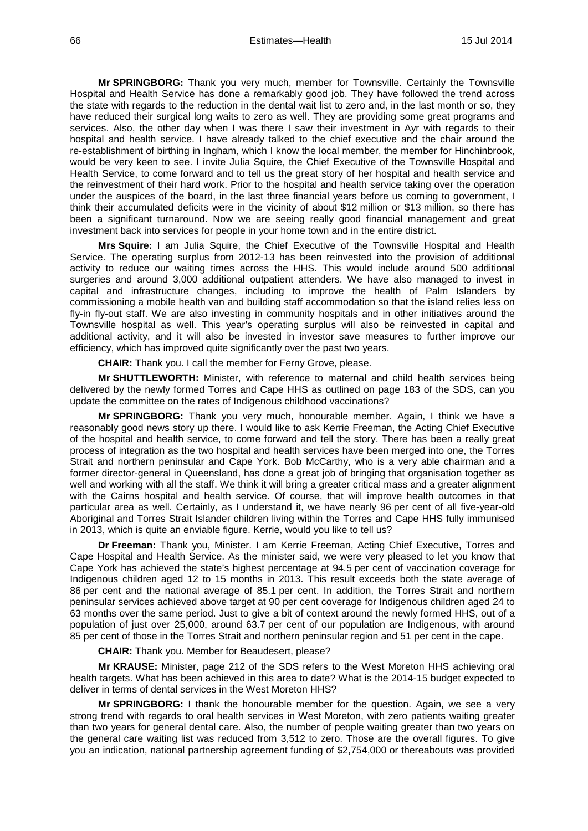**Mr SPRINGBORG:** Thank you very much, member for Townsville. Certainly the Townsville Hospital and Health Service has done a remarkably good job. They have followed the trend across the state with regards to the reduction in the dental wait list to zero and, in the last month or so, they have reduced their surgical long waits to zero as well. They are providing some great programs and services. Also, the other day when I was there I saw their investment in Ayr with regards to their hospital and health service. I have already talked to the chief executive and the chair around the re-establishment of birthing in Ingham, which I know the local member, the member for Hinchinbrook, would be very keen to see. I invite Julia Squire, the Chief Executive of the Townsville Hospital and Health Service, to come forward and to tell us the great story of her hospital and health service and the reinvestment of their hard work. Prior to the hospital and health service taking over the operation under the auspices of the board, in the last three financial years before us coming to government, I think their accumulated deficits were in the vicinity of about \$12 million or \$13 million, so there has been a significant turnaround. Now we are seeing really good financial management and great investment back into services for people in your home town and in the entire district.

**Mrs Squire:** I am Julia Squire, the Chief Executive of the Townsville Hospital and Health Service. The operating surplus from 2012-13 has been reinvested into the provision of additional activity to reduce our waiting times across the HHS. This would include around 500 additional surgeries and around 3,000 additional outpatient attenders. We have also managed to invest in capital and infrastructure changes, including to improve the health of Palm Islanders by commissioning a mobile health van and building staff accommodation so that the island relies less on fly-in fly-out staff. We are also investing in community hospitals and in other initiatives around the Townsville hospital as well. This year's operating surplus will also be reinvested in capital and additional activity, and it will also be invested in investor save measures to further improve our efficiency, which has improved quite significantly over the past two years.

**CHAIR:** Thank you. I call the member for Ferny Grove, please.

**Mr SHUTTLEWORTH:** Minister, with reference to maternal and child health services being delivered by the newly formed Torres and Cape HHS as outlined on page 183 of the SDS, can you update the committee on the rates of Indigenous childhood vaccinations?

**Mr SPRINGBORG:** Thank you very much, honourable member. Again, I think we have a reasonably good news story up there. I would like to ask Kerrie Freeman, the Acting Chief Executive of the hospital and health service, to come forward and tell the story. There has been a really great process of integration as the two hospital and health services have been merged into one, the Torres Strait and northern peninsular and Cape York. Bob McCarthy, who is a very able chairman and a former director-general in Queensland, has done a great job of bringing that organisation together as well and working with all the staff. We think it will bring a greater critical mass and a greater alignment with the Cairns hospital and health service. Of course, that will improve health outcomes in that particular area as well. Certainly, as I understand it, we have nearly 96 per cent of all five-year-old Aboriginal and Torres Strait Islander children living within the Torres and Cape HHS fully immunised in 2013, which is quite an enviable figure. Kerrie, would you like to tell us?

**Dr Freeman:** Thank you, Minister. I am Kerrie Freeman, Acting Chief Executive, Torres and Cape Hospital and Health Service. As the minister said, we were very pleased to let you know that Cape York has achieved the state's highest percentage at 94.5 per cent of vaccination coverage for Indigenous children aged 12 to 15 months in 2013. This result exceeds both the state average of 86 per cent and the national average of 85.1 per cent. In addition, the Torres Strait and northern peninsular services achieved above target at 90 per cent coverage for Indigenous children aged 24 to 63 months over the same period. Just to give a bit of context around the newly formed HHS, out of a population of just over 25,000, around 63.7 per cent of our population are Indigenous, with around 85 per cent of those in the Torres Strait and northern peninsular region and 51 per cent in the cape.

**CHAIR:** Thank you. Member for Beaudesert, please?

**Mr KRAUSE:** Minister, page 212 of the SDS refers to the West Moreton HHS achieving oral health targets. What has been achieved in this area to date? What is the 2014-15 budget expected to deliver in terms of dental services in the West Moreton HHS?

**Mr SPRINGBORG:** I thank the honourable member for the question. Again, we see a very strong trend with regards to oral health services in West Moreton, with zero patients waiting greater than two years for general dental care. Also, the number of people waiting greater than two years on the general care waiting list was reduced from 3,512 to zero. Those are the overall figures. To give you an indication, national partnership agreement funding of \$2,754,000 or thereabouts was provided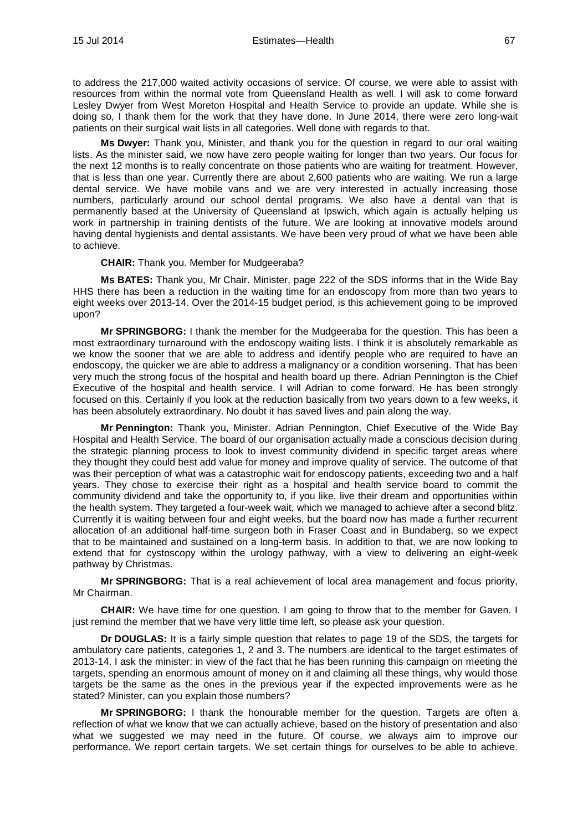to address the 217,000 waited activity occasions of service. Of course, we were able to assist with resources from within the normal vote from Queensland Health as well. I will ask to come forward Lesley Dwyer from West Moreton Hospital and Health Service to provide an update. While she is doing so, I thank them for the work that they have done. In June 2014, there were zero long-wait patients on their surgical wait lists in all categories. Well done with regards to that.

**Ms Dwyer:** Thank you, Minister, and thank you for the question in regard to our oral waiting lists. As the minister said, we now have zero people waiting for longer than two years. Our focus for the next 12 months is to really concentrate on those patients who are waiting for treatment. However, that is less than one year. Currently there are about 2,600 patients who are waiting. We run a large dental service. We have mobile vans and we are very interested in actually increasing those numbers, particularly around our school dental programs. We also have a dental van that is permanently based at the University of Queensland at Ipswich, which again is actually helping us work in partnership in training dentists of the future. We are looking at innovative models around having dental hygienists and dental assistants. We have been very proud of what we have been able to achieve.

#### **CHAIR:** Thank you. Member for Mudgeeraba?

**Ms BATES:** Thank you, Mr Chair. Minister, page 222 of the SDS informs that in the Wide Bay HHS there has been a reduction in the waiting time for an endoscopy from more than two years to eight weeks over 2013-14. Over the 2014-15 budget period, is this achievement going to be improved upon?

**Mr SPRINGBORG:** I thank the member for the Mudgeeraba for the question. This has been a most extraordinary turnaround with the endoscopy waiting lists. I think it is absolutely remarkable as we know the sooner that we are able to address and identify people who are required to have an endoscopy, the quicker we are able to address a malignancy or a condition worsening. That has been very much the strong focus of the hospital and health board up there. Adrian Pennington is the Chief Executive of the hospital and health service. I will Adrian to come forward. He has been strongly focused on this. Certainly if you look at the reduction basically from two years down to a few weeks, it has been absolutely extraordinary. No doubt it has saved lives and pain along the way.

**Mr Pennington:** Thank you, Minister. Adrian Pennington, Chief Executive of the Wide Bay Hospital and Health Service. The board of our organisation actually made a conscious decision during the strategic planning process to look to invest community dividend in specific target areas where they thought they could best add value for money and improve quality of service. The outcome of that was their perception of what was a catastrophic wait for endoscopy patients, exceeding two and a half years. They chose to exercise their right as a hospital and health service board to commit the community dividend and take the opportunity to, if you like, live their dream and opportunities within the health system. They targeted a four-week wait, which we managed to achieve after a second blitz. Currently it is waiting between four and eight weeks, but the board now has made a further recurrent allocation of an additional half-time surgeon both in Fraser Coast and in Bundaberg, so we expect that to be maintained and sustained on a long-term basis. In addition to that, we are now looking to extend that for cystoscopy within the urology pathway, with a view to delivering an eight-week pathway by Christmas.

**Mr SPRINGBORG:** That is a real achievement of local area management and focus priority, Mr Chairman.

**CHAIR:** We have time for one question. I am going to throw that to the member for Gaven. I just remind the member that we have very little time left, so please ask your question.

**Dr DOUGLAS:** It is a fairly simple question that relates to page 19 of the SDS, the targets for ambulatory care patients, categories 1, 2 and 3. The numbers are identical to the target estimates of 2013-14. I ask the minister: in view of the fact that he has been running this campaign on meeting the targets, spending an enormous amount of money on it and claiming all these things, why would those targets be the same as the ones in the previous year if the expected improvements were as he stated? Minister, can you explain those numbers?

**Mr SPRINGBORG:** I thank the honourable member for the question. Targets are often a reflection of what we know that we can actually achieve, based on the history of presentation and also what we suggested we may need in the future. Of course, we always aim to improve our performance. We report certain targets. We set certain things for ourselves to be able to achieve.